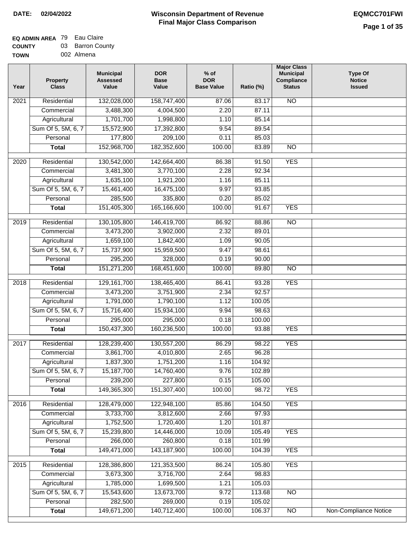### **EQ ADMIN AREA** 79 Eau Claire **COUNTY** 03 Barron County

**TOWN** 002 Almena

| Year              | <b>Property</b><br><b>Class</b> | <b>Municipal</b><br><b>Assessed</b><br>Value | <b>DOR</b><br><b>Base</b><br>Value | % of<br><b>DOR</b><br><b>Base Value</b> | Ratio (%) | <b>Major Class</b><br><b>Municipal</b><br>Compliance<br><b>Status</b> | <b>Type Of</b><br><b>Notice</b><br><b>Issued</b> |
|-------------------|---------------------------------|----------------------------------------------|------------------------------------|-----------------------------------------|-----------|-----------------------------------------------------------------------|--------------------------------------------------|
| $\overline{202}1$ | Residential                     | 132,028,000                                  | 158,747,400                        | 87.06                                   | 83.17     | $\overline{NO}$                                                       |                                                  |
|                   | Commercial                      | 3,488,300                                    | 4,004,500                          | 2.20                                    | 87.11     |                                                                       |                                                  |
|                   | Agricultural                    | 1,701,700                                    | 1,998,800                          | 1.10                                    | 85.14     |                                                                       |                                                  |
|                   | Sum Of 5, 5M, 6, 7              | 15,572,900                                   | 17,392,800                         | 9.54                                    | 89.54     |                                                                       |                                                  |
|                   | Personal                        | 177,800                                      | 209,100                            | 0.11                                    | 85.03     |                                                                       |                                                  |
|                   | <b>Total</b>                    | 152,968,700                                  | 182,352,600                        | 100.00                                  | 83.89     | $\overline{NO}$                                                       |                                                  |
| $\overline{2020}$ | Residential                     | 130,542,000                                  | 142,664,400                        | 86.38                                   | 91.50     | <b>YES</b>                                                            |                                                  |
|                   | Commercial                      | 3,481,300                                    | 3,770,100                          | 2.28                                    | 92.34     |                                                                       |                                                  |
|                   | Agricultural                    | 1,635,100                                    | 1,921,200                          | 1.16                                    | 85.11     |                                                                       |                                                  |
|                   | Sum Of 5, 5M, 6, 7              | 15,461,400                                   | 16,475,100                         | 9.97                                    | 93.85     |                                                                       |                                                  |
|                   | Personal                        | 285,500                                      | 335,800                            | 0.20                                    | 85.02     |                                                                       |                                                  |
|                   | <b>Total</b>                    | 151,405,300                                  | 165,166,600                        | 100.00                                  | 91.67     | <b>YES</b>                                                            |                                                  |
|                   |                                 |                                              |                                    |                                         |           |                                                                       |                                                  |
| 2019              | Residential                     | 130,105,800                                  | 146,419,700                        | 86.92                                   | 88.86     | $\overline{N}$                                                        |                                                  |
|                   | Commercial                      | 3,473,200                                    | 3,902,000                          | 2.32                                    | 89.01     |                                                                       |                                                  |
|                   | Agricultural                    | 1,659,100                                    | 1,842,400                          | 1.09                                    | 90.05     |                                                                       |                                                  |
|                   | Sum Of 5, 5M, 6, 7              | 15,737,900                                   | 15,959,500                         | 9.47                                    | 98.61     |                                                                       |                                                  |
|                   | Personal                        | 295,200                                      | 328,000                            | 0.19                                    | 90.00     |                                                                       |                                                  |
|                   | <b>Total</b>                    | 151,271,200                                  | 168,451,600                        | 100.00                                  | 89.80     | $\overline{NO}$                                                       |                                                  |
| 2018              | Residential                     | 129, 161, 700                                | 138,465,400                        | 86.41                                   | 93.28     | <b>YES</b>                                                            |                                                  |
|                   | Commercial                      | 3,473,200                                    | 3,751,900                          | 2.34                                    | 92.57     |                                                                       |                                                  |
|                   | Agricultural                    | 1,791,000                                    | 1,790,100                          | 1.12                                    | 100.05    |                                                                       |                                                  |
|                   | Sum Of 5, 5M, 6, 7              | 15,716,400                                   | 15,934,100                         | 9.94                                    | 98.63     |                                                                       |                                                  |
|                   | Personal                        | 295,000                                      | 295,000                            | 0.18                                    | 100.00    |                                                                       |                                                  |
|                   | <b>Total</b>                    | 150,437,300                                  | 160,236,500                        | 100.00                                  | 93.88     | <b>YES</b>                                                            |                                                  |
| 2017              | Residential                     | 128,239,400                                  | 130,557,200                        | 86.29                                   | 98.22     | <b>YES</b>                                                            |                                                  |
|                   | Commercial                      | 3,861,700                                    | 4,010,800                          | 2.65                                    | 96.28     |                                                                       |                                                  |
|                   | Agricultural                    | 1,837,300                                    | 1,751,200                          | 1.16                                    | 104.92    |                                                                       |                                                  |
|                   | Sum Of 5, 5M, 6, 7              | 15,187,700                                   | 14,760,400                         | 9.76                                    | 102.89    |                                                                       |                                                  |
|                   | Personal                        | 239,200                                      | 227,800                            | 0.15                                    | 105.00    |                                                                       |                                                  |
|                   | <b>Total</b>                    | 149,365,300                                  | 151,307,400                        | 100.00                                  | 98.72     | <b>YES</b>                                                            |                                                  |
| 2016              | Residential                     | 128,479,000                                  | 122,948,100                        | 85.86                                   | 104.50    | <b>YES</b>                                                            |                                                  |
|                   | Commercial                      | 3,733,700                                    | 3,812,600                          | 2.66                                    | 97.93     |                                                                       |                                                  |
|                   | Agricultural                    | 1,752,500                                    | 1,720,400                          | 1.20                                    | 101.87    |                                                                       |                                                  |
|                   | Sum Of 5, 5M, 6, 7              | 15,239,800                                   | 14,446,000                         | 10.09                                   | 105.49    | <b>YES</b>                                                            |                                                  |
|                   | Personal                        | 266,000                                      | 260,800                            | 0.18                                    | 101.99    |                                                                       |                                                  |
|                   | <b>Total</b>                    | 149,471,000                                  | 143, 187, 900                      | 100.00                                  | 104.39    | <b>YES</b>                                                            |                                                  |
| 2015              | Residential                     | 128,386,800                                  | 121,353,500                        | 86.24                                   | 105.80    | <b>YES</b>                                                            |                                                  |
|                   | Commercial                      | 3,673,300                                    | 3,716,700                          | 2.64                                    | 98.83     |                                                                       |                                                  |
|                   | Agricultural                    | 1,785,000                                    | 1,699,500                          | 1.21                                    | 105.03    |                                                                       |                                                  |
|                   | Sum Of 5, 5M, 6, 7              | 15,543,600                                   | 13,673,700                         | 9.72                                    | 113.68    | $\overline{NO}$                                                       |                                                  |
|                   | Personal                        | 282,500                                      | 269,000                            | 0.19                                    | 105.02    |                                                                       |                                                  |
|                   | <b>Total</b>                    | 149,671,200                                  | 140,712,400                        | 100.00                                  | 106.37    | N <sub>O</sub>                                                        | <b>Non-Compliance Notice</b>                     |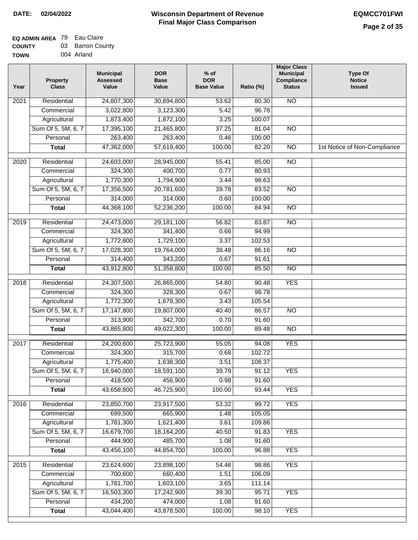| Year | <b>Property</b><br><b>Class</b> | <b>Municipal</b><br><b>Assessed</b><br>Value | <b>DOR</b><br><b>Base</b><br>Value | $%$ of<br><b>DOR</b><br><b>Base Value</b> | Ratio (%) | <b>Major Class</b><br><b>Municipal</b><br>Compliance<br><b>Status</b> | <b>Type Of</b><br><b>Notice</b><br><b>Issued</b> |
|------|---------------------------------|----------------------------------------------|------------------------------------|-------------------------------------------|-----------|-----------------------------------------------------------------------|--------------------------------------------------|
| 2021 | Residential                     | 24,807,300                                   | 30,894,800                         | 53.62                                     | 80.30     | <b>NO</b>                                                             |                                                  |
|      | Commercial                      | 3,022,800                                    | 3,123,300                          | $\overline{5.42}$                         | 96.78     |                                                                       |                                                  |
|      | Agricultural                    | 1,873,400                                    | 1,872,100                          | 3.25                                      | 100.07    |                                                                       |                                                  |
|      | Sum Of 5, 5M, 6, 7              | 17,395,100                                   | 21,465,800                         | 37.25                                     | 81.04     | $\overline{NO}$                                                       |                                                  |
|      | Personal                        | 263,400                                      | 263,400                            | 0.46                                      | 100.00    |                                                                       |                                                  |
|      | <b>Total</b>                    | 47,362,000                                   | 57,619,400                         | 100.00                                    | 82.20     | $\overline{NO}$                                                       | 1st Notice of Non-Compliance                     |
| 2020 | Residential                     | 24,603,000                                   | 28,945,000                         | 55.41                                     | 85.00     | $\overline{NO}$                                                       |                                                  |
|      | Commercial                      | 324,300                                      | 400,700                            | 0.77                                      | 80.93     |                                                                       |                                                  |
|      | Agricultural                    | 1,770,300                                    | 1,794,900                          | 3.44                                      | 98.63     |                                                                       |                                                  |
|      | Sum Of 5, 5M, 6, 7              | 17,356,500                                   | 20,781,600                         | 39.78                                     | 83.52     | $\overline{NO}$                                                       |                                                  |
|      | Personal                        | 314,000                                      | 314,000                            | 0.60                                      | 100.00    |                                                                       |                                                  |
|      | <b>Total</b>                    | 44,368,100                                   | 52,236,200                         | 100.00                                    | 84.94     | $\overline{NO}$                                                       |                                                  |
| 2019 | Residential                     | 24,473,000                                   | 29,181,100                         | 56.82                                     | 83.87     | $\overline{3}$                                                        |                                                  |
|      | Commercial                      | 324,300                                      | 341,400                            | 0.66                                      | 94.99     |                                                                       |                                                  |
|      | Agricultural                    | 1,772,800                                    | 1,729,100                          | 3.37                                      | 102.53    |                                                                       |                                                  |
|      | Sum Of 5, 5M, 6, 7              | 17,028,300                                   | 19,764,000                         | 38.48                                     | 86.16     | $\overline{NO}$                                                       |                                                  |
|      | Personal                        | 314,400                                      | 343,200                            | 0.67                                      | 91.61     |                                                                       |                                                  |
|      | <b>Total</b>                    | 43,912,800                                   | 51,358,800                         | 100.00                                    | 85.50     | $\overline{NO}$                                                       |                                                  |
| 2018 | Residential                     | 24,307,500                                   | 26,865,000                         | 54.80                                     | 90.48     | <b>YES</b>                                                            |                                                  |
|      | Commercial                      | 324,300                                      | 328,300                            | 0.67                                      | 98.78     |                                                                       |                                                  |
|      | Agricultural                    | 1,772,300                                    | 1,679,300                          | 3.43                                      | 105.54    |                                                                       |                                                  |
|      | Sum Of 5, 5M, 6, 7              | 17,147,800                                   | 19,807,000                         | 40.40                                     | 86.57     | $\overline{3}$                                                        |                                                  |
|      | Personal                        | 313,900                                      | 342,700                            | 0.70                                      | 91.60     |                                                                       |                                                  |
|      | <b>Total</b>                    | 43,865,800                                   | 49,022,300                         | 100.00                                    | 89.48     | <b>NO</b>                                                             |                                                  |
| 2017 | Residential                     | 24,200,600                                   | 25,723,900                         | 55.05                                     | 94.08     | <b>YES</b>                                                            |                                                  |
|      | Commercial                      | 324,300                                      | 315,700                            | 0.68                                      | 102.72    |                                                                       |                                                  |
|      | Agricultural                    | 1,775,400                                    | 1,638,300                          | 3.51                                      | 108.37    |                                                                       |                                                  |
|      | Sum Of 5, 5M, 6, 7              | 16,940,000                                   | 18,591,100                         | 39.79                                     | 91.12     | <b>YES</b>                                                            |                                                  |
|      | Personal                        | 418,500                                      | 456,900                            | 0.98                                      | 91.60     |                                                                       |                                                  |
|      | <b>Total</b>                    | 43,658,800                                   | 46,725,900                         | 100.00                                    | 93.44     | <b>YES</b>                                                            |                                                  |
| 2016 | Residential                     | 23,850,700                                   | 23,917,500                         | 53.32                                     | 99.72     | <b>YES</b>                                                            |                                                  |
|      | Commercial                      | 699,500                                      | 665,900                            | 1.48                                      | 105.05    |                                                                       |                                                  |
|      | Agricultural                    | 1,781,300                                    | 1,621,400                          | 3.61                                      | 109.86    |                                                                       |                                                  |
|      | Sum Of 5, 5M, 6, 7              | 16,679,700                                   | 18,164,200                         | 40.50                                     | 91.83     | <b>YES</b>                                                            |                                                  |
|      | Personal                        | 444,900                                      | 485,700                            | 1.08                                      | 91.60     |                                                                       |                                                  |
|      | <b>Total</b>                    | 43,456,100                                   | 44,854,700                         | 100.00                                    | 96.88     | <b>YES</b>                                                            |                                                  |
| 2015 | Residential                     | 23,624,600                                   | 23,898,100                         | 54.46                                     | 98.86     | <b>YES</b>                                                            |                                                  |
|      | Commercial                      | 700,600                                      | 660,400                            | 1.51                                      | 106.09    |                                                                       |                                                  |
|      | Agricultural                    | 1,781,700                                    | 1,603,100                          | 3.65                                      | 111.14    |                                                                       |                                                  |
|      | Sum Of 5, 5M, 6, 7              | 16,503,300                                   | 17,242,900                         | 39.30                                     | 95.71     | <b>YES</b>                                                            |                                                  |
|      | Personal                        | 434,200                                      | 474,000                            | 1.08                                      | 91.60     |                                                                       |                                                  |
|      | <b>Total</b>                    | 43,044,400                                   | 43,878,500                         | 100.00                                    | 98.10     | <b>YES</b>                                                            |                                                  |
|      |                                 |                                              |                                    |                                           |           |                                                                       |                                                  |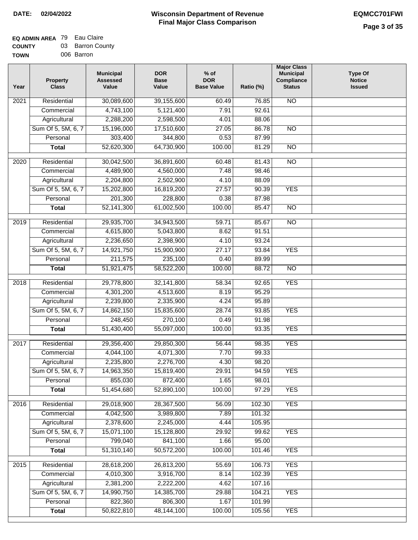#### **EQ ADMIN AREA** 79 Eau Claire **COUNTY TOWN** 03 Barron County 006 Barron

| Year             | <b>Property</b><br><b>Class</b> | <b>Municipal</b><br><b>Assessed</b><br>Value | <b>DOR</b><br><b>Base</b><br>Value | $%$ of<br><b>DOR</b><br><b>Base Value</b> | Ratio (%)      | <b>Major Class</b><br><b>Municipal</b><br>Compliance<br><b>Status</b> | <b>Type Of</b><br><b>Notice</b><br><b>Issued</b> |
|------------------|---------------------------------|----------------------------------------------|------------------------------------|-------------------------------------------|----------------|-----------------------------------------------------------------------|--------------------------------------------------|
| 2021             | Residential                     | 30,089,600                                   | 39,155,600                         | 60.49                                     | 76.85          | <b>NO</b>                                                             |                                                  |
|                  | Commercial                      | 4,743,100                                    | 5,121,400                          | 7.91                                      | 92.61          |                                                                       |                                                  |
|                  | Agricultural                    | 2,288,200                                    | 2,598,500                          | 4.01                                      | 88.06          |                                                                       |                                                  |
|                  | Sum Of 5, 5M, 6, 7              | 15,196,000                                   | 17,510,600                         | 27.05                                     | 86.78          | N <sub>O</sub>                                                        |                                                  |
|                  | Personal                        | 303,400                                      | 344,800                            | 0.53                                      | 87.99          |                                                                       |                                                  |
|                  | <b>Total</b>                    | 52,620,300                                   | 64,730,900                         | 100.00                                    | 81.29          | $\overline{NO}$                                                       |                                                  |
|                  |                                 |                                              |                                    |                                           |                | $\overline{NO}$                                                       |                                                  |
| 2020             | Residential                     | 30,042,500                                   | 36,891,600                         | 60.48                                     | 81.43          |                                                                       |                                                  |
|                  | Commercial                      | 4,489,900                                    | 4,560,000                          | 7.48                                      | 98.46          |                                                                       |                                                  |
|                  | Agricultural                    | 2,204,800                                    | 2,502,900                          | 4.10                                      | 88.09          |                                                                       |                                                  |
|                  | Sum Of 5, 5M, 6, 7<br>Personal  | 15,202,800<br>201,300                        | 16,819,200<br>228,800              | 27.57<br>0.38                             | 90.39<br>87.98 | <b>YES</b>                                                            |                                                  |
|                  |                                 | 52, 141, 300                                 | 61,002,500                         | 100.00                                    | 85.47          | $\overline{NO}$                                                       |                                                  |
|                  | <b>Total</b>                    |                                              |                                    |                                           |                |                                                                       |                                                  |
| $\frac{1}{2019}$ | Residential                     | 29,935,700                                   | 34,943,500                         | 59.71                                     | 85.67          | $\overline{NO}$                                                       |                                                  |
|                  | Commercial                      | 4,615,800                                    | 5,043,800                          | 8.62                                      | 91.51          |                                                                       |                                                  |
|                  | Agricultural                    | 2,236,650                                    | 2,398,900                          | 4.10                                      | 93.24          |                                                                       |                                                  |
|                  | Sum Of 5, 5M, 6, 7              | 14,921,750                                   | 15,900,900                         | 27.17                                     | 93.84          | <b>YES</b>                                                            |                                                  |
|                  | Personal                        | 211,575                                      | 235,100                            | 0.40                                      | 89.99          |                                                                       |                                                  |
|                  | <b>Total</b>                    | 51,921,475                                   | 58,522,200                         | 100.00                                    | 88.72          | $\overline{NO}$                                                       |                                                  |
| 2018             | Residential                     | 29,778,800                                   | 32,141,800                         | 58.34                                     | 92.65          | <b>YES</b>                                                            |                                                  |
|                  | Commercial                      | 4,301,200                                    | 4,513,600                          | 8.19                                      | 95.29          |                                                                       |                                                  |
|                  | Agricultural                    | 2,239,800                                    | 2,335,900                          | 4.24                                      | 95.89          |                                                                       |                                                  |
|                  | Sum Of 5, 5M, 6, 7              | 14,862,150                                   | 15,835,600                         | 28.74                                     | 93.85          | <b>YES</b>                                                            |                                                  |
|                  | Personal                        | 248,450                                      | 270,100                            | 0.49                                      | 91.98          |                                                                       |                                                  |
|                  | <b>Total</b>                    | 51,430,400                                   | 55,097,000                         | 100.00                                    | 93.35          | <b>YES</b>                                                            |                                                  |
| 2017             | Residential                     | 29,356,400                                   | 29,850,300                         | 56.44                                     | 98.35          | <b>YES</b>                                                            |                                                  |
|                  | Commercial                      | 4,044,100                                    | 4,071,300                          | 7.70                                      | 99.33          |                                                                       |                                                  |
|                  | Agricultural                    | 2,235,800                                    | 2,276,700                          | 4.30                                      | 98.20          |                                                                       |                                                  |
|                  | Sum Of 5, 5M, 6, 7              | 14,963,350                                   | 15,819,400                         | 29.91                                     | 94.59          | <b>YES</b>                                                            |                                                  |
|                  | Personal                        | 855,030                                      | 872,400                            | 1.65                                      | 98.01          |                                                                       |                                                  |
|                  | <b>Total</b>                    | 51,454,680                                   | 52,890,100                         | 100.00                                    | 97.29          | <b>YES</b>                                                            |                                                  |
| 2016             | Residential                     | 29,018,900                                   | 28,367,500                         | 56.09                                     | 102.30         | <b>YES</b>                                                            |                                                  |
|                  | Commercial                      | 4,042,500                                    | 3,989,800                          | 7.89                                      | 101.32         |                                                                       |                                                  |
|                  | Agricultural                    | 2,378,600                                    | 2,245,000                          | 4.44                                      | 105.95         |                                                                       |                                                  |
|                  | Sum Of 5, 5M, 6, 7              | 15,071,100                                   | 15,128,800                         | 29.92                                     | 99.62          | <b>YES</b>                                                            |                                                  |
|                  | Personal                        | 799,040                                      | 841,100                            | 1.66                                      | 95.00          |                                                                       |                                                  |
|                  | <b>Total</b>                    | 51,310,140                                   | 50,572,200                         | 100.00                                    | 101.46         | <b>YES</b>                                                            |                                                  |
| 2015             | Residential                     | 28,618,200                                   | 26,813,200                         | 55.69                                     | 106.73         | <b>YES</b>                                                            |                                                  |
|                  | Commercial                      | 4,010,300                                    | 3,916,700                          | 8.14                                      | 102.39         | <b>YES</b>                                                            |                                                  |
|                  | Agricultural                    | 2,381,200                                    | 2,222,200                          | 4.62                                      | 107.16         |                                                                       |                                                  |
|                  | Sum Of 5, 5M, 6, 7              | 14,990,750                                   | 14,385,700                         | 29.88                                     | 104.21         | <b>YES</b>                                                            |                                                  |
|                  | Personal                        | 822,360                                      | 806,300                            | 1.67                                      | 101.99         |                                                                       |                                                  |
|                  | <b>Total</b>                    | 50,822,810                                   | 48, 144, 100                       | 100.00                                    | 105.56         | <b>YES</b>                                                            |                                                  |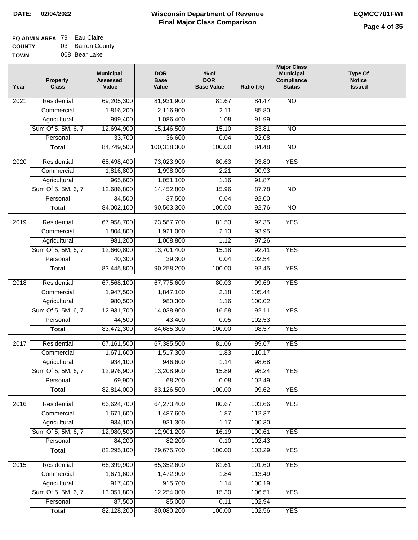## **EQ ADMIN AREA** 79 Eau Claire **COUNTY** 03 Barron County

**TOWN** 008 Bear Lake

| Year | <b>Property</b><br><b>Class</b> | <b>Municipal</b><br><b>Assessed</b><br>Value | <b>DOR</b><br><b>Base</b><br>Value | $%$ of<br><b>DOR</b><br><b>Base Value</b> | Ratio (%) | <b>Major Class</b><br><b>Municipal</b><br>Compliance<br><b>Status</b> | <b>Type Of</b><br><b>Notice</b><br><b>Issued</b> |
|------|---------------------------------|----------------------------------------------|------------------------------------|-------------------------------------------|-----------|-----------------------------------------------------------------------|--------------------------------------------------|
| 2021 | Residential                     | 69,205,300                                   | 81,931,900                         | 81.67                                     | 84.47     | <b>NO</b>                                                             |                                                  |
|      | Commercial                      | 1,816,200                                    | 2,116,900                          | 2.11                                      | 85.80     |                                                                       |                                                  |
|      | Agricultural                    | 999,400                                      | 1,086,400                          | 1.08                                      | 91.99     |                                                                       |                                                  |
|      | Sum Of 5, 5M, 6, 7              | 12,694,900                                   | 15,146,500                         | 15.10                                     | 83.81     | $\overline{NO}$                                                       |                                                  |
|      | Personal                        | 33,700                                       | 36,600                             | 0.04                                      | 92.08     |                                                                       |                                                  |
|      | <b>Total</b>                    | 84,749,500                                   | 100,318,300                        | 100.00                                    | 84.48     | $\overline{NO}$                                                       |                                                  |
| 2020 | Residential                     | 68,498,400                                   | 73,023,900                         | 80.63                                     | 93.80     | <b>YES</b>                                                            |                                                  |
|      | Commercial                      | 1,816,800                                    | 1,998,000                          | 2.21                                      | 90.93     |                                                                       |                                                  |
|      | Agricultural                    | 965,600                                      | 1,051,100                          | 1.16                                      | 91.87     |                                                                       |                                                  |
|      | Sum Of 5, 5M, 6, 7              | 12,686,800                                   | 14,452,800                         | 15.96                                     | 87.78     | $\overline{NO}$                                                       |                                                  |
|      | Personal                        | 34,500                                       | 37,500                             | 0.04                                      | 92.00     |                                                                       |                                                  |
|      | <b>Total</b>                    | 84,002,100                                   | 90,563,300                         | 100.00                                    | 92.76     | $\overline{NO}$                                                       |                                                  |
| 2019 | Residential                     | 67,958,700                                   | 73,587,700                         | 81.53                                     | 92.35     | <b>YES</b>                                                            |                                                  |
|      | Commercial                      | 1,804,800                                    | 1,921,000                          | 2.13                                      | 93.95     |                                                                       |                                                  |
|      | Agricultural                    | 981,200                                      | 1,008,800                          | 1.12                                      | 97.26     |                                                                       |                                                  |
|      | Sum Of 5, 5M, 6, 7              | 12,660,800                                   | 13,701,400                         | 15.18                                     | 92.41     | <b>YES</b>                                                            |                                                  |
|      | Personal                        | 40,300                                       | 39,300                             | 0.04                                      | 102.54    |                                                                       |                                                  |
|      | <b>Total</b>                    | 83,445,800                                   | 90,258,200                         | 100.00                                    | 92.45     | <b>YES</b>                                                            |                                                  |
|      |                                 |                                              |                                    |                                           |           |                                                                       |                                                  |
| 2018 | Residential                     | 67,568,100                                   | 67,775,600                         | 80.03                                     | 99.69     | <b>YES</b>                                                            |                                                  |
|      | Commercial                      | 1,947,500                                    | 1,847,100                          | 2.18                                      | 105.44    |                                                                       |                                                  |
|      | Agricultural                    | 980,500                                      | 980,300                            | 1.16                                      | 100.02    |                                                                       |                                                  |
|      | Sum Of 5, 5M, 6, 7              | 12,931,700                                   | 14,038,900                         | 16.58                                     | 92.11     | <b>YES</b>                                                            |                                                  |
|      | Personal                        | 44,500                                       | 43,400                             | 0.05                                      | 102.53    |                                                                       |                                                  |
|      | <b>Total</b>                    | 83,472,300                                   | 84,685,300                         | 100.00                                    | 98.57     | <b>YES</b>                                                            |                                                  |
| 2017 | Residential                     | 67,161,500                                   | 67,385,500                         | 81.06                                     | 99.67     | <b>YES</b>                                                            |                                                  |
|      | Commercial                      | 1,671,600                                    | 1,517,300                          | 1.83                                      | 110.17    |                                                                       |                                                  |
|      | Agricultural                    | 934,100                                      | 946,600                            | 1.14                                      | 98.68     |                                                                       |                                                  |
|      | Sum Of 5, 5M, 6, 7              | 12,976,900                                   | 13,208,900                         | 15.89                                     | 98.24     | <b>YES</b>                                                            |                                                  |
|      | Personal                        | 69,900                                       | 68,200                             | 0.08                                      | 102.49    |                                                                       |                                                  |
|      | <b>Total</b>                    | 82,814,000                                   | 83,126,500                         | 100.00                                    | 99.62     | <b>YES</b>                                                            |                                                  |
| 2016 | Residential                     | 66,624,700                                   | 64,273,400                         | 80.67                                     | 103.66    | <b>YES</b>                                                            |                                                  |
|      | Commercial                      | 1,671,600                                    | 1,487,600                          | 1.87                                      | 112.37    |                                                                       |                                                  |
|      | Agricultural                    | 934,100                                      | 931,300                            | 1.17                                      | 100.30    |                                                                       |                                                  |
|      | Sum Of 5, 5M, 6, 7              | 12,980,500                                   | 12,901,200                         | 16.19                                     | 100.61    | <b>YES</b>                                                            |                                                  |
|      | Personal                        | 84,200                                       | 82,200                             | 0.10                                      | 102.43    |                                                                       |                                                  |
|      | <b>Total</b>                    | 82,295,100                                   | 79,675,700                         | 100.00                                    | 103.29    | <b>YES</b>                                                            |                                                  |
| 2015 | Residential                     | 66,399,900                                   | 65,352,600                         | 81.61                                     | 101.60    | <b>YES</b>                                                            |                                                  |
|      | Commercial                      | 1,671,600                                    | 1,472,900                          | 1.84                                      | 113.49    |                                                                       |                                                  |
|      | Agricultural                    | 917,400                                      | 915,700                            | 1.14                                      | 100.19    |                                                                       |                                                  |
|      | Sum Of 5, 5M, 6, 7              | 13,051,800                                   | 12,254,000                         | 15.30                                     | 106.51    | <b>YES</b>                                                            |                                                  |
|      | Personal                        | 87,500                                       | 85,000                             | 0.11                                      | 102.94    |                                                                       |                                                  |
|      | <b>Total</b>                    | 82,128,200                                   | 80,080,200                         | 100.00                                    | 102.56    | <b>YES</b>                                                            |                                                  |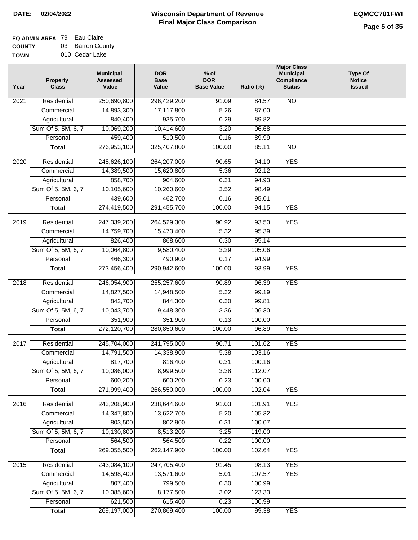## **EQ ADMIN AREA** 79 Eau Claire **COUNTY** 03 Barron County

**TOWN** 010 Cedar Lake

| Year              | <b>Property</b><br><b>Class</b> | <b>Municipal</b><br><b>Assessed</b><br>Value | <b>DOR</b><br>Base<br>Value | $%$ of<br><b>DOR</b><br><b>Base Value</b> | Ratio (%) | <b>Major Class</b><br><b>Municipal</b><br>Compliance<br><b>Status</b> | <b>Type Of</b><br><b>Notice</b><br><b>Issued</b> |
|-------------------|---------------------------------|----------------------------------------------|-----------------------------|-------------------------------------------|-----------|-----------------------------------------------------------------------|--------------------------------------------------|
| $\overline{202}1$ | Residential                     | 250,690,800                                  | 296,429,200                 | 91.09                                     | 84.57     | N <sub>O</sub>                                                        |                                                  |
|                   | Commercial                      | 14,893,300                                   | 17,117,800                  | 5.26                                      | 87.00     |                                                                       |                                                  |
|                   | Agricultural                    | 840,400                                      | 935,700                     | 0.29                                      | 89.82     |                                                                       |                                                  |
|                   | Sum Of 5, 5M, 6, 7              | 10,069,200                                   | 10,414,600                  | 3.20                                      | 96.68     |                                                                       |                                                  |
|                   | Personal                        | 459,400                                      | 510,500                     | 0.16                                      | 89.99     |                                                                       |                                                  |
|                   | <b>Total</b>                    | 276,953,100                                  | 325,407,800                 | 100.00                                    | 85.11     | $\overline{NO}$                                                       |                                                  |
| $\overline{2020}$ | Residential                     | 248,626,100                                  | 264,207,000                 | 90.65                                     | 94.10     | <b>YES</b>                                                            |                                                  |
|                   | Commercial                      | 14,389,500                                   | 15,620,800                  | 5.36                                      | 92.12     |                                                                       |                                                  |
|                   | Agricultural                    | 858,700                                      | 904,600                     | 0.31                                      | 94.93     |                                                                       |                                                  |
|                   | Sum Of 5, 5M, 6, 7              | 10,105,600                                   | 10,260,600                  | 3.52                                      | 98.49     |                                                                       |                                                  |
|                   | Personal                        | 439,600                                      | 462,700                     | 0.16                                      | 95.01     |                                                                       |                                                  |
|                   | <b>Total</b>                    | 274,419,500                                  | 291,455,700                 | 100.00                                    | 94.15     | <b>YES</b>                                                            |                                                  |
| 2019              | Residential                     | 247,339,200                                  | 264,529,300                 | 90.92                                     | 93.50     | <b>YES</b>                                                            |                                                  |
|                   | Commercial                      | 14,759,700                                   | 15,473,400                  | 5.32                                      | 95.39     |                                                                       |                                                  |
|                   | Agricultural                    | 826,400                                      | 868,600                     | 0.30                                      | 95.14     |                                                                       |                                                  |
|                   | Sum Of 5, 5M, 6, 7              | 10,064,800                                   | 9,580,400                   | 3.29                                      | 105.06    |                                                                       |                                                  |
|                   | Personal                        | 466,300                                      | 490,900                     | 0.17                                      | 94.99     |                                                                       |                                                  |
|                   | <b>Total</b>                    | 273,456,400                                  | 290,942,600                 | 100.00                                    | 93.99     | <b>YES</b>                                                            |                                                  |
|                   |                                 |                                              |                             |                                           |           |                                                                       |                                                  |
| 2018              | Residential                     | 246,054,900                                  | 255,257,600                 | 90.89                                     | 96.39     | <b>YES</b>                                                            |                                                  |
|                   | Commercial                      | 14,827,500                                   | 14,948,500                  | 5.32                                      | 99.19     |                                                                       |                                                  |
|                   | Agricultural                    | 842,700                                      | 844,300                     | 0.30                                      | 99.81     |                                                                       |                                                  |
|                   | Sum Of 5, 5M, 6, 7              | 10,043,700                                   | 9,448,300                   | 3.36                                      | 106.30    |                                                                       |                                                  |
|                   | Personal                        | 351,900                                      | 351,900                     | 0.13                                      | 100.00    |                                                                       |                                                  |
|                   | <b>Total</b>                    | 272,120,700                                  | 280,850,600                 | 100.00                                    | 96.89     | <b>YES</b>                                                            |                                                  |
| 2017              | Residential                     | 245,704,000                                  | 241,795,000                 | 90.71                                     | 101.62    | <b>YES</b>                                                            |                                                  |
|                   | Commercial                      | 14,791,500                                   | 14,338,900                  | 5.38                                      | 103.16    |                                                                       |                                                  |
|                   | Agricultural                    | 817,700                                      | 816,400                     | 0.31                                      | 100.16    |                                                                       |                                                  |
|                   | Sum Of 5, 5M, 6, 7              | 10,086,000                                   | 8,999,500                   | 3.38                                      | 112.07    |                                                                       |                                                  |
|                   | Personal                        | 600,200                                      | 600,200                     | 0.23                                      | 100.00    |                                                                       |                                                  |
|                   | <b>Total</b>                    | 271,999,400                                  | 266,550,000                 | 100.00                                    | 102.04    | <b>YES</b>                                                            |                                                  |
| 2016              | Residential                     | 243,208,900                                  | 238,644,600                 | 91.03                                     | 101.91    | <b>YES</b>                                                            |                                                  |
|                   | Commercial                      | 14,347,800                                   | 13,622,700                  | 5.20                                      | 105.32    |                                                                       |                                                  |
|                   | Agricultural                    | 803,500                                      | 802,900                     | 0.31                                      | 100.07    |                                                                       |                                                  |
|                   | Sum Of 5, 5M, 6, 7              | 10,130,800                                   | 8,513,200                   | 3.25                                      | 119.00    |                                                                       |                                                  |
|                   | Personal                        | 564,500                                      | 564,500                     | 0.22                                      | 100.00    |                                                                       |                                                  |
|                   | <b>Total</b>                    | 269,055,500                                  | 262,147,900                 | 100.00                                    | 102.64    | <b>YES</b>                                                            |                                                  |
| 2015              | Residential                     | 243,084,100                                  | 247,705,400                 | 91.45                                     | 98.13     | <b>YES</b>                                                            |                                                  |
|                   | Commercial                      | 14,598,400                                   | 13,571,600                  | 5.01                                      | 107.57    | <b>YES</b>                                                            |                                                  |
|                   | Agricultural                    | 807,400                                      | 799,500                     | 0.30                                      | 100.99    |                                                                       |                                                  |
|                   | Sum Of 5, 5M, 6, 7              | 10,085,600                                   | 8,177,500                   | 3.02                                      | 123.33    |                                                                       |                                                  |
|                   | Personal                        | 621,500                                      | 615,400                     | 0.23                                      | 100.99    |                                                                       |                                                  |
|                   | <b>Total</b>                    | 269,197,000                                  | 270,869,400                 | 100.00                                    | 99.38     | <b>YES</b>                                                            |                                                  |
|                   |                                 |                                              |                             |                                           |           |                                                                       |                                                  |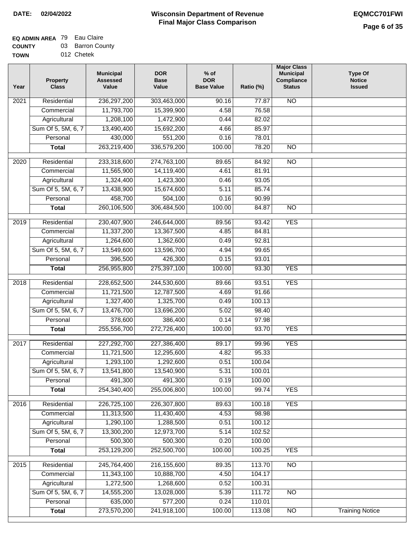### **EQ ADMIN AREA** 79 Eau Claire **COUNTY** 03 Barron County

**TOWN** 012 Chetek

| Year             | <b>Property</b><br><b>Class</b> | <b>Municipal</b><br><b>Assessed</b><br>Value | <b>DOR</b><br><b>Base</b><br>Value | $%$ of<br><b>DOR</b><br><b>Base Value</b> | Ratio (%) | <b>Major Class</b><br><b>Municipal</b><br>Compliance<br><b>Status</b> | <b>Type Of</b><br><b>Notice</b><br><b>Issued</b> |
|------------------|---------------------------------|----------------------------------------------|------------------------------------|-------------------------------------------|-----------|-----------------------------------------------------------------------|--------------------------------------------------|
| 2021             | Residential                     | 236,297,200                                  | 303,463,000                        | 90.16                                     | 77.87     | N <sub>O</sub>                                                        |                                                  |
|                  | Commercial                      | 11,793,700                                   | 15,399,900                         | 4.58                                      | 76.58     |                                                                       |                                                  |
|                  | Agricultural                    | 1,208,100                                    | 1,472,900                          | 0.44                                      | 82.02     |                                                                       |                                                  |
|                  | Sum Of 5, 5M, 6, 7              | 13,490,400                                   | 15,692,200                         | 4.66                                      | 85.97     |                                                                       |                                                  |
|                  | Personal                        | 430,000                                      | 551,200                            | 0.16                                      | 78.01     |                                                                       |                                                  |
|                  | <b>Total</b>                    | 263,219,400                                  | 336,579,200                        | 100.00                                    | 78.20     | $\overline{NO}$                                                       |                                                  |
| $\frac{1}{2020}$ | Residential                     | 233,318,600                                  | 274,763,100                        | 89.65                                     | 84.92     | $\overline{10}$                                                       |                                                  |
|                  | Commercial                      | 11,565,900                                   | 14,119,400                         | 4.61                                      | 81.91     |                                                                       |                                                  |
|                  | Agricultural                    | 1,324,400                                    | 1,423,300                          | 0.46                                      | 93.05     |                                                                       |                                                  |
|                  | Sum Of 5, 5M, 6, 7              | 13,438,900                                   | 15,674,600                         | 5.11                                      | 85.74     |                                                                       |                                                  |
|                  | Personal                        | 458,700                                      | 504,100                            | 0.16                                      | 90.99     |                                                                       |                                                  |
|                  | <b>Total</b>                    | 260,106,500                                  | 306,484,500                        | 100.00                                    | 84.87     | $\overline{NO}$                                                       |                                                  |
|                  |                                 |                                              |                                    |                                           |           |                                                                       |                                                  |
| 2019             | Residential                     | 230,407,900                                  | 246,644,000                        | 89.56                                     | 93.42     | <b>YES</b>                                                            |                                                  |
|                  | Commercial                      | 11,337,200                                   | 13,367,500                         | 4.85                                      | 84.81     |                                                                       |                                                  |
|                  | Agricultural                    | 1,264,600                                    | 1,362,600                          | 0.49                                      | 92.81     |                                                                       |                                                  |
|                  | Sum Of 5, 5M, 6, 7              | 13,549,600                                   | 13,596,700                         | 4.94                                      | 99.65     |                                                                       |                                                  |
|                  | Personal                        | 396,500                                      | 426,300                            | 0.15                                      | 93.01     |                                                                       |                                                  |
|                  | <b>Total</b>                    | 256,955,800                                  | 275,397,100                        | 100.00                                    | 93.30     | <b>YES</b>                                                            |                                                  |
| 2018             | Residential                     | 228,652,500                                  | 244,530,600                        | 89.66                                     | 93.51     | <b>YES</b>                                                            |                                                  |
|                  | Commercial                      | 11,721,500                                   | 12,787,500                         | 4.69                                      | 91.66     |                                                                       |                                                  |
|                  | Agricultural                    | 1,327,400                                    | 1,325,700                          | 0.49                                      | 100.13    |                                                                       |                                                  |
|                  | Sum Of 5, 5M, 6, 7              | 13,476,700                                   | 13,696,200                         | 5.02                                      | 98.40     |                                                                       |                                                  |
|                  | Personal                        | 378,600                                      | 386,400                            | 0.14                                      | 97.98     |                                                                       |                                                  |
|                  | <b>Total</b>                    | 255,556,700                                  | 272,726,400                        | 100.00                                    | 93.70     | <b>YES</b>                                                            |                                                  |
| 2017             | Residential                     | 227,292,700                                  | 227,386,400                        | 89.17                                     | 99.96     | <b>YES</b>                                                            |                                                  |
|                  | Commercial                      | 11,721,500                                   | 12,295,600                         | 4.82                                      | 95.33     |                                                                       |                                                  |
|                  | Agricultural                    | 1,293,100                                    | 1,292,600                          | 0.51                                      | 100.04    |                                                                       |                                                  |
|                  | Sum Of 5, 5M, 6, 7              | 13,541,800                                   | 13,540,900                         | 5.31                                      | 100.01    |                                                                       |                                                  |
|                  | Personal                        | 491,300                                      | 491,300                            | 0.19                                      | 100.00    |                                                                       |                                                  |
|                  | <b>Total</b>                    | 254,340,400                                  | 255,006,800                        | 100.00                                    | 99.74     | <b>YES</b>                                                            |                                                  |
| 2016             | Residential                     | 226,725,100                                  | 226,307,800                        | 89.63                                     | 100.18    | <b>YES</b>                                                            |                                                  |
|                  | Commercial                      | 11,313,500                                   | 11,430,400                         | 4.53                                      | 98.98     |                                                                       |                                                  |
|                  | Agricultural                    | 1,290,100                                    | 1,288,500                          | 0.51                                      | 100.12    |                                                                       |                                                  |
|                  | Sum Of 5, 5M, 6, 7              | 13,300,200                                   | 12,973,700                         | 5.14                                      | 102.52    |                                                                       |                                                  |
|                  | Personal                        | 500,300                                      | 500,300                            | 0.20                                      | 100.00    |                                                                       |                                                  |
|                  | <b>Total</b>                    | 253,129,200                                  | 252,500,700                        | 100.00                                    | 100.25    | <b>YES</b>                                                            |                                                  |
| 2015             | Residential                     | 245,764,400                                  | 216, 155, 600                      | 89.35                                     | 113.70    | <b>NO</b>                                                             |                                                  |
|                  | Commercial                      | 11,343,100                                   | 10,888,700                         | 4.50                                      | 104.17    |                                                                       |                                                  |
|                  | Agricultural                    | 1,272,500                                    | 1,268,600                          | 0.52                                      | 100.31    |                                                                       |                                                  |
|                  | Sum Of 5, 5M, 6, 7              | 14,555,200                                   | 13,028,000                         | 5.39                                      | 111.72    | <b>NO</b>                                                             |                                                  |
|                  | Personal                        | 635,000                                      | 577,200                            | 0.24                                      | 110.01    |                                                                       |                                                  |
|                  | <b>Total</b>                    | 273,570,200                                  | 241,918,100                        | 100.00                                    | 113.08    | N <sub>O</sub>                                                        | <b>Training Notice</b>                           |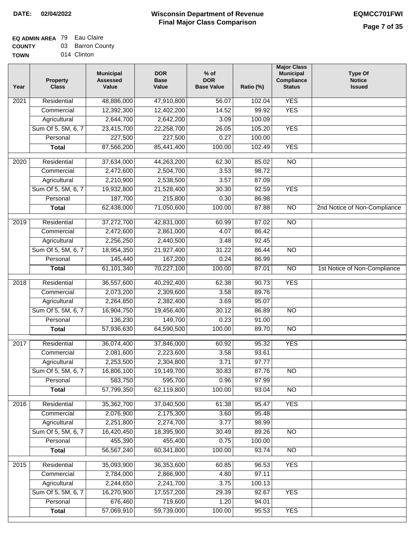| <b>UUUILI</b> | ີ | טטטווטוו    |
|---------------|---|-------------|
| <b>TOWN</b>   |   | 014 Clinton |

| Year | <b>Property</b><br><b>Class</b> | <b>Municipal</b><br><b>Assessed</b><br>Value | <b>DOR</b><br><b>Base</b><br>Value | $%$ of<br><b>DOR</b><br><b>Base Value</b> | Ratio (%) | <b>Major Class</b><br><b>Municipal</b><br>Compliance<br><b>Status</b> | <b>Type Of</b><br><b>Notice</b><br><b>Issued</b> |
|------|---------------------------------|----------------------------------------------|------------------------------------|-------------------------------------------|-----------|-----------------------------------------------------------------------|--------------------------------------------------|
| 2021 | Residential                     | 48,886,000                                   | 47,910,800                         | 56.07                                     | 102.04    | <b>YES</b>                                                            |                                                  |
|      | Commercial                      | 12,392,300                                   | 12,402,200                         | 14.52                                     | 99.92     | <b>YES</b>                                                            |                                                  |
|      | Agricultural                    | 2,644,700                                    | 2,642,200                          | 3.09                                      | 100.09    |                                                                       |                                                  |
|      | Sum Of 5, 5M, 6, 7              | 23,415,700                                   | 22,258,700                         | 26.05                                     | 105.20    | <b>YES</b>                                                            |                                                  |
|      | Personal                        | 227,500                                      | 227,500                            | 0.27                                      | 100.00    |                                                                       |                                                  |
|      | <b>Total</b>                    | 87,566,200                                   | 85,441,400                         | 100.00                                    | 102.49    | <b>YES</b>                                                            |                                                  |
| 2020 | Residential                     | 37,634,000                                   | 44,263,200                         | 62.30                                     | 85.02     | $\overline{NO}$                                                       |                                                  |
|      | Commercial                      | 2,472,600                                    | 2,504,700                          | 3.53                                      | 98.72     |                                                                       |                                                  |
|      | Agricultural                    | 2,210,900                                    | 2,538,500                          | 3.57                                      | 87.09     |                                                                       |                                                  |
|      | Sum Of 5, 5M, 6, 7              | 19,932,800                                   | 21,528,400                         | 30.30                                     | 92.59     | <b>YES</b>                                                            |                                                  |
|      | Personal                        | 187,700                                      | 215,800                            | 0.30                                      | 86.98     |                                                                       |                                                  |
|      | <b>Total</b>                    | 62,438,000                                   | 71,050,600                         | 100.00                                    | 87.88     | $\overline{NO}$                                                       | 2nd Notice of Non-Compliance                     |
| 2019 | Residential                     | 37,272,700                                   | 42,831,000                         | 60.99                                     | 87.02     | $\overline{10}$                                                       |                                                  |
|      | Commercial                      | 2,472,600                                    | 2,861,000                          | 4.07                                      | 86.42     |                                                                       |                                                  |
|      | Agricultural                    | 2,256,250                                    | 2,440,500                          | 3.48                                      | 92.45     |                                                                       |                                                  |
|      | Sum Of 5, 5M, 6, 7              | 18,954,350                                   | 21,927,400                         | 31.22                                     | 86.44     | $\overline{N}$                                                        |                                                  |
|      | Personal                        | 145,440                                      | 167,200                            | 0.24                                      | 86.99     |                                                                       |                                                  |
|      | <b>Total</b>                    | 61,101,340                                   | 70,227,100                         | 100.00                                    | 87.01     | $\overline{NO}$                                                       | 1st Notice of Non-Compliance                     |
|      |                                 |                                              |                                    |                                           |           |                                                                       |                                                  |
| 2018 | Residential                     | 36,557,600                                   | 40,292,400                         | 62.38                                     | 90.73     | <b>YES</b>                                                            |                                                  |
|      | Commercial                      | 2,073,200                                    | 2,309,600                          | 3.58                                      | 89.76     |                                                                       |                                                  |
|      | Agricultural                    | 2,264,850                                    | 2,382,400                          | 3.69                                      | 95.07     |                                                                       |                                                  |
|      | Sum Of 5, 5M, 6, 7              | 16,904,750                                   | 19,456,400                         | 30.12                                     | 86.89     | <b>NO</b>                                                             |                                                  |
|      | Personal                        | 136,230                                      | 149,700                            | 0.23                                      | 91.00     |                                                                       |                                                  |
|      | <b>Total</b>                    | 57,936,630                                   | 64,590,500                         | 100.00                                    | 89.70     | <b>NO</b>                                                             |                                                  |
| 2017 | Residential                     | 36,074,400                                   | 37,846,000                         | 60.92                                     | 95.32     | <b>YES</b>                                                            |                                                  |
|      | Commercial                      | 2,081,600                                    | 2,223,600                          | 3.58                                      | 93.61     |                                                                       |                                                  |
|      | Agricultural                    | 2,253,500                                    | 2,304,800                          | 3.71                                      | 97.77     |                                                                       |                                                  |
|      | Sum Of 5, 5M, 6, 7              | 16,806,100                                   | 19,149,700                         | 30.83                                     | 87.76     | <b>NO</b>                                                             |                                                  |
|      | Personal                        | 583,750                                      | 595,700                            | 0.96                                      | 97.99     |                                                                       |                                                  |
|      | <b>Total</b>                    | 57,799,350                                   | 62,119,800                         | 100.00                                    | 93.04     | $\overline{3}$                                                        |                                                  |
| 2016 | Residential                     | 35,362,700                                   | 37,040,500                         | 61.38                                     | 95.47     | <b>YES</b>                                                            |                                                  |
|      | Commercial                      | 2,076,900                                    | 2,175,300                          | 3.60                                      | 95.48     |                                                                       |                                                  |
|      | Agricultural                    | 2,251,800                                    | 2,274,700                          | 3.77                                      | 98.99     |                                                                       |                                                  |
|      | Sum Of 5, 5M, 6, 7              | 16,420,450                                   | 18,395,900                         | 30.49                                     | 89.26     | $\overline{NO}$                                                       |                                                  |
|      | Personal                        | 455,390                                      | 455,400                            | 0.75                                      | 100.00    |                                                                       |                                                  |
|      | <b>Total</b>                    | 56,567,240                                   | 60,341,800                         | 100.00                                    | 93.74     | $\overline{NO}$                                                       |                                                  |
| 2015 | Residential                     | 35,093,900                                   | 36,353,600                         | 60.85                                     | 96.53     | <b>YES</b>                                                            |                                                  |
|      | Commercial                      | 2,784,000                                    | 2,866,900                          | 4.80                                      | 97.11     |                                                                       |                                                  |
|      | Agricultural                    | 2,244,650                                    | 2,241,700                          | 3.75                                      | 100.13    |                                                                       |                                                  |
|      | Sum Of 5, 5M, 6, 7              | 16,270,900                                   | 17,557,200                         | 29.39                                     | 92.67     | <b>YES</b>                                                            |                                                  |
|      | Personal                        | 676,460                                      | 719,600                            | 1.20                                      | 94.01     |                                                                       |                                                  |
|      | <b>Total</b>                    | 57,069,910                                   | 59,739,000                         | 100.00                                    | 95.53     | <b>YES</b>                                                            |                                                  |
|      |                                 |                                              |                                    |                                           |           |                                                                       |                                                  |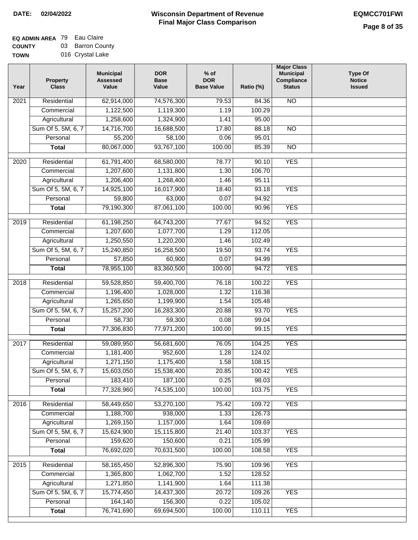## **EQ ADMIN AREA** 79 Eau Claire **COUNTY** 03 Barron County

**TOWN** 016 Crystal Lake

| Year              | <b>Property</b><br><b>Class</b> | <b>Municipal</b><br><b>Assessed</b><br>Value | <b>DOR</b><br><b>Base</b><br>Value | $%$ of<br><b>DOR</b><br><b>Base Value</b> | Ratio (%) | <b>Major Class</b><br><b>Municipal</b><br>Compliance<br><b>Status</b> | <b>Type Of</b><br><b>Notice</b><br><b>Issued</b> |
|-------------------|---------------------------------|----------------------------------------------|------------------------------------|-------------------------------------------|-----------|-----------------------------------------------------------------------|--------------------------------------------------|
| $\overline{202}1$ | Residential                     | 62,914,000                                   | 74,576,300                         | 79.53                                     | 84.36     | N <sub>O</sub>                                                        |                                                  |
|                   | Commercial                      | 1,122,500                                    | 1,119,300                          | 1.19                                      | 100.29    |                                                                       |                                                  |
|                   | Agricultural                    | 1,258,600                                    | 1,324,900                          | 1.41                                      | 95.00     |                                                                       |                                                  |
|                   | Sum Of 5, 5M, 6, 7              | 14,716,700                                   | 16,688,500                         | 17.80                                     | 88.18     | $\overline{NO}$                                                       |                                                  |
|                   | Personal                        | 55,200                                       | 58,100                             | 0.06                                      | 95.01     |                                                                       |                                                  |
|                   | <b>Total</b>                    | 80,067,000                                   | 93,767,100                         | 100.00                                    | 85.39     | $\overline{NO}$                                                       |                                                  |
| $\overline{2020}$ | Residential                     | 61,791,400                                   | 68,580,000                         | 78.77                                     | 90.10     | <b>YES</b>                                                            |                                                  |
|                   | Commercial                      | 1,207,600                                    | 1,131,800                          | 1.30                                      | 106.70    |                                                                       |                                                  |
|                   | Agricultural                    | 1,206,400                                    | 1,268,400                          | 1.46                                      | 95.11     |                                                                       |                                                  |
|                   | Sum Of 5, 5M, 6, 7              | 14,925,100                                   | 16,017,900                         | 18.40                                     | 93.18     | <b>YES</b>                                                            |                                                  |
|                   | Personal                        | 59,800                                       | 63,000                             | 0.07                                      | 94.92     |                                                                       |                                                  |
|                   | <b>Total</b>                    | 79,190,300                                   | 87,061,100                         | 100.00                                    | 90.96     | <b>YES</b>                                                            |                                                  |
|                   |                                 |                                              |                                    |                                           |           |                                                                       |                                                  |
| 2019              | Residential                     | 61,198,250                                   | 64,743,200                         | 77.67                                     | 94.52     | <b>YES</b>                                                            |                                                  |
|                   | Commercial                      | 1,207,600                                    | 1,077,700                          | 1.29                                      | 112.05    |                                                                       |                                                  |
|                   | Agricultural                    | 1,250,550                                    | 1,220,200                          | 1.46                                      | 102.49    |                                                                       |                                                  |
|                   | Sum Of 5, 5M, 6, 7              | 15,240,850                                   | 16,258,500                         | 19.50                                     | 93.74     | <b>YES</b>                                                            |                                                  |
|                   | Personal                        | 57,850                                       | 60,900                             | 0.07                                      | 94.99     |                                                                       |                                                  |
|                   | <b>Total</b>                    | 78,955,100                                   | 83,360,500                         | 100.00                                    | 94.72     | <b>YES</b>                                                            |                                                  |
| 2018              | Residential                     | 59,528,850                                   | 59,400,700                         | 76.18                                     | 100.22    | <b>YES</b>                                                            |                                                  |
|                   | Commercial                      | 1,196,400                                    | 1,028,000                          | 1.32                                      | 116.38    |                                                                       |                                                  |
|                   | Agricultural                    | 1,265,650                                    | 1,199,900                          | 1.54                                      | 105.48    |                                                                       |                                                  |
|                   | Sum Of 5, 5M, 6, 7              | 15,257,200                                   | 16,283,300                         | 20.88                                     | 93.70     | <b>YES</b>                                                            |                                                  |
|                   | Personal                        | 58,730                                       | 59,300                             | 0.08                                      | 99.04     |                                                                       |                                                  |
|                   | <b>Total</b>                    | 77,306,830                                   | 77,971,200                         | 100.00                                    | 99.15     | <b>YES</b>                                                            |                                                  |
| $\overline{2017}$ | Residential                     | 59,089,950                                   | 56,681,600                         | 76.05                                     | 104.25    | <b>YES</b>                                                            |                                                  |
|                   | Commercial                      | 1,181,400                                    | 952,600                            | 1.28                                      | 124.02    |                                                                       |                                                  |
|                   | Agricultural                    | 1,271,150                                    | 1,175,400                          | 1.58                                      | 108.15    |                                                                       |                                                  |
|                   | Sum Of 5, 5M, 6, 7              | 15,603,050                                   | 15,538,400                         | 20.85                                     | 100.42    | <b>YES</b>                                                            |                                                  |
|                   | Personal                        | 183,410                                      | 187,100                            | 0.25                                      | 98.03     |                                                                       |                                                  |
|                   | <b>Total</b>                    | 77,328,960                                   | 74,535,100                         | 100.00                                    | 103.75    | <b>YES</b>                                                            |                                                  |
| 2016              | Residential                     | 58,449,650                                   | 53,270,100                         | 75.42                                     | 109.72    | <b>YES</b>                                                            |                                                  |
|                   | Commercial                      | 1,188,700                                    | 938,000                            | 1.33                                      | 126.73    |                                                                       |                                                  |
|                   | Agricultural                    | 1,269,150                                    | 1,157,000                          | 1.64                                      | 109.69    |                                                                       |                                                  |
|                   | Sum Of 5, 5M, 6, 7              | 15,624,900                                   | 15,115,800                         | 21.40                                     | 103.37    | <b>YES</b>                                                            |                                                  |
|                   | Personal                        | 159,620                                      | 150,600                            | 0.21                                      | 105.99    |                                                                       |                                                  |
|                   | <b>Total</b>                    | 76,692,020                                   | 70,631,500                         | 100.00                                    | 108.58    | <b>YES</b>                                                            |                                                  |
|                   |                                 |                                              |                                    |                                           |           |                                                                       |                                                  |
| 2015              | Residential                     | 58,165,450                                   | 52,896,300                         | 75.90                                     | 109.96    | <b>YES</b>                                                            |                                                  |
|                   | Commercial                      | 1,365,800                                    | 1,062,700                          | 1.52                                      | 128.52    |                                                                       |                                                  |
|                   | Agricultural                    | 1,271,850                                    | 1,141,900                          | 1.64                                      | 111.38    |                                                                       |                                                  |
|                   | Sum Of 5, 5M, 6, 7<br>Personal  | 15,774,450<br>164,140                        | 14,437,300                         | 20.72<br>0.22                             | 109.26    | <b>YES</b>                                                            |                                                  |
|                   |                                 |                                              | 156,300<br>69,694,500              | 100.00                                    | 105.02    | <b>YES</b>                                                            |                                                  |
|                   | <b>Total</b>                    | 76,741,690                                   |                                    |                                           | 110.11    |                                                                       |                                                  |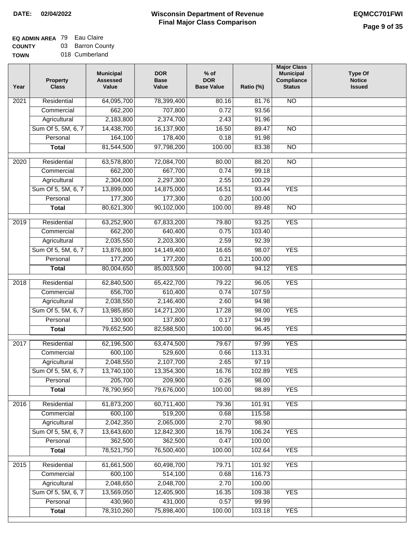## **EQ ADMIN AREA** 79 Eau Claire **COUNTY** 03 Barron County

**TOWN** 018 Cumberland

| Year              | <b>Property</b><br><b>Class</b> | <b>Municipal</b><br><b>Assessed</b><br>Value | <b>DOR</b><br><b>Base</b><br>Value | % of<br><b>DOR</b><br><b>Base Value</b> | Ratio (%)       | <b>Major Class</b><br><b>Municipal</b><br>Compliance<br><b>Status</b> | <b>Type Of</b><br><b>Notice</b><br><b>Issued</b> |
|-------------------|---------------------------------|----------------------------------------------|------------------------------------|-----------------------------------------|-----------------|-----------------------------------------------------------------------|--------------------------------------------------|
| $\overline{202}1$ | Residential                     | 64,095,700                                   | 78,399,400                         | 80.16                                   | 81.76           | N <sub>O</sub>                                                        |                                                  |
|                   | Commercial                      | 662,200                                      | 707,800                            | 0.72                                    | 93.56           |                                                                       |                                                  |
|                   | Agricultural                    | 2,183,800                                    | 2,374,700                          | 2.43                                    | 91.96           |                                                                       |                                                  |
|                   | Sum Of 5, 5M, 6, 7              | 14,438,700                                   | 16,137,900                         | 16.50                                   | 89.47           | $\overline{NO}$                                                       |                                                  |
|                   | Personal                        | 164,100                                      | 178,400                            | 0.18                                    | 91.98           |                                                                       |                                                  |
|                   | <b>Total</b>                    | 81,544,500                                   | 97,798,200                         | 100.00                                  | 83.38           | $\overline{NO}$                                                       |                                                  |
| 2020              | Residential                     | 63,578,800                                   | 72,084,700                         | 80.00                                   | 88.20           | $\overline{NO}$                                                       |                                                  |
|                   | Commercial                      | 662,200                                      | 667,700                            | 0.74                                    | 99.18           |                                                                       |                                                  |
|                   | Agricultural                    | 2,304,000                                    | 2,297,300                          | 2.55                                    | 100.29          |                                                                       |                                                  |
|                   | Sum Of 5, 5M, 6, 7              | 13,899,000                                   | 14,875,000                         | 16.51                                   | 93.44           | <b>YES</b>                                                            |                                                  |
|                   | Personal                        | 177,300                                      | 177,300                            | 0.20                                    | 100.00          |                                                                       |                                                  |
|                   | <b>Total</b>                    | 80,621,300                                   | 90,102,000                         | 100.00                                  | 89.48           | $\overline{NO}$                                                       |                                                  |
| 2019              | Residential                     | 63,252,900                                   | 67,833,200                         | 79.80                                   | 93.25           | <b>YES</b>                                                            |                                                  |
|                   | Commercial                      | 662,200                                      | 640,400                            | 0.75                                    | 103.40          |                                                                       |                                                  |
|                   | Agricultural                    | 2,035,550                                    | 2,203,300                          | 2.59                                    | 92.39           |                                                                       |                                                  |
|                   | Sum Of 5, 5M, 6, 7              | 13,876,800                                   | 14,149,400                         | 16.65                                   | 98.07           | <b>YES</b>                                                            |                                                  |
|                   | Personal                        | 177,200                                      | 177,200                            | 0.21                                    | 100.00          |                                                                       |                                                  |
|                   | <b>Total</b>                    | 80,004,650                                   | 85,003,500                         | 100.00                                  | 94.12           | <b>YES</b>                                                            |                                                  |
|                   |                                 |                                              |                                    |                                         |                 | <b>YES</b>                                                            |                                                  |
| 2018              | Residential<br>Commercial       | 62,840,500<br>656,700                        | 65,422,700<br>610,400              | 79.22<br>0.74                           | 96.05<br>107.59 |                                                                       |                                                  |
|                   | Agricultural                    | 2,038,550                                    | 2,146,400                          | 2.60                                    | 94.98           |                                                                       |                                                  |
|                   | Sum Of 5, 5M, 6, 7              | 13,985,850                                   | 14,271,200                         | 17.28                                   | 98.00           | <b>YES</b>                                                            |                                                  |
|                   | Personal                        | 130,900                                      | 137,800                            | 0.17                                    | 94.99           |                                                                       |                                                  |
|                   | <b>Total</b>                    | 79,652,500                                   | 82,588,500                         | 100.00                                  | 96.45           | <b>YES</b>                                                            |                                                  |
|                   |                                 |                                              |                                    |                                         |                 |                                                                       |                                                  |
| 2017              | Residential                     | 62,196,500                                   | 63,474,500                         | 79.67                                   | 97.99           | <b>YES</b>                                                            |                                                  |
|                   | Commercial                      | 600,100                                      | 529,600                            | 0.66                                    | 113.31          |                                                                       |                                                  |
|                   | Agricultural                    | 2,048,550                                    | 2,107,700                          | 2.65                                    | 97.19           |                                                                       |                                                  |
|                   | Sum Of 5, 5M, 6, 7              | 13,740,100                                   | 13,354,300                         | 16.76                                   | 102.89          | <b>YES</b>                                                            |                                                  |
|                   | Personal                        | 205,700                                      | 209,900                            | 0.26                                    | 98.00           |                                                                       |                                                  |
|                   | <b>Total</b>                    | 78,790,950                                   | 79,676,000                         | 100.00                                  | 98.89           | <b>YES</b>                                                            |                                                  |
| 2016              | Residential                     | 61,873,200                                   | 60,711,400                         | 79.36                                   | 101.91          | <b>YES</b>                                                            |                                                  |
|                   | Commercial                      | 600,100                                      | 519,200                            | 0.68                                    | 115.58          |                                                                       |                                                  |
|                   | Agricultural                    | 2,042,350                                    | 2,065,000                          | 2.70                                    | 98.90           |                                                                       |                                                  |
|                   | Sum Of 5, 5M, 6, 7              | 13,643,600                                   | 12,842,300                         | 16.79                                   | 106.24          | <b>YES</b>                                                            |                                                  |
|                   | Personal                        | 362,500                                      | 362,500                            | 0.47                                    | 100.00          |                                                                       |                                                  |
|                   | <b>Total</b>                    | 78,521,750                                   | 76,500,400                         | 100.00                                  | 102.64          | <b>YES</b>                                                            |                                                  |
| 2015              | Residential                     | 61,661,500                                   | 60,498,700                         | 79.71                                   | 101.92          | <b>YES</b>                                                            |                                                  |
|                   | Commercial                      | 600,100                                      | 514,100                            | 0.68                                    | 116.73          |                                                                       |                                                  |
|                   | Agricultural                    | 2,048,650                                    | 2,048,700                          | 2.70                                    | 100.00          |                                                                       |                                                  |
|                   | Sum Of 5, 5M, 6, 7              | 13,569,050                                   | 12,405,900                         | 16.35                                   | 109.38          | <b>YES</b>                                                            |                                                  |
|                   | Personal                        | 430,960                                      | 431,000                            | 0.57                                    | 99.99           |                                                                       |                                                  |
|                   | <b>Total</b>                    | 78,310,260                                   | 75,898,400                         | 100.00                                  | 103.18          | <b>YES</b>                                                            |                                                  |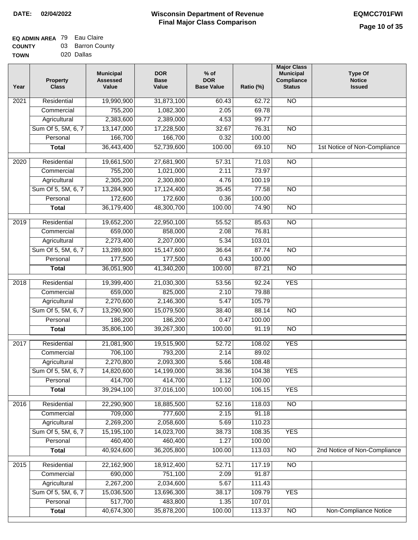| <b>UUUILI</b> | ີ<br>סט ווטוווט |
|---------------|-----------------|
| <b>TOWN</b>   | 020 Dallas      |

| Year | <b>Property</b><br><b>Class</b> | <b>Municipal</b><br><b>Assessed</b><br>Value | <b>DOR</b><br><b>Base</b><br>Value | $%$ of<br><b>DOR</b><br><b>Base Value</b> | Ratio (%) | <b>Major Class</b><br><b>Municipal</b><br>Compliance<br><b>Status</b> | <b>Type Of</b><br><b>Notice</b><br><b>Issued</b> |
|------|---------------------------------|----------------------------------------------|------------------------------------|-------------------------------------------|-----------|-----------------------------------------------------------------------|--------------------------------------------------|
| 2021 | Residential                     | 19,990,900                                   | 31,873,100                         | 60.43                                     | 62.72     | $\overline{NO}$                                                       |                                                  |
|      | Commercial                      | 755,200                                      | 1,082,300                          | 2.05                                      | 69.78     |                                                                       |                                                  |
|      | Agricultural                    | 2,383,600                                    | 2,389,000                          | 4.53                                      | 99.77     |                                                                       |                                                  |
|      | Sum Of 5, 5M, 6, 7              | 13,147,000                                   | 17,228,500                         | 32.67                                     | 76.31     | $\overline{NO}$                                                       |                                                  |
|      | Personal                        | 166,700                                      | 166,700                            | 0.32                                      | 100.00    |                                                                       |                                                  |
|      | <b>Total</b>                    | 36,443,400                                   | 52,739,600                         | 100.00                                    | 69.10     | $\overline{NO}$                                                       | 1st Notice of Non-Compliance                     |
| 2020 | Residential                     | 19,661,500                                   | 27,681,900                         | 57.31                                     | 71.03     | NO                                                                    |                                                  |
|      | Commercial                      | 755,200                                      | 1,021,000                          | 2.11                                      | 73.97     |                                                                       |                                                  |
|      | Agricultural                    | 2,305,200                                    | 2,300,800                          | 4.76                                      | 100.19    |                                                                       |                                                  |
|      | Sum Of 5, 5M, 6, 7              | 13,284,900                                   | 17,124,400                         | 35.45                                     | 77.58     | $\overline{NO}$                                                       |                                                  |
|      | Personal                        | 172,600                                      | 172,600                            | 0.36                                      | 100.00    |                                                                       |                                                  |
|      | <b>Total</b>                    | 36,179,400                                   | 48,300,700                         | 100.00                                    | 74.90     | $\overline{NO}$                                                       |                                                  |
| 2019 | Residential                     | 19,652,200                                   | 22,950,100                         | 55.52                                     | 85.63     | $\overline{NO}$                                                       |                                                  |
|      | Commercial                      | 659,000                                      | 858,000                            | 2.08                                      | 76.81     |                                                                       |                                                  |
|      | Agricultural                    | 2,273,400                                    | 2,207,000                          | 5.34                                      | 103.01    |                                                                       |                                                  |
|      | Sum Of 5, 5M, 6, 7              | 13,289,800                                   | 15,147,600                         | 36.64                                     | 87.74     | $\overline{NO}$                                                       |                                                  |
|      | Personal                        | 177,500                                      | 177,500                            | 0.43                                      | 100.00    |                                                                       |                                                  |
|      | <b>Total</b>                    | 36,051,900                                   | 41,340,200                         | 100.00                                    | 87.21     | <b>NO</b>                                                             |                                                  |
| 2018 | Residential                     | 19,399,400                                   | 21,030,300                         | 53.56                                     | 92.24     | <b>YES</b>                                                            |                                                  |
|      | Commercial                      | 659,000                                      | 825,000                            | 2.10                                      | 79.88     |                                                                       |                                                  |
|      | Agricultural                    | 2,270,600                                    | 2,146,300                          | 5.47                                      | 105.79    |                                                                       |                                                  |
|      | Sum Of 5, 5M, 6, 7              | 13,290,900                                   | 15,079,500                         | 38.40                                     | 88.14     | <b>NO</b>                                                             |                                                  |
|      | Personal                        | 186,200                                      | 186,200                            | 0.47                                      | 100.00    |                                                                       |                                                  |
|      | <b>Total</b>                    | 35,806,100                                   | 39,267,300                         | 100.00                                    | 91.19     | $\overline{NO}$                                                       |                                                  |
|      |                                 |                                              |                                    |                                           |           |                                                                       |                                                  |
| 2017 | Residential                     | 21,081,900                                   | 19,515,900                         | 52.72                                     | 108.02    | <b>YES</b>                                                            |                                                  |
|      | Commercial                      | 706,100                                      | 793,200                            | 2.14                                      | 89.02     |                                                                       |                                                  |
|      | Agricultural                    | 2,270,800                                    | 2,093,300                          | 5.66                                      | 108.48    |                                                                       |                                                  |
|      | Sum Of 5, 5M, 6, 7              | 14,820,600                                   | 14,199,000                         | 38.36                                     | 104.38    | <b>YES</b>                                                            |                                                  |
|      | Personal                        | 414,700                                      | 414,700                            | 1.12                                      | 100.00    |                                                                       |                                                  |
|      | <b>Total</b>                    | 39,294,100                                   | 37,016,100                         | 100.00                                    | 106.15    | <b>YES</b>                                                            |                                                  |
| 2016 | Residential                     | 22,290,900                                   | 18,885,500                         | 52.16                                     | 118.03    | $\overline{NO}$                                                       |                                                  |
|      | Commercial                      | 709,000                                      | 777,600                            | 2.15                                      | 91.18     |                                                                       |                                                  |
|      | Agricultural                    | 2,269,200                                    | 2,058,600                          | 5.69                                      | 110.23    |                                                                       |                                                  |
|      | Sum Of 5, 5M, 6, 7              | 15,195,100                                   | 14,023,700                         | 38.73                                     | 108.35    | <b>YES</b>                                                            |                                                  |
|      | Personal                        | 460,400                                      | 460,400                            | 1.27                                      | 100.00    |                                                                       |                                                  |
|      | <b>Total</b>                    | 40,924,600                                   | 36,205,800                         | 100.00                                    | 113.03    | N <sub>O</sub>                                                        | 2nd Notice of Non-Compliance                     |
| 2015 | Residential                     | 22,162,900                                   | 18,912,400                         | 52.71                                     | 117.19    | $\overline{NO}$                                                       |                                                  |
|      | Commercial                      | 690,000                                      | 751,100                            | 2.09                                      | 91.87     |                                                                       |                                                  |
|      | Agricultural                    | 2,267,200                                    | 2,034,600                          | 5.67                                      | 111.43    |                                                                       |                                                  |
|      | Sum Of 5, 5M, 6, 7              | 15,036,500                                   | 13,696,300                         | 38.17                                     | 109.79    | <b>YES</b>                                                            |                                                  |
|      | Personal                        | 517,700                                      | 483,800                            | 1.35                                      | 107.01    |                                                                       |                                                  |
|      | <b>Total</b>                    | 40,674,300                                   | 35,878,200                         | 100.00                                    | 113.37    | $\overline{NO}$                                                       | Non-Compliance Notice                            |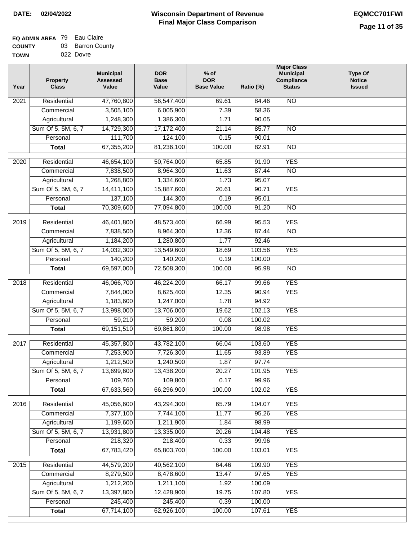## **Wisconsin Department of Revenue Final Major Class Comparison DATE: 02/04/2022 EQMCC701FWI**

## **EQ ADMIN AREA** 79 Eau Claire **COUNTY** 03 Barron County

| <b>000011</b> | --- | _______   |  |
|---------------|-----|-----------|--|
| <b>TOWN</b>   |     | 022 Dovre |  |

| Year | <b>Property</b><br><b>Class</b> | <b>Municipal</b><br><b>Assessed</b><br>Value | <b>DOR</b><br><b>Base</b><br>Value | $%$ of<br><b>DOR</b><br><b>Base Value</b> | Ratio (%)        | <b>Major Class</b><br><b>Municipal</b><br>Compliance<br><b>Status</b> | <b>Type Of</b><br><b>Notice</b><br><b>Issued</b> |
|------|---------------------------------|----------------------------------------------|------------------------------------|-------------------------------------------|------------------|-----------------------------------------------------------------------|--------------------------------------------------|
| 2021 | Residential                     | 47,760,800                                   | 56,547,400                         | 69.61                                     | 84.46            | N <sub>O</sub>                                                        |                                                  |
|      | Commercial                      | 3,505,100                                    | 6,005,900                          | 7.39                                      | 58.36            |                                                                       |                                                  |
|      | Agricultural                    | 1,248,300                                    | 1,386,300                          | 1.71                                      | 90.05            |                                                                       |                                                  |
|      | Sum Of 5, 5M, 6, 7              | 14,729,300                                   | 17,172,400                         | 21.14                                     | 85.77            | $\overline{NO}$                                                       |                                                  |
|      | Personal                        | 111,700                                      | 124,100                            | 0.15                                      | 90.01            |                                                                       |                                                  |
|      | <b>Total</b>                    | 67,355,200                                   | 81,236,100                         | 100.00                                    | 82.91            | $\overline{NO}$                                                       |                                                  |
| 2020 | Residential                     | 46,654,100                                   | 50,764,000                         | 65.85                                     | 91.90            | <b>YES</b>                                                            |                                                  |
|      | Commercial                      | 7,838,500                                    | 8,964,300                          | 11.63                                     | 87.44            | $\overline{NO}$                                                       |                                                  |
|      | Agricultural                    | 1,268,800                                    | 1,334,600                          | 1.73                                      | 95.07            |                                                                       |                                                  |
|      | Sum Of 5, 5M, 6, 7              | 14,411,100                                   | 15,887,600                         | 20.61                                     | 90.71            | <b>YES</b>                                                            |                                                  |
|      | Personal                        | 137,100                                      | 144,300                            | 0.19                                      | 95.01            |                                                                       |                                                  |
|      | <b>Total</b>                    | 70,309,600                                   | 77,094,800                         | 100.00                                    | 91.20            | $\overline{NO}$                                                       |                                                  |
| 2019 | Residential                     | 46,401,800                                   | 48,573,400                         | 66.99                                     | 95.53            | <b>YES</b>                                                            |                                                  |
|      | Commercial                      | 7,838,500                                    | 8,964,300                          | 12.36                                     | 87.44            | $\overline{NO}$                                                       |                                                  |
|      | Agricultural                    | 1,184,200                                    | 1,280,800                          | 1.77                                      | 92.46            |                                                                       |                                                  |
|      | Sum Of 5, 5M, 6, 7              | 14,032,300                                   | 13,549,600                         | 18.69                                     | 103.56           | <b>YES</b>                                                            |                                                  |
|      | Personal                        | 140,200                                      | 140,200                            | 0.19                                      | 100.00           |                                                                       |                                                  |
|      | <b>Total</b>                    | 69,597,000                                   | 72,508,300                         | 100.00                                    | 95.98            | $\overline{NO}$                                                       |                                                  |
|      |                                 |                                              |                                    |                                           |                  |                                                                       |                                                  |
| 2018 | Residential                     | 46,066,700                                   | 46,224,200                         | 66.17                                     | 99.66            | <b>YES</b>                                                            |                                                  |
|      | Commercial                      | 7,844,000                                    | 8,625,400                          | 12.35                                     | 90.94            | <b>YES</b>                                                            |                                                  |
|      | Agricultural                    | 1,183,600                                    | 1,247,000                          | 1.78                                      | 94.92            | <b>YES</b>                                                            |                                                  |
|      | Sum Of 5, 5M, 6, 7<br>Personal  | 13,998,000<br>59,210                         | 13,706,000<br>59,200               | 19.62<br>0.08                             | 102.13<br>100.02 |                                                                       |                                                  |
|      | <b>Total</b>                    | 69, 151, 510                                 | 69,861,800                         | 100.00                                    | 98.98            | <b>YES</b>                                                            |                                                  |
|      |                                 |                                              |                                    |                                           |                  |                                                                       |                                                  |
| 2017 | Residential                     | 45,357,800                                   | 43,782,100                         | 66.04                                     | 103.60           | <b>YES</b>                                                            |                                                  |
|      | Commercial                      | 7,253,900                                    | 7,726,300                          | 11.65                                     | 93.89            | <b>YES</b>                                                            |                                                  |
|      | Agricultural                    | 1,212,500                                    | 1,240,500                          | 1.87                                      | 97.74            |                                                                       |                                                  |
|      | Sum Of 5, 5M, 6, 7              | 13,699,600                                   | 13,438,200                         | 20.27                                     | 101.95           | <b>YES</b>                                                            |                                                  |
|      | Personal                        | 109,760                                      | 109,800                            | 0.17                                      | 99.96            |                                                                       |                                                  |
|      | <b>Total</b>                    | 67,633,560                                   | 66,296,900                         | 100.00                                    | 102.02           | <b>YES</b>                                                            |                                                  |
| 2016 | Residential                     | 45,056,600                                   | 43,294,300                         | 65.79                                     | 104.07           | <b>YES</b>                                                            |                                                  |
|      | Commercial                      | 7,377,100                                    | 7,744,100                          | 11.77                                     | 95.26            | <b>YES</b>                                                            |                                                  |
|      | Agricultural                    | 1,199,600                                    | 1,211,900                          | 1.84                                      | 98.99            |                                                                       |                                                  |
|      | Sum Of 5, 5M, 6, 7              | 13,931,800                                   | 13,335,000                         | 20.26                                     | 104.48           | <b>YES</b>                                                            |                                                  |
|      | Personal                        | 218,320                                      | 218,400                            | 0.33                                      | 99.96            |                                                                       |                                                  |
|      | <b>Total</b>                    | 67,783,420                                   | 65,803,700                         | 100.00                                    | 103.01           | <b>YES</b>                                                            |                                                  |
| 2015 | Residential                     | 44,579,200                                   | 40,562,100                         | 64.46                                     | 109.90           | <b>YES</b>                                                            |                                                  |
|      | Commercial                      | 8,279,500                                    | 8,478,600                          | 13.47                                     | 97.65            | <b>YES</b>                                                            |                                                  |
|      | Agricultural                    | 1,212,200                                    | 1,211,100                          | 1.92                                      | 100.09           |                                                                       |                                                  |
|      | Sum Of 5, 5M, 6, 7              | 13,397,800                                   | 12,428,900                         | 19.75                                     | 107.80           | <b>YES</b>                                                            |                                                  |
|      | Personal                        | 245,400                                      | 245,400                            | 0.39                                      | 100.00           |                                                                       |                                                  |
|      | <b>Total</b>                    | 67,714,100                                   | 62,926,100                         | 100.00                                    | 107.61           | <b>YES</b>                                                            |                                                  |
|      |                                 |                                              |                                    |                                           |                  |                                                                       |                                                  |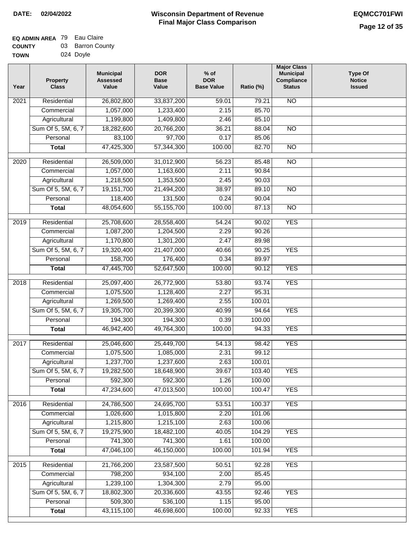| ------      |           |  |
|-------------|-----------|--|
| <b>TOWN</b> | 024 Doyle |  |

| Year             | <b>Property</b><br><b>Class</b>    | <b>Municipal</b><br><b>Assessed</b><br>Value | <b>DOR</b><br><b>Base</b><br>Value | $%$ of<br><b>DOR</b><br><b>Base Value</b> | Ratio (%)        | <b>Major Class</b><br><b>Municipal</b><br>Compliance<br><b>Status</b> | <b>Type Of</b><br><b>Notice</b><br><b>Issued</b> |
|------------------|------------------------------------|----------------------------------------------|------------------------------------|-------------------------------------------|------------------|-----------------------------------------------------------------------|--------------------------------------------------|
| 2021             | Residential                        | 26,802,800                                   | 33,837,200                         | 59.01                                     | 79.21            | N <sub>O</sub>                                                        |                                                  |
|                  | Commercial                         | 1,057,000                                    | 1,233,400                          | 2.15                                      | 85.70            |                                                                       |                                                  |
|                  | Agricultural                       | 1,199,800                                    | 1,409,800                          | 2.46                                      | 85.10            |                                                                       |                                                  |
|                  | Sum Of 5, 5M, 6, 7                 | 18,282,600                                   | 20,766,200                         | 36.21                                     | 88.04            | $\overline{NO}$                                                       |                                                  |
|                  | Personal                           | 83,100                                       | 97,700                             | 0.17                                      | 85.06            |                                                                       |                                                  |
|                  | <b>Total</b>                       | 47,425,300                                   | 57,344,300                         | 100.00                                    | 82.70            | $\overline{NO}$                                                       |                                                  |
| $\frac{1}{2020}$ | Residential                        | 26,509,000                                   | 31,012,900                         | 56.23                                     | 85.48            | $\overline{NO}$                                                       |                                                  |
|                  | Commercial                         | 1,057,000                                    | 1,163,600                          | 2.11                                      | 90.84            |                                                                       |                                                  |
|                  | Agricultural                       | 1,218,500                                    | 1,353,500                          | 2.45                                      | 90.03            |                                                                       |                                                  |
|                  | Sum Of 5, 5M, 6, 7                 | 19,151,700                                   | 21,494,200                         | 38.97                                     | 89.10            | $\overline{NO}$                                                       |                                                  |
|                  | Personal                           | 118,400                                      | 131,500                            | 0.24                                      | 90.04            |                                                                       |                                                  |
|                  | <b>Total</b>                       | 48,054,600                                   | 55,155,700                         | 100.00                                    | 87.13            | $\overline{NO}$                                                       |                                                  |
|                  |                                    |                                              |                                    |                                           |                  |                                                                       |                                                  |
| $\frac{1}{2019}$ | Residential                        | 25,708,600                                   | 28,558,400                         | 54.24                                     | 90.02            | <b>YES</b>                                                            |                                                  |
|                  | Commercial                         | 1,087,200                                    | 1,204,500                          | 2.29                                      | 90.26            |                                                                       |                                                  |
|                  | Agricultural                       | 1,170,800                                    | 1,301,200                          | 2.47                                      | 89.98            |                                                                       |                                                  |
|                  | Sum Of 5, 5M, 6, 7                 | 19,320,400                                   | 21,407,000                         | 40.66                                     | 90.25            | <b>YES</b>                                                            |                                                  |
|                  | Personal                           | 158,700                                      | 176,400                            | 0.34                                      | 89.97            |                                                                       |                                                  |
|                  | <b>Total</b>                       | 47,445,700                                   | 52,647,500                         | 100.00                                    | 90.12            | <b>YES</b>                                                            |                                                  |
| 2018             | Residential                        | 25,097,400                                   | 26,772,900                         | 53.80                                     | 93.74            | <b>YES</b>                                                            |                                                  |
|                  | Commercial                         | 1,075,500                                    | 1,128,400                          | 2.27                                      | 95.31            |                                                                       |                                                  |
|                  | Agricultural                       | 1,269,500                                    | 1,269,400                          | 2.55                                      | 100.01           |                                                                       |                                                  |
|                  | Sum Of 5, 5M, 6, 7                 | 19,305,700                                   | 20,399,300                         | 40.99                                     | 94.64            | <b>YES</b>                                                            |                                                  |
|                  | Personal                           | 194,300                                      | 194,300                            | 0.39                                      | 100.00           |                                                                       |                                                  |
|                  | <b>Total</b>                       | 46,942,400                                   | 49,764,300                         | 100.00                                    | 94.33            | <b>YES</b>                                                            |                                                  |
| 2017             | Residential                        | 25,046,600                                   | 25,449,700                         | 54.13                                     | 98.42            | <b>YES</b>                                                            |                                                  |
|                  | Commercial                         | 1,075,500                                    | 1,085,000                          | 2.31                                      | 99.12            |                                                                       |                                                  |
|                  | Agricultural                       | 1,237,700                                    | 1,237,600                          | 2.63                                      | 100.01           |                                                                       |                                                  |
|                  | Sum Of 5, 5M, 6, 7                 | 19,282,500                                   | 18,648,900                         | 39.67                                     | 103.40           | <b>YES</b>                                                            |                                                  |
|                  | Personal                           | 592,300                                      | 592,300                            | 1.26                                      | 100.00           |                                                                       |                                                  |
|                  | <b>Total</b>                       | 47,234,600                                   | 47,013,500                         | 100.00                                    | 100.47           | <b>YES</b>                                                            |                                                  |
|                  | Residential                        |                                              |                                    | 53.51                                     | 100.37           | <b>YES</b>                                                            |                                                  |
| 2016             | Commercial                         | 24,786,500<br>1,026,600                      | 24,695,700<br>1,015,800            | 2.20                                      | 101.06           |                                                                       |                                                  |
|                  |                                    |                                              |                                    |                                           |                  |                                                                       |                                                  |
|                  | Agricultural<br>Sum Of 5, 5M, 6, 7 | 1,215,800<br>19,275,900                      | 1,215,100<br>18,482,100            | 2.63<br>40.05                             | 100.06<br>104.29 | <b>YES</b>                                                            |                                                  |
|                  | Personal                           | 741,300                                      | 741,300                            | 1.61                                      | 100.00           |                                                                       |                                                  |
|                  | <b>Total</b>                       | 47,046,100                                   | 46,150,000                         | 100.00                                    | 101.94           | <b>YES</b>                                                            |                                                  |
|                  |                                    |                                              |                                    |                                           |                  |                                                                       |                                                  |
| 2015             | Residential                        | 21,766,200                                   | 23,587,500                         | 50.51                                     | 92.28            | <b>YES</b>                                                            |                                                  |
|                  | Commercial                         | 798,200                                      | 934,100                            | 2.00                                      | 85.45            |                                                                       |                                                  |
|                  | Agricultural                       | 1,239,100                                    | 1,304,300                          | 2.79                                      | 95.00            |                                                                       |                                                  |
|                  | Sum Of 5, 5M, 6, 7                 | 18,802,300                                   | 20,336,600                         | 43.55                                     | 92.46            | <b>YES</b>                                                            |                                                  |
|                  | Personal                           | 509,300                                      | 536,100                            | 1.15                                      | 95.00            |                                                                       |                                                  |
|                  | <b>Total</b>                       | 43,115,100                                   | 46,698,600                         | 100.00                                    | 92.33            | <b>YES</b>                                                            |                                                  |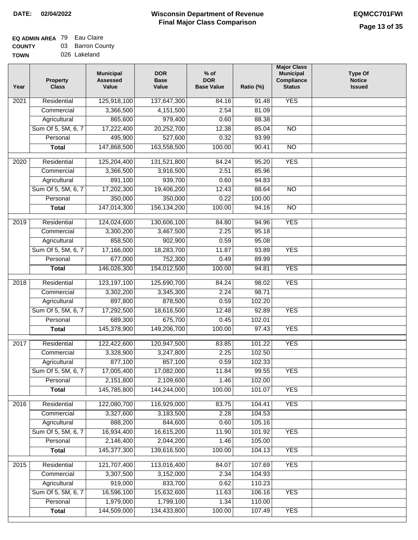| <b>TOWN</b> | 026 Lakeland |
|-------------|--------------|
|             |              |

| Year              | <b>Property</b><br><b>Class</b> | <b>Municipal</b><br><b>Assessed</b><br>Value | <b>DOR</b><br><b>Base</b><br>Value | % of<br><b>DOR</b><br><b>Base Value</b> | Ratio (%) | <b>Major Class</b><br><b>Municipal</b><br>Compliance<br><b>Status</b> | <b>Type Of</b><br><b>Notice</b><br><b>Issued</b> |
|-------------------|---------------------------------|----------------------------------------------|------------------------------------|-----------------------------------------|-----------|-----------------------------------------------------------------------|--------------------------------------------------|
| $\overline{202}1$ | Residential                     | 125,918,100                                  | 137,647,300                        | 84.16                                   | 91.48     | <b>YES</b>                                                            |                                                  |
|                   | Commercial                      | 3,366,500                                    | 4,151,500                          | 2.54                                    | 81.09     |                                                                       |                                                  |
|                   | Agricultural                    | 865,600                                      | 979,400                            | 0.60                                    | 88.38     |                                                                       |                                                  |
|                   | Sum Of 5, 5M, 6, 7              | 17,222,400                                   | 20,252,700                         | 12.38                                   | 85.04     | $\overline{NO}$                                                       |                                                  |
|                   | Personal                        | 495,900                                      | 527,600                            | 0.32                                    | 93.99     |                                                                       |                                                  |
|                   | <b>Total</b>                    | 147,868,500                                  | 163,558,500                        | 100.00                                  | 90.41     | $\overline{NO}$                                                       |                                                  |
| $\overline{2020}$ | Residential                     | 125,204,400                                  | 131,521,800                        | 84.24                                   | 95.20     | <b>YES</b>                                                            |                                                  |
|                   | Commercial                      | 3,366,500                                    | 3,916,500                          | 2.51                                    | 85.96     |                                                                       |                                                  |
|                   | Agricultural                    | 891,100                                      | 939,700                            | 0.60                                    | 94.83     |                                                                       |                                                  |
|                   | Sum Of 5, 5M, 6, 7              | 17,202,300                                   | 19,406,200                         | 12.43                                   | 88.64     | $\overline{NO}$                                                       |                                                  |
|                   | Personal                        | 350,000                                      | 350,000                            | 0.22                                    | 100.00    |                                                                       |                                                  |
|                   | <b>Total</b>                    | 147,014,300                                  | 156, 134, 200                      | 100.00                                  | 94.16     | $\overline{NO}$                                                       |                                                  |
| 2019              | Residential                     | 124,024,600                                  | 130,606,100                        | 84.80                                   | 94.96     | <b>YES</b>                                                            |                                                  |
|                   | Commercial                      | 3,300,200                                    | 3,467,500                          | 2.25                                    | 95.18     |                                                                       |                                                  |
|                   | Agricultural                    | 858,500                                      | 902,900                            | 0.59                                    | 95.08     |                                                                       |                                                  |
|                   | Sum Of 5, 5M, 6, 7              | 17,166,000                                   | 18,283,700                         | 11.87                                   | 93.89     | <b>YES</b>                                                            |                                                  |
|                   | Personal                        | 677,000                                      | 752,300                            | 0.49                                    | 89.99     |                                                                       |                                                  |
|                   | <b>Total</b>                    | 146,026,300                                  | 154,012,500                        | 100.00                                  | 94.81     | <b>YES</b>                                                            |                                                  |
| 2018              | Residential                     | 123, 197, 100                                | 125,690,700                        | 84.24                                   | 98.02     | <b>YES</b>                                                            |                                                  |
|                   | Commercial                      | 3,302,200                                    | 3,345,300                          | 2.24                                    | 98.71     |                                                                       |                                                  |
|                   | Agricultural                    | 897,800                                      | 878,500                            | 0.59                                    | 102.20    |                                                                       |                                                  |
|                   | Sum Of 5, 5M, 6, 7              | 17,292,500                                   | 18,616,500                         | 12.48                                   | 92.89     | <b>YES</b>                                                            |                                                  |
|                   | Personal                        | 689,300                                      | 675,700                            | 0.45                                    | 102.01    |                                                                       |                                                  |
|                   | <b>Total</b>                    | 145,378,900                                  | 149,206,700                        | 100.00                                  | 97.43     | <b>YES</b>                                                            |                                                  |
| $\overline{2017}$ | Residential                     | 122,422,600                                  | 120,947,500                        | 83.85                                   | 101.22    | <b>YES</b>                                                            |                                                  |
|                   | Commercial                      | 3,328,900                                    | 3,247,800                          | 2.25                                    | 102.50    |                                                                       |                                                  |
|                   | Agricultural                    | 877,100                                      | 857,100                            | 0.59                                    | 102.33    |                                                                       |                                                  |
|                   | Sum Of 5, 5M, 6, 7              | 17,005,400                                   | 17,082,000                         | 11.84                                   | 99.55     | <b>YES</b>                                                            |                                                  |
|                   | Personal                        | 2,151,800                                    | 2,109,600                          | 1.46                                    | 102.00    |                                                                       |                                                  |
|                   | <b>Total</b>                    | 145,785,800                                  | 144,244,000                        | 100.00                                  | 101.07    | <b>YES</b>                                                            |                                                  |
| 2016              | Residential                     | 122,080,700                                  | 116,929,000                        | 83.75                                   | 104.41    | <b>YES</b>                                                            |                                                  |
|                   | Commercial                      | 3,327,600                                    | 3,183,500                          | 2.28                                    | 104.53    |                                                                       |                                                  |
|                   | Agricultural                    | 888,200                                      | 844,600                            | 0.60                                    | 105.16    |                                                                       |                                                  |
|                   | Sum Of 5, 5M, 6, 7              | 16,934,400                                   | 16,615,200                         | 11.90                                   | 101.92    | <b>YES</b>                                                            |                                                  |
|                   | Personal                        | 2,146,400                                    | 2,044,200                          | 1.46                                    | 105.00    |                                                                       |                                                  |
|                   | <b>Total</b>                    | 145,377,300                                  | 139,616,500                        | 100.00                                  | 104.13    | <b>YES</b>                                                            |                                                  |
| 2015              | Residential                     | 121,707,400                                  | 113,016,400                        | 84.07                                   | 107.69    | <b>YES</b>                                                            |                                                  |
|                   | Commercial                      | 3,307,500                                    | 3,152,000                          | 2.34                                    | 104.93    |                                                                       |                                                  |
|                   | Agricultural                    | 919,000                                      | 833,700                            | 0.62                                    | 110.23    |                                                                       |                                                  |
|                   | Sum Of 5, 5M, 6, 7              | 16,596,100                                   | 15,632,600                         | 11.63                                   | 106.16    | <b>YES</b>                                                            |                                                  |
|                   | Personal                        | 1,979,000                                    | 1,799,100                          | 1.34                                    | 110.00    |                                                                       |                                                  |
|                   | <b>Total</b>                    | 144,509,000                                  | 134,433,800                        | 100.00                                  | 107.49    | <b>YES</b>                                                            |                                                  |
|                   |                                 |                                              |                                    |                                         |           |                                                                       |                                                  |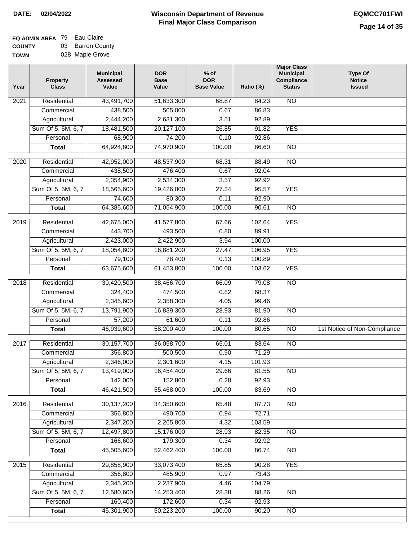## **EQ ADMIN AREA** 79 Eau Claire **COUNTY** 03 Barron County

**TOWN** 028 Maple Grove

| Year              | <b>Property</b><br><b>Class</b> | <b>Municipal</b><br><b>Assessed</b><br>Value | <b>DOR</b><br><b>Base</b><br>Value | % of<br><b>DOR</b><br><b>Base Value</b> | Ratio (%) | <b>Major Class</b><br><b>Municipal</b><br>Compliance<br><b>Status</b> | <b>Type Of</b><br><b>Notice</b><br><b>Issued</b> |
|-------------------|---------------------------------|----------------------------------------------|------------------------------------|-----------------------------------------|-----------|-----------------------------------------------------------------------|--------------------------------------------------|
| 2021              | Residential                     | 43,491,700                                   | 51,633,300                         | 68.87                                   | 84.23     | N <sub>O</sub>                                                        |                                                  |
|                   | Commercial                      | 438,500                                      | 505,000                            | 0.67                                    | 86.83     |                                                                       |                                                  |
|                   | Agricultural                    | 2,444,200                                    | 2,631,300                          | 3.51                                    | 92.89     |                                                                       |                                                  |
|                   | Sum Of 5, 5M, 6, 7              | 18,481,500                                   | 20,127,100                         | 26.85                                   | 91.82     | <b>YES</b>                                                            |                                                  |
|                   | Personal                        | 68,900                                       | 74,200                             | 0.10                                    | 92.86     |                                                                       |                                                  |
|                   | <b>Total</b>                    | 64,924,800                                   | 74,970,900                         | 100.00                                  | 86.60     | $\overline{NO}$                                                       |                                                  |
| $\overline{2020}$ | Residential                     | 42,952,000                                   | 48,537,900                         | 68.31                                   | 88.49     | $\overline{10}$                                                       |                                                  |
|                   | Commercial                      | 438,500                                      | 476,400                            | 0.67                                    | 92.04     |                                                                       |                                                  |
|                   | Agricultural                    | 2,354,900                                    | 2,534,300                          | 3.57                                    | 92.92     |                                                                       |                                                  |
|                   | Sum Of 5, 5M, 6, 7              | 18,565,600                                   | 19,426,000                         | 27.34                                   | 95.57     | <b>YES</b>                                                            |                                                  |
|                   | Personal                        | 74,600                                       | 80,300                             | 0.11                                    | 92.90     |                                                                       |                                                  |
|                   | <b>Total</b>                    | 64,385,600                                   | 71,054,900                         | 100.00                                  | 90.61     | $\overline{NO}$                                                       |                                                  |
| 2019              | Residential                     | 42,675,000                                   | 41,577,800                         | 67.66                                   | 102.64    | <b>YES</b>                                                            |                                                  |
|                   | Commercial                      | 443,700                                      | 493,500                            | 0.80                                    | 89.91     |                                                                       |                                                  |
|                   | Agricultural                    | 2,423,000                                    | 2,422,900                          | 3.94                                    | 100.00    |                                                                       |                                                  |
|                   | Sum Of 5, 5M, 6, 7              | 18,054,800                                   | 16,881,200                         | 27.47                                   | 106.95    | <b>YES</b>                                                            |                                                  |
|                   | Personal                        | 79,100                                       | 78,400                             | 0.13                                    | 100.89    |                                                                       |                                                  |
|                   | <b>Total</b>                    | 63,675,600                                   | 61,453,800                         | 100.00                                  | 103.62    | <b>YES</b>                                                            |                                                  |
| 2018              | Residential                     | 30,420,500                                   | 38,466,700                         | 66.09                                   | 79.08     | $\overline{NO}$                                                       |                                                  |
|                   | Commercial                      | 324,400                                      | 474,500                            | 0.82                                    | 68.37     |                                                                       |                                                  |
|                   | Agricultural                    | 2,345,600                                    | 2,358,300                          | 4.05                                    | 99.46     |                                                                       |                                                  |
|                   | Sum Of 5, 5M, 6, 7              | 13,791,900                                   | 16,839,300                         | 28.93                                   | 81.90     | $\overline{10}$                                                       |                                                  |
|                   | Personal                        | 57,200                                       | 61,600                             | 0.11                                    | 92.86     |                                                                       |                                                  |
|                   | <b>Total</b>                    | 46,939,600                                   | 58,200,400                         | 100.00                                  | 80.65     | $\overline{NO}$                                                       | 1st Notice of Non-Compliance                     |
| 2017              | Residential                     | 30, 157, 700                                 | 36,058,700                         | 65.01                                   | 83.64     | $\overline{NO}$                                                       |                                                  |
|                   | Commercial                      | 356,800                                      | 500,500                            | 0.90                                    | 71.29     |                                                                       |                                                  |
|                   | Agricultural                    | 2,346,000                                    | 2,301,600                          | 4.15                                    | 101.93    |                                                                       |                                                  |
|                   | Sum Of 5, 5M, 6, 7              | 13,419,000                                   | 16,454,400                         | 29.66                                   | 81.55     | <b>NO</b>                                                             |                                                  |
|                   | Personal                        | 142,000                                      | 152,800                            | 0.28                                    | 92.93     |                                                                       |                                                  |
|                   | <b>Total</b>                    | 46,421,500                                   | 55,468,000                         | 100.00                                  | 83.69     | <b>NO</b>                                                             |                                                  |
| 2016              | Residential                     | 30,137,200                                   | 34,350,600                         | 65.48                                   | 87.73     | $\overline{NO}$                                                       |                                                  |
|                   | Commercial                      | 356,800                                      | 490,700                            | 0.94                                    | 72.71     |                                                                       |                                                  |
|                   | Agricultural                    | 2,347,200                                    | 2,265,800                          | 4.32                                    | 103.59    |                                                                       |                                                  |
|                   | Sum Of 5, 5M, 6, 7              | 12,497,800                                   | 15,176,000                         | 28.93                                   | 82.35     | $\overline{NO}$                                                       |                                                  |
|                   | Personal                        | 166,600                                      | 179,300                            | 0.34                                    | 92.92     |                                                                       |                                                  |
|                   | <b>Total</b>                    | 45,505,600                                   | 52,462,400                         | 100.00                                  | 86.74     | N <sub>O</sub>                                                        |                                                  |
| 2015              | Residential                     | 29,858,900                                   | 33,073,400                         | 65.85                                   | 90.28     | <b>YES</b>                                                            |                                                  |
|                   | Commercial                      | 356,800                                      | 485,900                            | 0.97                                    | 73.43     |                                                                       |                                                  |
|                   | Agricultural                    | 2,345,200                                    | 2,237,900                          | 4.46                                    | 104.79    |                                                                       |                                                  |
|                   | Sum Of 5, 5M, 6, 7              | 12,580,600                                   | 14,253,400                         | 28.38                                   | 88.26     | <b>NO</b>                                                             |                                                  |
|                   | Personal                        | 160,400                                      | 172,600                            | 0.34                                    | 92.93     |                                                                       |                                                  |
|                   | <b>Total</b>                    | 45,301,900                                   | 50,223,200                         | 100.00                                  | 90.20     | N <sub>O</sub>                                                        |                                                  |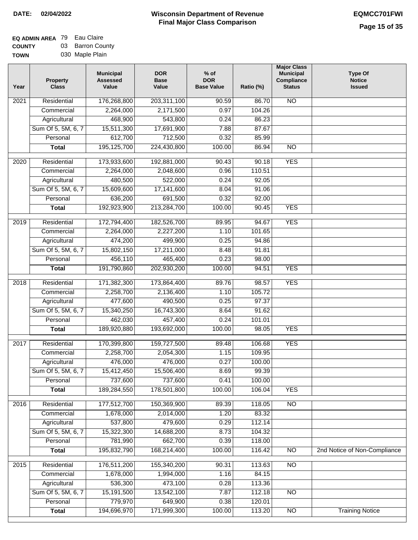## **EQ ADMIN AREA** 79 Eau Claire **COUNTY** 03 Barron County

**TOWN** 030 Maple Plain

| Year              | <b>Property</b><br><b>Class</b> | <b>Municipal</b><br><b>Assessed</b><br>Value | <b>DOR</b><br><b>Base</b><br>Value | $%$ of<br><b>DOR</b><br><b>Base Value</b> | Ratio (%) | <b>Major Class</b><br><b>Municipal</b><br>Compliance<br><b>Status</b> | <b>Type Of</b><br><b>Notice</b><br><b>Issued</b> |
|-------------------|---------------------------------|----------------------------------------------|------------------------------------|-------------------------------------------|-----------|-----------------------------------------------------------------------|--------------------------------------------------|
| $\overline{202}1$ | Residential                     | 176,268,800                                  | 203,311,100                        | 90.59                                     | 86.70     | <b>NO</b>                                                             |                                                  |
|                   | Commercial                      | 2,264,000                                    | 2,171,500                          | 0.97                                      | 104.26    |                                                                       |                                                  |
|                   | Agricultural                    | 468,900                                      | 543,800                            | 0.24                                      | 86.23     |                                                                       |                                                  |
|                   | Sum Of 5, 5M, 6, 7              | 15,511,300                                   | 17,691,900                         | 7.88                                      | 87.67     |                                                                       |                                                  |
|                   | Personal                        | 612,700                                      | 712,500                            | 0.32                                      | 85.99     |                                                                       |                                                  |
|                   | <b>Total</b>                    | 195,125,700                                  | 224,430,800                        | 100.00                                    | 86.94     | <b>NO</b>                                                             |                                                  |
|                   |                                 |                                              |                                    |                                           |           |                                                                       |                                                  |
| $\overline{2020}$ | Residential                     | 173,933,600                                  | 192,881,000                        | $\frac{1}{90.43}$                         | 90.18     | <b>YES</b>                                                            |                                                  |
|                   | Commercial                      | 2,264,000                                    | 2,048,600                          | 0.96                                      | 110.51    |                                                                       |                                                  |
|                   | Agricultural                    | 480,500                                      | 522,000                            | 0.24                                      | 92.05     |                                                                       |                                                  |
|                   | Sum Of 5, 5M, 6, 7              | 15,609,600                                   | 17,141,600                         | 8.04                                      | 91.06     |                                                                       |                                                  |
|                   | Personal                        | 636,200                                      | 691,500<br>213,284,700             | 0.32                                      | 92.00     | <b>YES</b>                                                            |                                                  |
|                   | <b>Total</b>                    | 192,923,900                                  |                                    | 100.00                                    | 90.45     |                                                                       |                                                  |
| 2019              | Residential                     | 172,794,400                                  | 182,526,700                        | 89.95                                     | 94.67     | <b>YES</b>                                                            |                                                  |
|                   | Commercial                      | 2,264,000                                    | 2,227,200                          | 1.10                                      | 101.65    |                                                                       |                                                  |
|                   | Agricultural                    | 474,200                                      | 499,900                            | 0.25                                      | 94.86     |                                                                       |                                                  |
|                   | Sum Of 5, 5M, 6, 7              | 15,802,150                                   | 17,211,000                         | 8.48                                      | 91.81     |                                                                       |                                                  |
|                   | Personal                        | 456,110                                      | 465,400                            | 0.23                                      | 98.00     |                                                                       |                                                  |
|                   | <b>Total</b>                    | 191,790,860                                  | 202,930,200                        | 100.00                                    | 94.51     | <b>YES</b>                                                            |                                                  |
| 2018              | Residential                     | 171,382,300                                  | 173,864,400                        | 89.76                                     | 98.57     | <b>YES</b>                                                            |                                                  |
|                   | Commercial                      | 2,258,700                                    | 2,136,400                          | 1.10                                      | 105.72    |                                                                       |                                                  |
|                   | Agricultural                    | 477,600                                      | 490,500                            | 0.25                                      | 97.37     |                                                                       |                                                  |
|                   | Sum Of 5, 5M, 6, 7              | 15,340,250                                   | 16,743,300                         | 8.64                                      | 91.62     |                                                                       |                                                  |
|                   | Personal                        | 462,030                                      | 457,400                            | 0.24                                      | 101.01    |                                                                       |                                                  |
|                   | <b>Total</b>                    | 189,920,880                                  | 193,692,000                        | 100.00                                    | 98.05     | <b>YES</b>                                                            |                                                  |
| 2017              | Residential                     | 170,399,800                                  | 159,727,500                        | 89.48                                     | 106.68    | <b>YES</b>                                                            |                                                  |
|                   | Commercial                      | 2,258,700                                    | 2,054,300                          | 1.15                                      | 109.95    |                                                                       |                                                  |
|                   | Agricultural                    | 476,000                                      | 476,000                            | 0.27                                      | 100.00    |                                                                       |                                                  |
|                   | Sum Of 5, 5M, 6, 7              | 15,412,450                                   | 15,506,400                         | 8.69                                      | 99.39     |                                                                       |                                                  |
|                   | Personal                        | 737,600                                      | 737,600                            | 0.41                                      | 100.00    |                                                                       |                                                  |
|                   | <b>Total</b>                    | 189,284,550                                  | 178,501,800                        | 100.00                                    | 106.04    | <b>YES</b>                                                            |                                                  |
| 2016              | Residential                     | 177,512,700                                  | 150,369,900                        | 89.39                                     | 118.05    | $\overline{NO}$                                                       |                                                  |
|                   | Commercial                      | 1,678,000                                    | 2,014,000                          | 1.20                                      | 83.32     |                                                                       |                                                  |
|                   | Agricultural                    | 537,800                                      | 479,600                            | 0.29                                      | 112.14    |                                                                       |                                                  |
|                   | Sum Of 5, 5M, 6, 7              | 15,322,300                                   | 14,688,200                         | 8.73                                      | 104.32    |                                                                       |                                                  |
|                   | Personal                        | 781,990                                      | 662,700                            | 0.39                                      | 118.00    |                                                                       |                                                  |
|                   | <b>Total</b>                    | 195,832,790                                  | 168,214,400                        | 100.00                                    | 116.42    | <b>NO</b>                                                             | 2nd Notice of Non-Compliance                     |
| 2015              | Residential                     | 176,511,200                                  | 155,340,200                        | 90.31                                     | 113.63    | N <sub>O</sub>                                                        |                                                  |
|                   | Commercial                      | 1,678,000                                    | 1,994,000                          | 1.16                                      | 84.15     |                                                                       |                                                  |
|                   | Agricultural                    | 536,300                                      | 473,100                            | 0.28                                      | 113.36    |                                                                       |                                                  |
|                   | Sum Of 5, 5M, 6, 7              | 15,191,500                                   | 13,542,100                         | 7.87                                      | 112.18    | <b>NO</b>                                                             |                                                  |
|                   | Personal                        | 779,970                                      | 649,900                            | 0.38                                      | 120.01    |                                                                       |                                                  |
|                   | <b>Total</b>                    | 194,696,970                                  | 171,999,300                        | 100.00                                    | 113.20    | N <sub>O</sub>                                                        | <b>Training Notice</b>                           |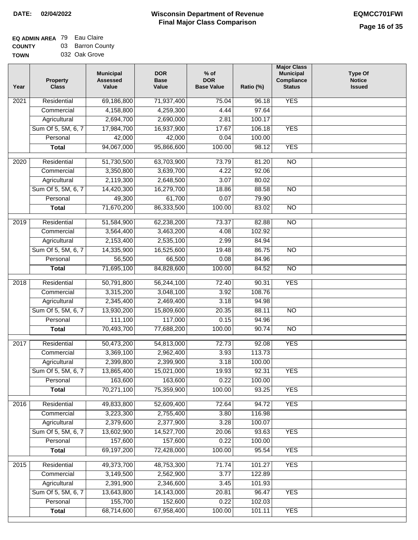## **EQ ADMIN AREA** 79 Eau Claire **COUNTY** 03 Barron County

**TOWN** 032 Oak Grove

| Year             | <b>Property</b><br><b>Class</b> | <b>Municipal</b><br><b>Assessed</b><br>Value | <b>DOR</b><br><b>Base</b><br>Value | $%$ of<br><b>DOR</b><br><b>Base Value</b> | Ratio (%) | <b>Major Class</b><br><b>Municipal</b><br>Compliance<br><b>Status</b> | <b>Type Of</b><br><b>Notice</b><br><b>Issued</b> |
|------------------|---------------------------------|----------------------------------------------|------------------------------------|-------------------------------------------|-----------|-----------------------------------------------------------------------|--------------------------------------------------|
| 2021             | Residential                     | 69,186,800                                   | 71,937,400                         | 75.04                                     | 96.18     | <b>YES</b>                                                            |                                                  |
|                  | Commercial                      | 4,158,800                                    | 4,259,300                          | 4.44                                      | 97.64     |                                                                       |                                                  |
|                  | Agricultural                    | 2,694,700                                    | 2,690,000                          | 2.81                                      | 100.17    |                                                                       |                                                  |
|                  | Sum Of 5, 5M, 6, 7              | 17,984,700                                   | 16,937,900                         | 17.67                                     | 106.18    | <b>YES</b>                                                            |                                                  |
|                  | Personal                        | 42,000                                       | 42,000                             | 0.04                                      | 100.00    |                                                                       |                                                  |
|                  | <b>Total</b>                    | 94,067,000                                   | 95,866,600                         | 100.00                                    | 98.12     | <b>YES</b>                                                            |                                                  |
| $\frac{1}{2020}$ | Residential                     | 51,730,500                                   | 63,703,900                         | 73.79                                     | 81.20     | $\overline{NO}$                                                       |                                                  |
|                  | Commercial                      | 3,350,800                                    | 3,639,700                          | 4.22                                      | 92.06     |                                                                       |                                                  |
|                  | Agricultural                    | 2,119,300                                    | 2,648,500                          | 3.07                                      | 80.02     |                                                                       |                                                  |
|                  | Sum Of 5, 5M, 6, 7              | 14,420,300                                   | 16,279,700                         | 18.86                                     | 88.58     | $\overline{NO}$                                                       |                                                  |
|                  | Personal                        | 49,300                                       | 61,700                             | 0.07                                      | 79.90     |                                                                       |                                                  |
|                  | <b>Total</b>                    | 71,670,200                                   | 86,333,500                         | 100.00                                    | 83.02     | $\overline{NO}$                                                       |                                                  |
|                  |                                 |                                              |                                    |                                           |           |                                                                       |                                                  |
| $\frac{1}{2019}$ | Residential                     | 51,584,900                                   | 62,238,200                         | 73.37                                     | 82.88     | $\overline{NO}$                                                       |                                                  |
|                  | Commercial                      | 3,564,400                                    | 3,463,200                          | 4.08                                      | 102.92    |                                                                       |                                                  |
|                  | Agricultural                    | 2,153,400                                    | 2,535,100                          | 2.99                                      | 84.94     |                                                                       |                                                  |
|                  | Sum Of 5, 5M, 6, 7              | 14,335,900                                   | 16,525,600                         | 19.48                                     | 86.75     | $\overline{NO}$                                                       |                                                  |
|                  | Personal                        | 56,500                                       | 66,500                             | 0.08                                      | 84.96     |                                                                       |                                                  |
|                  | <b>Total</b>                    | 71,695,100                                   | 84,828,600                         | 100.00                                    | 84.52     | $\overline{NO}$                                                       |                                                  |
| 2018             | Residential                     | 50,791,800                                   | 56,244,100                         | 72.40                                     | 90.31     | <b>YES</b>                                                            |                                                  |
|                  | Commercial                      | 3,315,200                                    | 3,048,100                          | 3.92                                      | 108.76    |                                                                       |                                                  |
|                  | Agricultural                    | 2,345,400                                    | 2,469,400                          | 3.18                                      | 94.98     |                                                                       |                                                  |
|                  | Sum Of 5, 5M, 6, 7              | 13,930,200                                   | 15,809,600                         | 20.35                                     | 88.11     | <b>NO</b>                                                             |                                                  |
|                  | Personal                        | 111,100                                      | 117,000                            | 0.15                                      | 94.96     |                                                                       |                                                  |
|                  | <b>Total</b>                    | 70,493,700                                   | 77,688,200                         | 100.00                                    | 90.74     | $\overline{NO}$                                                       |                                                  |
| 2017             | Residential                     | 50,473,200                                   | 54,813,000                         | 72.73                                     | 92.08     | <b>YES</b>                                                            |                                                  |
|                  | Commercial                      | 3,369,100                                    | 2,962,400                          | 3.93                                      | 113.73    |                                                                       |                                                  |
|                  | Agricultural                    | 2,399,800                                    | 2,399,900                          | 3.18                                      | 100.00    |                                                                       |                                                  |
|                  | Sum Of 5, 5M, 6, 7              | 13,865,400                                   | 15,021,000                         | 19.93                                     | 92.31     | <b>YES</b>                                                            |                                                  |
|                  | Personal                        | 163,600                                      | 163,600                            | 0.22                                      | 100.00    |                                                                       |                                                  |
|                  | <b>Total</b>                    | 70,271,100                                   | 75,359,900                         | 100.00                                    | 93.25     | <b>YES</b>                                                            |                                                  |
| 2016             | Residential                     | 49,833,800                                   | 52,609,400                         | 72.64                                     | 94.72     | <b>YES</b>                                                            |                                                  |
|                  | Commercial                      | 3,223,300                                    | 2,755,400                          | 3.80                                      | 116.98    |                                                                       |                                                  |
|                  | Agricultural                    | 2,379,600                                    | 2,377,900                          | 3.28                                      | 100.07    |                                                                       |                                                  |
|                  | Sum Of 5, 5M, 6, 7              | 13,602,900                                   | 14,527,700                         | 20.06                                     | 93.63     | <b>YES</b>                                                            |                                                  |
|                  | Personal                        | 157,600                                      | 157,600                            | 0.22                                      | 100.00    |                                                                       |                                                  |
|                  | <b>Total</b>                    | 69,197,200                                   | 72,428,000                         | 100.00                                    | 95.54     | <b>YES</b>                                                            |                                                  |
|                  |                                 |                                              |                                    |                                           |           |                                                                       |                                                  |
| 2015             | Residential                     | 49,373,700                                   | 48,753,300                         | 71.74                                     | 101.27    | <b>YES</b>                                                            |                                                  |
|                  | Commercial                      | 3,149,500                                    | 2,562,900                          | 3.77                                      | 122.89    |                                                                       |                                                  |
|                  | Agricultural                    | 2,391,900                                    | 2,346,600                          | 3.45                                      | 101.93    |                                                                       |                                                  |
|                  | Sum Of 5, 5M, 6, 7              | 13,643,800                                   | 14,143,000                         | 20.81                                     | 96.47     | <b>YES</b>                                                            |                                                  |
|                  | Personal                        | 155,700                                      | 152,600                            | 0.22                                      | 102.03    |                                                                       |                                                  |
|                  | <b>Total</b>                    | 68,714,600                                   | 67,958,400                         | 100.00                                    | 101.11    | <b>YES</b>                                                            |                                                  |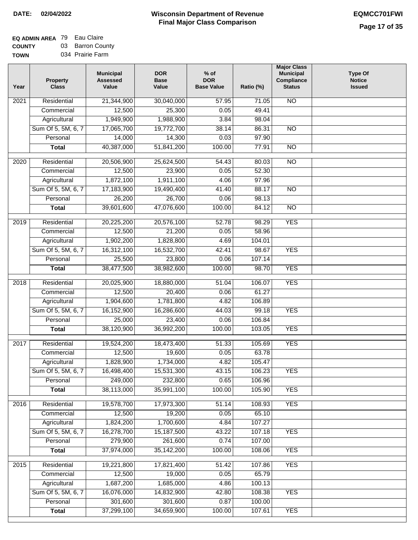## **EQ ADMIN AREA** 79 Eau Claire **COUNTY** 03 Barron County

**TOWN** 034 Prairie Farm

| Year              | <b>Property</b><br><b>Class</b> | <b>Municipal</b><br><b>Assessed</b><br>Value | <b>DOR</b><br><b>Base</b><br>Value | $%$ of<br><b>DOR</b><br><b>Base Value</b> | Ratio (%) | <b>Major Class</b><br><b>Municipal</b><br>Compliance<br><b>Status</b> | <b>Type Of</b><br><b>Notice</b><br><b>Issued</b> |
|-------------------|---------------------------------|----------------------------------------------|------------------------------------|-------------------------------------------|-----------|-----------------------------------------------------------------------|--------------------------------------------------|
| $\overline{202}1$ | Residential                     | 21,344,900                                   | 30,040,000                         | 57.95                                     | 71.05     | <b>NO</b>                                                             |                                                  |
|                   | Commercial                      | 12,500                                       | 25,300                             | 0.05                                      | 49.41     |                                                                       |                                                  |
|                   | Agricultural                    | 1,949,900                                    | 1,988,900                          | 3.84                                      | 98.04     |                                                                       |                                                  |
|                   | Sum Of 5, 5M, 6, 7              | 17,065,700                                   | 19,772,700                         | 38.14                                     | 86.31     | $\overline{NO}$                                                       |                                                  |
|                   | Personal                        | 14,000                                       | 14,300                             | 0.03                                      | 97.90     |                                                                       |                                                  |
|                   | <b>Total</b>                    | 40,387,000                                   | 51,841,200                         | 100.00                                    | 77.91     | $\overline{NO}$                                                       |                                                  |
| $\overline{2020}$ | Residential                     | 20,506,900                                   | 25,624,500                         | 54.43                                     | 80.03     | $\overline{NO}$                                                       |                                                  |
|                   | Commercial                      | 12,500                                       | 23,900                             | 0.05                                      | 52.30     |                                                                       |                                                  |
|                   | Agricultural                    | 1,872,100                                    | 1,911,100                          | 4.06                                      | 97.96     |                                                                       |                                                  |
|                   | Sum Of 5, 5M, 6, 7              | 17,183,900                                   | 19,490,400                         | 41.40                                     | 88.17     | $\overline{NO}$                                                       |                                                  |
|                   | Personal                        | 26,200                                       | 26,700                             | 0.06                                      | 98.13     |                                                                       |                                                  |
|                   | <b>Total</b>                    | 39,601,600                                   | 47,076,600                         | 100.00                                    | 84.12     | $\overline{NO}$                                                       |                                                  |
| 2019              | Residential                     | 20,225,200                                   | 20,576,100                         | 52.78                                     | 98.29     | <b>YES</b>                                                            |                                                  |
|                   | Commercial                      | 12,500                                       | 21,200                             | 0.05                                      | 58.96     |                                                                       |                                                  |
|                   | Agricultural                    | 1,902,200                                    | 1,828,800                          | 4.69                                      | 104.01    |                                                                       |                                                  |
|                   | Sum Of 5, 5M, 6, 7              | 16,312,100                                   | 16,532,700                         | 42.41                                     | 98.67     | <b>YES</b>                                                            |                                                  |
|                   | Personal                        | 25,500                                       | 23,800                             | 0.06                                      | 107.14    |                                                                       |                                                  |
|                   | <b>Total</b>                    | 38,477,500                                   | 38,982,600                         | 100.00                                    | 98.70     | <b>YES</b>                                                            |                                                  |
|                   |                                 |                                              |                                    |                                           |           |                                                                       |                                                  |
| 2018              | Residential                     | 20,025,900                                   | 18,880,000                         | 51.04                                     | 106.07    | <b>YES</b>                                                            |                                                  |
|                   | Commercial                      | 12,500                                       | 20,400                             | 0.06                                      | 61.27     |                                                                       |                                                  |
|                   | Agricultural                    | 1,904,600                                    | 1,781,800                          | 4.82                                      | 106.89    |                                                                       |                                                  |
|                   | Sum Of 5, 5M, 6, 7              | 16,152,900                                   | 16,286,600                         | 44.03                                     | 99.18     | <b>YES</b>                                                            |                                                  |
|                   | Personal                        | 25,000                                       | 23,400                             | 0.06                                      | 106.84    |                                                                       |                                                  |
|                   | <b>Total</b>                    | 38,120,900                                   | 36,992,200                         | 100.00                                    | 103.05    | <b>YES</b>                                                            |                                                  |
| 2017              | Residential                     | 19,524,200                                   | 18,473,400                         | 51.33                                     | 105.69    | <b>YES</b>                                                            |                                                  |
|                   | Commercial                      | 12,500                                       | 19,600                             | 0.05                                      | 63.78     |                                                                       |                                                  |
|                   | Agricultural                    | 1,828,900                                    | 1,734,000                          | 4.82                                      | 105.47    |                                                                       |                                                  |
|                   | Sum Of 5, 5M, 6, 7              | 16,498,400                                   | 15,531,300                         | 43.15                                     | 106.23    | <b>YES</b>                                                            |                                                  |
|                   | Personal                        | 249,000                                      | 232,800                            | 0.65                                      | 106.96    |                                                                       |                                                  |
|                   | <b>Total</b>                    | 38,113,000                                   | 35,991,100                         | 100.00                                    | 105.90    | <b>YES</b>                                                            |                                                  |
| 2016              | Residential                     | 19,578,700                                   | 17,973,300                         | 51.14                                     | 108.93    | <b>YES</b>                                                            |                                                  |
|                   | Commercial                      | 12,500                                       | 19,200                             | 0.05                                      | 65.10     |                                                                       |                                                  |
|                   | Agricultural                    | 1,824,200                                    | 1,700,600                          | 4.84                                      | 107.27    |                                                                       |                                                  |
|                   | Sum Of 5, 5M, 6, 7              | 16,278,700                                   | 15,187,500                         | 43.22                                     | 107.18    | <b>YES</b>                                                            |                                                  |
|                   | Personal                        | 279,900                                      | 261,600                            | 0.74                                      | 107.00    |                                                                       |                                                  |
|                   | <b>Total</b>                    | 37,974,000                                   | 35, 142, 200                       | 100.00                                    | 108.06    | <b>YES</b>                                                            |                                                  |
| 2015              | Residential                     | 19,221,800                                   | 17,821,400                         | 51.42                                     | 107.86    | <b>YES</b>                                                            |                                                  |
|                   | Commercial                      | 12,500                                       | 19,000                             | 0.05                                      | 65.79     |                                                                       |                                                  |
|                   | Agricultural                    | 1,687,200                                    | 1,685,000                          | 4.86                                      | 100.13    |                                                                       |                                                  |
|                   | Sum Of 5, 5M, 6, 7              | 16,076,000                                   | 14,832,900                         | 42.80                                     | 108.38    | <b>YES</b>                                                            |                                                  |
|                   | Personal                        | 301,600                                      | 301,600                            | 0.87                                      | 100.00    |                                                                       |                                                  |
|                   | <b>Total</b>                    | 37,299,100                                   | 34,659,900                         | 100.00                                    | 107.61    | <b>YES</b>                                                            |                                                  |
|                   |                                 |                                              |                                    |                                           |           |                                                                       |                                                  |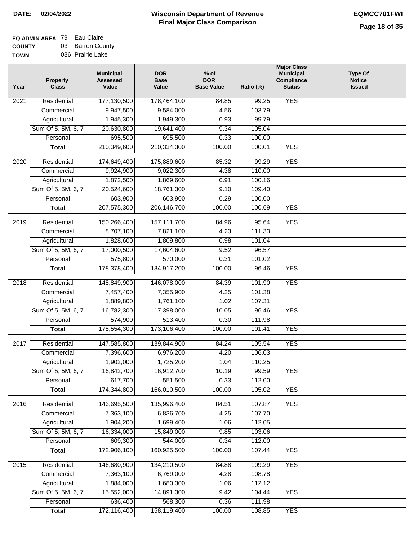## **EQ ADMIN AREA** 79 Eau Claire **COUNTY** 03 Barron County

**TOWN** 036 Prairie Lake

| Year | <b>Property</b><br><b>Class</b> | <b>Municipal</b><br><b>Assessed</b><br>Value | <b>DOR</b><br><b>Base</b><br>Value | $%$ of<br><b>DOR</b><br><b>Base Value</b> | Ratio (%) | <b>Major Class</b><br><b>Municipal</b><br>Compliance<br><b>Status</b> | <b>Type Of</b><br><b>Notice</b><br><b>Issued</b> |
|------|---------------------------------|----------------------------------------------|------------------------------------|-------------------------------------------|-----------|-----------------------------------------------------------------------|--------------------------------------------------|
| 2021 | Residential                     | 177,130,500                                  | 178,464,100                        | 84.85                                     | 99.25     | <b>YES</b>                                                            |                                                  |
|      | Commercial                      | 9,947,500                                    | 9,584,000                          | 4.56                                      | 103.79    |                                                                       |                                                  |
|      | Agricultural                    | 1,945,300                                    | 1,949,300                          | 0.93                                      | 99.79     |                                                                       |                                                  |
|      | Sum Of 5, 5M, 6, 7              | 20,630,800                                   | 19,641,400                         | 9.34                                      | 105.04    |                                                                       |                                                  |
|      | Personal                        | 695,500                                      | 695,500                            | 0.33                                      | 100.00    |                                                                       |                                                  |
|      | <b>Total</b>                    | 210,349,600                                  | 210,334,300                        | 100.00                                    | 100.01    | <b>YES</b>                                                            |                                                  |
| 2020 | Residential                     | 174,649,400                                  | 175,889,600                        | 85.32                                     | 99.29     | <b>YES</b>                                                            |                                                  |
|      | Commercial                      | 9,924,900                                    | 9,022,300                          | 4.38                                      | 110.00    |                                                                       |                                                  |
|      | Agricultural                    | 1,872,500                                    | 1,869,600                          | 0.91                                      | 100.16    |                                                                       |                                                  |
|      | Sum Of 5, 5M, 6, 7              | 20,524,600                                   | 18,761,300                         | 9.10                                      | 109.40    |                                                                       |                                                  |
|      | Personal                        | 603,900                                      | 603,900                            | 0.29                                      | 100.00    |                                                                       |                                                  |
|      | <b>Total</b>                    | 207,575,300                                  | 206,146,700                        | 100.00                                    | 100.69    | <b>YES</b>                                                            |                                                  |
| 2019 | Residential                     | 150,266,400                                  | 157,111,700                        | 84.96                                     | 95.64     | <b>YES</b>                                                            |                                                  |
|      | Commercial                      | 8,707,100                                    | 7,821,100                          | 4.23                                      | 111.33    |                                                                       |                                                  |
|      | Agricultural                    | 1,828,600                                    | 1,809,800                          | 0.98                                      | 101.04    |                                                                       |                                                  |
|      | Sum Of 5, 5M, 6, 7              | 17,000,500                                   | 17,604,600                         | 9.52                                      | 96.57     |                                                                       |                                                  |
|      | Personal                        | 575,800                                      | 570,000                            | 0.31                                      | 101.02    |                                                                       |                                                  |
|      | <b>Total</b>                    | 178,378,400                                  | 184,917,200                        | 100.00                                    | 96.46     | <b>YES</b>                                                            |                                                  |
| 2018 | Residential                     | 148,849,900                                  | 146,078,000                        | 84.39                                     | 101.90    | <b>YES</b>                                                            |                                                  |
|      | Commercial                      | 7,457,400                                    | 7,355,900                          | 4.25                                      | 101.38    |                                                                       |                                                  |
|      | Agricultural                    | 1,889,800                                    | 1,761,100                          | 1.02                                      | 107.31    |                                                                       |                                                  |
|      | Sum Of 5, 5M, 6, 7              | 16,782,300                                   | 17,398,000                         | 10.05                                     | 96.46     | <b>YES</b>                                                            |                                                  |
|      | Personal                        | 574,900                                      | 513,400                            | 0.30                                      | 111.98    |                                                                       |                                                  |
|      | <b>Total</b>                    | 175,554,300                                  | 173,106,400                        | 100.00                                    | 101.41    | <b>YES</b>                                                            |                                                  |
| 2017 | Residential                     | 147,585,800                                  | 139,844,900                        | 84.24                                     | 105.54    | <b>YES</b>                                                            |                                                  |
|      | Commercial                      | 7,396,600                                    | 6,976,200                          | 4.20                                      | 106.03    |                                                                       |                                                  |
|      | Agricultural                    | 1,902,000                                    | 1,725,200                          | 1.04                                      | 110.25    |                                                                       |                                                  |
|      | Sum Of 5, 5M, 6, 7              | 16,842,700                                   | 16,912,700                         | 10.19                                     | 99.59     | <b>YES</b>                                                            |                                                  |
|      | Personal                        | 617,700                                      | 551,500                            | 0.33                                      | 112.00    |                                                                       |                                                  |
|      | <b>Total</b>                    | 174,344,800                                  | 166,010,500                        | 100.00                                    | 105.02    | <b>YES</b>                                                            |                                                  |
|      |                                 |                                              |                                    |                                           |           |                                                                       |                                                  |
| 2016 | Residential                     | 146,695,500                                  | 135,996,400                        | 84.51                                     | 107.87    | <b>YES</b>                                                            |                                                  |
|      | Commercial                      | 7,363,100                                    | 6,836,700                          | 4.25                                      | 107.70    |                                                                       |                                                  |
|      | Agricultural                    | 1,904,200                                    | 1,699,400                          | 1.06                                      | 112.05    |                                                                       |                                                  |
|      | Sum Of 5, 5M, 6, 7              | 16,334,000                                   | 15,849,000                         | 9.85                                      | 103.06    |                                                                       |                                                  |
|      | Personal<br><b>Total</b>        | 609,300<br>172,906,100                       | 544,000<br>160,925,500             | 0.34<br>100.00                            | 112.00    | <b>YES</b>                                                            |                                                  |
|      |                                 |                                              |                                    |                                           | 107.44    |                                                                       |                                                  |
| 2015 | Residential                     | 146,680,900                                  | 134,210,500                        | 84.88                                     | 109.29    | <b>YES</b>                                                            |                                                  |
|      | Commercial                      | 7,363,100                                    | 6,769,000                          | 4.28                                      | 108.78    |                                                                       |                                                  |
|      | Agricultural                    | 1,884,000                                    | 1,680,300                          | 1.06                                      | 112.12    |                                                                       |                                                  |
|      | Sum Of 5, 5M, 6, 7              | 15,552,000                                   | 14,891,300                         | 9.42                                      | 104.44    | <b>YES</b>                                                            |                                                  |
|      | Personal                        | 636,400                                      | 568,300                            | 0.36                                      | 111.98    |                                                                       |                                                  |
|      | <b>Total</b>                    | 172,116,400                                  | 158,119,400                        | 100.00                                    | 108.85    | <b>YES</b>                                                            |                                                  |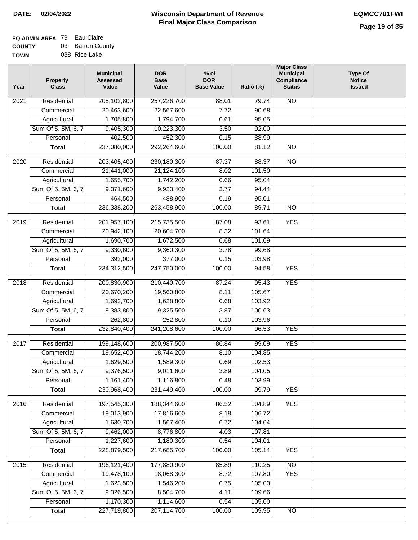| /Ν | 038 Rice Lake |  |
|----|---------------|--|
|    |               |  |

| Year              | <b>Property</b><br><b>Class</b> | <b>Municipal</b><br><b>Assessed</b><br>Value | <b>DOR</b><br><b>Base</b><br>Value | $%$ of<br><b>DOR</b><br><b>Base Value</b> | Ratio (%) | <b>Major Class</b><br><b>Municipal</b><br>Compliance<br><b>Status</b> | <b>Type Of</b><br><b>Notice</b><br><b>Issued</b> |
|-------------------|---------------------------------|----------------------------------------------|------------------------------------|-------------------------------------------|-----------|-----------------------------------------------------------------------|--------------------------------------------------|
| 2021              | Residential                     | 205,102,800                                  | 257,226,700                        | 88.01                                     | 79.74     | N <sub>O</sub>                                                        |                                                  |
|                   | Commercial                      | 20,463,600                                   | 22,567,600                         | 7.72                                      | 90.68     |                                                                       |                                                  |
|                   | Agricultural                    | 1,705,800                                    | 1,794,700                          | 0.61                                      | 95.05     |                                                                       |                                                  |
|                   | Sum Of 5, 5M, 6, 7              | 9,405,300                                    | 10,223,300                         | 3.50                                      | 92.00     |                                                                       |                                                  |
|                   | Personal                        | 402,500                                      | 452,300                            | 0.15                                      | 88.99     |                                                                       |                                                  |
|                   | <b>Total</b>                    | 237,080,000                                  | 292,264,600                        | 100.00                                    | 81.12     | $\overline{NO}$                                                       |                                                  |
| 2020              | Residential                     | 203,405,400                                  | 230,180,300                        | 87.37                                     | 88.37     | $\overline{3}$                                                        |                                                  |
|                   | Commercial                      | 21,441,000                                   | 21,124,100                         | 8.02                                      | 101.50    |                                                                       |                                                  |
|                   | Agricultural                    | 1,655,700                                    | 1,742,200                          | 0.66                                      | 95.04     |                                                                       |                                                  |
|                   | Sum Of 5, 5M, 6, 7              | 9,371,600                                    | 9,923,400                          | 3.77                                      | 94.44     |                                                                       |                                                  |
|                   | Personal                        | 464,500                                      | 488,900                            | 0.19                                      | 95.01     |                                                                       |                                                  |
|                   | Total                           | 236,338,200                                  | 263,458,900                        | 100.00                                    | 89.71     | $\overline{NO}$                                                       |                                                  |
|                   |                                 |                                              |                                    |                                           |           |                                                                       |                                                  |
| 2019              | Residential                     | 201,957,100                                  | 215,735,500                        | 87.08                                     | 93.61     | <b>YES</b>                                                            |                                                  |
|                   | Commercial                      | 20,942,100                                   | 20,604,700                         | 8.32                                      | 101.64    |                                                                       |                                                  |
|                   | Agricultural                    | 1,690,700                                    | 1,672,500                          | 0.68                                      | 101.09    |                                                                       |                                                  |
|                   | Sum Of 5, 5M, 6, 7              | 9,330,600                                    | 9,360,300                          | 3.78                                      | 99.68     |                                                                       |                                                  |
|                   | Personal                        | 392,000                                      | 377,000                            | 0.15                                      | 103.98    |                                                                       |                                                  |
|                   | <b>Total</b>                    | 234,312,500                                  | 247,750,000                        | 100.00                                    | 94.58     | <b>YES</b>                                                            |                                                  |
| $\overline{2018}$ | Residential                     | 200,830,900                                  | 210,440,700                        | 87.24                                     | 95.43     | <b>YES</b>                                                            |                                                  |
|                   | Commercial                      | 20,670,200                                   | 19,560,800                         | 8.11                                      | 105.67    |                                                                       |                                                  |
|                   | Agricultural                    | 1,692,700                                    | 1,628,800                          | 0.68                                      | 103.92    |                                                                       |                                                  |
|                   | Sum Of 5, 5M, 6, 7              | 9,383,800                                    | 9,325,500                          | 3.87                                      | 100.63    |                                                                       |                                                  |
|                   | Personal                        | 262,800                                      | 252,800                            | 0.10                                      | 103.96    |                                                                       |                                                  |
|                   | <b>Total</b>                    | 232,840,400                                  | 241,208,600                        | 100.00                                    | 96.53     | <b>YES</b>                                                            |                                                  |
| 2017              | Residential                     | 199,148,600                                  | 200,987,500                        | 86.84                                     | 99.09     | <b>YES</b>                                                            |                                                  |
|                   | Commercial                      | 19,652,400                                   | 18,744,200                         | 8.10                                      | 104.85    |                                                                       |                                                  |
|                   | Agricultural                    | 1,629,500                                    | 1,589,300                          | 0.69                                      | 102.53    |                                                                       |                                                  |
|                   | Sum Of 5, 5M, 6, 7              | 9,376,500                                    | 9,011,600                          | 3.89                                      | 104.05    |                                                                       |                                                  |
|                   | Personal                        | 1,161,400                                    | 1,116,800                          | 0.48                                      | 103.99    |                                                                       |                                                  |
|                   | <b>Total</b>                    | 230,968,400                                  | 231,449,400                        | 100.00                                    | 99.79     | <b>YES</b>                                                            |                                                  |
| 2016              | Residential                     | 197,545,300                                  | 188,344,600                        | 86.52                                     | 104.89    | <b>YES</b>                                                            |                                                  |
|                   | Commercial                      | 19,013,900                                   | 17,816,600                         | 8.18                                      | 106.72    |                                                                       |                                                  |
|                   | Agricultural                    | 1,630,700                                    | 1,567,400                          | 0.72                                      | 104.04    |                                                                       |                                                  |
|                   | Sum Of 5, 5M, 6, 7              | 9,462,000                                    | 8,776,800                          | 4.03                                      | 107.81    |                                                                       |                                                  |
|                   | Personal                        | 1,227,600                                    | 1,180,300                          | 0.54                                      | 104.01    |                                                                       |                                                  |
|                   | <b>Total</b>                    | 228,879,500                                  | 217,685,700                        | 100.00                                    | 105.14    | <b>YES</b>                                                            |                                                  |
|                   |                                 |                                              |                                    |                                           |           |                                                                       |                                                  |
| 2015              | Residential                     | 196, 121, 400                                | 177,880,900                        | 85.89                                     | 110.25    | $\overline{NO}$                                                       |                                                  |
|                   | Commercial                      | 19,478,100                                   | 18,068,300                         | 8.72                                      | 107.80    | <b>YES</b>                                                            |                                                  |
|                   | Agricultural                    | 1,623,500                                    | 1,546,200                          | 0.75                                      | 105.00    |                                                                       |                                                  |
|                   | Sum Of 5, 5M, 6, 7              | 9,326,500                                    | 8,504,700                          | 4.11                                      | 109.66    |                                                                       |                                                  |
|                   | Personal                        | 1,170,300                                    | 1,114,600                          | 0.54                                      | 105.00    |                                                                       |                                                  |
|                   | <b>Total</b>                    | 227,719,800                                  | 207, 114, 700                      | 100.00                                    | 109.95    | N <sub>O</sub>                                                        |                                                  |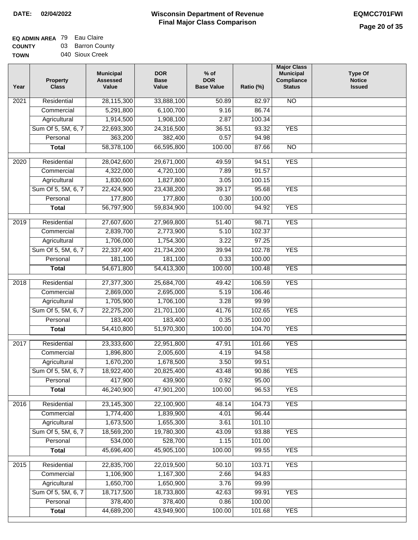## **EQ ADMIN AREA** 79 Eau Claire **COUNTY** 03 Barron County

**TOWN** 040 Sioux Creek

| Year              | <b>Property</b><br><b>Class</b> | <b>Municipal</b><br><b>Assessed</b><br>Value | <b>DOR</b><br><b>Base</b><br>Value | % of<br><b>DOR</b><br><b>Base Value</b> | Ratio (%) | <b>Major Class</b><br><b>Municipal</b><br>Compliance<br><b>Status</b> | <b>Type Of</b><br><b>Notice</b><br><b>Issued</b> |
|-------------------|---------------------------------|----------------------------------------------|------------------------------------|-----------------------------------------|-----------|-----------------------------------------------------------------------|--------------------------------------------------|
| $\overline{202}1$ | Residential                     | 28,115,300                                   | 33,888,100                         | 50.89                                   | 82.97     | <b>NO</b>                                                             |                                                  |
|                   | Commercial                      | 5,291,800                                    | 6,100,700                          | 9.16                                    | 86.74     |                                                                       |                                                  |
|                   | Agricultural                    | 1,914,500                                    | 1,908,100                          | 2.87                                    | 100.34    |                                                                       |                                                  |
|                   | Sum Of 5, 5M, 6, 7              | 22,693,300                                   | 24,316,500                         | 36.51                                   | 93.32     | <b>YES</b>                                                            |                                                  |
|                   | Personal                        | 363,200                                      | 382,400                            | 0.57                                    | 94.98     |                                                                       |                                                  |
|                   | <b>Total</b>                    | 58,378,100                                   | 66,595,800                         | 100.00                                  | 87.66     | $\overline{NO}$                                                       |                                                  |
| $\overline{2020}$ | Residential                     | 28,042,600                                   | 29,671,000                         | 49.59                                   | 94.51     | <b>YES</b>                                                            |                                                  |
|                   | Commercial                      | 4,322,000                                    | 4,720,100                          | 7.89                                    | 91.57     |                                                                       |                                                  |
|                   | Agricultural                    | 1,830,600                                    | 1,827,800                          | 3.05                                    | 100.15    |                                                                       |                                                  |
|                   | Sum Of 5, 5M, 6, 7              | 22,424,900                                   | 23,438,200                         | 39.17                                   | 95.68     | <b>YES</b>                                                            |                                                  |
|                   | Personal                        | 177,800                                      | 177,800                            | 0.30                                    | 100.00    |                                                                       |                                                  |
|                   | <b>Total</b>                    | 56,797,900                                   | 59,834,900                         | 100.00                                  | 94.92     | <b>YES</b>                                                            |                                                  |
|                   |                                 |                                              |                                    |                                         |           |                                                                       |                                                  |
| 2019              | Residential                     | 27,607,600                                   | 27,969,800                         | 51.40                                   | 98.71     | <b>YES</b>                                                            |                                                  |
|                   | Commercial                      | 2,839,700                                    | 2,773,900                          | 5.10                                    | 102.37    |                                                                       |                                                  |
|                   | Agricultural                    | 1,706,000                                    | 1,754,300                          | 3.22                                    | 97.25     |                                                                       |                                                  |
|                   | Sum Of 5, 5M, 6, 7              | 22,337,400                                   | 21,734,200                         | 39.94                                   | 102.78    | <b>YES</b>                                                            |                                                  |
|                   | Personal                        | 181,100                                      | 181,100                            | 0.33                                    | 100.00    |                                                                       |                                                  |
|                   | <b>Total</b>                    | 54,671,800                                   | 54,413,300                         | 100.00                                  | 100.48    | <b>YES</b>                                                            |                                                  |
| 2018              | Residential                     | 27,377,300                                   | 25,684,700                         | 49.42                                   | 106.59    | <b>YES</b>                                                            |                                                  |
|                   | Commercial                      | 2,869,000                                    | 2,695,000                          | 5.19                                    | 106.46    |                                                                       |                                                  |
|                   | Agricultural                    | 1,705,900                                    | 1,706,100                          | 3.28                                    | 99.99     |                                                                       |                                                  |
|                   | Sum Of 5, 5M, 6, 7              | 22,275,200                                   | 21,701,100                         | 41.76                                   | 102.65    | <b>YES</b>                                                            |                                                  |
|                   | Personal                        | 183,400                                      | 183,400                            | 0.35                                    | 100.00    |                                                                       |                                                  |
|                   | <b>Total</b>                    | 54,410,800                                   | 51,970,300                         | 100.00                                  | 104.70    | <b>YES</b>                                                            |                                                  |
| 2017              | Residential                     | 23,333,600                                   | 22,951,800                         | 47.91                                   | 101.66    | <b>YES</b>                                                            |                                                  |
|                   | Commercial                      | 1,896,800                                    | 2,005,600                          | 4.19                                    | 94.58     |                                                                       |                                                  |
|                   | Agricultural                    | 1,670,200                                    | 1,678,500                          | 3.50                                    | 99.51     |                                                                       |                                                  |
|                   | Sum Of 5, 5M, 6, 7              | 18,922,400                                   | 20,825,400                         | 43.48                                   | 90.86     | <b>YES</b>                                                            |                                                  |
|                   | Personal                        | 417,900                                      | 439,900                            | 0.92                                    | 95.00     |                                                                       |                                                  |
|                   | <b>Total</b>                    | 46,240,900                                   | 47,901,200                         | 100.00                                  | 96.53     | <b>YES</b>                                                            |                                                  |
| 2016              | Residential                     | 23,145,300                                   | 22,100,900                         | 48.14                                   | 104.73    | <b>YES</b>                                                            |                                                  |
|                   | Commercial                      | 1,774,400                                    | 1,839,900                          | 4.01                                    | 96.44     |                                                                       |                                                  |
|                   | Agricultural                    | 1,673,500                                    | 1,655,300                          | 3.61                                    | 101.10    |                                                                       |                                                  |
|                   | Sum Of 5, 5M, 6, 7              | 18,569,200                                   | 19,780,300                         | 43.09                                   | 93.88     | <b>YES</b>                                                            |                                                  |
|                   | Personal                        | 534,000                                      | 528,700                            | 1.15                                    | 101.00    |                                                                       |                                                  |
|                   | <b>Total</b>                    | 45,696,400                                   | 45,905,100                         | 100.00                                  | 99.55     | <b>YES</b>                                                            |                                                  |
|                   |                                 |                                              |                                    |                                         |           |                                                                       |                                                  |
| 2015              | Residential                     | 22,835,700                                   | 22,019,500                         | 50.10                                   | 103.71    | <b>YES</b>                                                            |                                                  |
|                   | Commercial                      | 1,106,900                                    | 1,167,300                          | 2.66                                    | 94.83     |                                                                       |                                                  |
|                   | Agricultural                    | 1,650,700                                    | 1,650,900                          | 3.76                                    | 99.99     |                                                                       |                                                  |
|                   | Sum Of 5, 5M, 6, 7              | 18,717,500                                   | 18,733,800                         | 42.63                                   | 99.91     | <b>YES</b>                                                            |                                                  |
|                   | Personal                        | 378,400                                      | 378,400                            | 0.86                                    | 100.00    |                                                                       |                                                  |
|                   | <b>Total</b>                    | 44,689,200                                   | 43,949,900                         | 100.00                                  | 101.68    | <b>YES</b>                                                            |                                                  |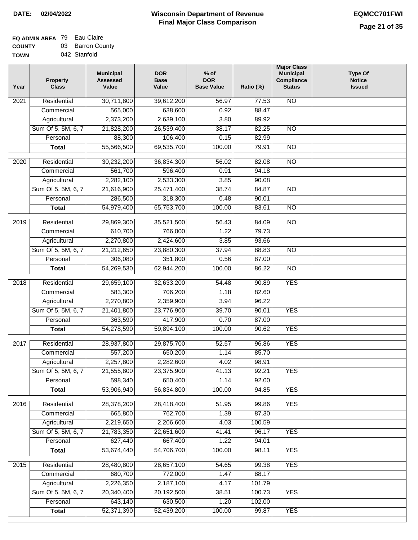## **EQ ADMIN AREA** 79 Eau Claire **COUNTY** 03 Barron County

**TOWN** 042 Stanfold

| Year              | <b>Property</b><br><b>Class</b> | <b>Municipal</b><br><b>Assessed</b><br>Value | <b>DOR</b><br><b>Base</b><br>Value | $%$ of<br><b>DOR</b><br><b>Base Value</b> | Ratio (%)       | <b>Major Class</b><br><b>Municipal</b><br>Compliance<br><b>Status</b> | Type Of<br><b>Notice</b><br><b>Issued</b> |
|-------------------|---------------------------------|----------------------------------------------|------------------------------------|-------------------------------------------|-----------------|-----------------------------------------------------------------------|-------------------------------------------|
| $\overline{202}1$ | Residential                     | 30,711,800                                   | 39,612,200                         | 56.97                                     | 77.53           | <b>NO</b>                                                             |                                           |
|                   | Commercial                      | 565,000                                      | 638,600                            | 0.92                                      | 88.47           |                                                                       |                                           |
|                   | Agricultural                    | 2,373,200                                    | 2,639,100                          | 3.80                                      | 89.92           |                                                                       |                                           |
|                   | Sum Of 5, 5M, 6, 7              | 21,828,200                                   | 26,539,400                         | 38.17                                     | 82.25           | N <sub>O</sub>                                                        |                                           |
|                   | Personal                        | 88,300                                       | 106,400                            | 0.15                                      | 82.99           |                                                                       |                                           |
|                   | <b>Total</b>                    | 55,566,500                                   | 69,535,700                         | 100.00                                    | 79.91           | $\overline{NO}$                                                       |                                           |
| $\overline{2020}$ | Residential                     | 30,232,200                                   | 36,834,300                         | 56.02                                     | 82.08           | <b>NO</b>                                                             |                                           |
|                   | Commercial                      | 561,700                                      | 596,400                            | 0.91                                      | 94.18           |                                                                       |                                           |
|                   | Agricultural                    | 2,282,100                                    | 2,533,300                          | 3.85                                      | 90.08           |                                                                       |                                           |
|                   | Sum Of 5, 5M, 6, 7              | 21,616,900                                   | 25,471,400                         | 38.74                                     | 84.87           | <b>NO</b>                                                             |                                           |
|                   | Personal                        | 286,500                                      | 318,300                            | 0.48                                      | 90.01           |                                                                       |                                           |
|                   | <b>Total</b>                    | 54,979,400                                   | 65,753,700                         | 100.00                                    | 83.61           | $\overline{NO}$                                                       |                                           |
| 2019              | Residential                     | 29,869,300                                   | 35,521,500                         | 56.43                                     | 84.09           | $\overline{NO}$                                                       |                                           |
|                   | Commercial                      | 610,700                                      | 766,000                            | 1.22                                      | 79.73           |                                                                       |                                           |
|                   | Agricultural                    | 2,270,800                                    | 2,424,600                          | 3.85                                      | 93.66           |                                                                       |                                           |
|                   | Sum Of 5, 5M, 6, 7              | 21,212,650                                   | 23,880,300                         | 37.94                                     | 88.83           | $\overline{NO}$                                                       |                                           |
|                   | Personal                        | 306,080                                      | 351,800                            | 0.56                                      | 87.00           |                                                                       |                                           |
|                   | <b>Total</b>                    | 54,269,530                                   | 62,944,200                         | 100.00                                    | 86.22           | $\overline{NO}$                                                       |                                           |
|                   |                                 |                                              |                                    |                                           |                 |                                                                       |                                           |
| 2018              | Residential                     | 29,659,100                                   | 32,633,200                         | 54.48                                     | 90.89           | <b>YES</b>                                                            |                                           |
|                   | Commercial                      | 583,300                                      | 706,200                            | 1.18                                      | 82.60           |                                                                       |                                           |
|                   | Agricultural                    | 2,270,800                                    | 2,359,900                          | 3.94                                      | 96.22           |                                                                       |                                           |
|                   | Sum Of 5, 5M, 6, 7              | 21,401,800                                   | 23,776,900                         | 39.70                                     | 90.01           | <b>YES</b>                                                            |                                           |
|                   | Personal                        | 363,590                                      | 417,900                            | 0.70                                      | 87.00           |                                                                       |                                           |
|                   | <b>Total</b>                    | 54,278,590                                   | 59,894,100                         | 100.00                                    | 90.62           | <b>YES</b>                                                            |                                           |
| 2017              | Residential                     | 28,937,800                                   | 29,875,700                         | 52.57                                     | 96.86           | <b>YES</b>                                                            |                                           |
|                   | Commercial                      | 557,200                                      | 650,200                            | 1.14                                      | 85.70           |                                                                       |                                           |
|                   | Agricultural                    | 2,257,800                                    | 2,282,600                          | 4.02                                      | 98.91           |                                                                       |                                           |
|                   | Sum Of 5, 5M, 6, 7              | 21,555,800                                   | 23,375,900                         | 41.13                                     | 92.21           | <b>YES</b>                                                            |                                           |
|                   | Personal                        | 598,340                                      | 650,400                            | 1.14                                      | 92.00           |                                                                       |                                           |
|                   | <b>Total</b>                    | 53,906,940                                   | 56,834,800                         | 100.00                                    | 94.85           | <b>YES</b>                                                            |                                           |
| 2016              | Residential                     | 28,378,200                                   | 28,418,400                         | 51.95                                     | 99.86           | <b>YES</b>                                                            |                                           |
|                   | Commercial                      | 665,800                                      | 762,700                            | 1.39                                      | 87.30           |                                                                       |                                           |
|                   | Agricultural                    | 2,219,650                                    | 2,206,600                          | 4.03                                      | 100.59          |                                                                       |                                           |
|                   | Sum Of 5, 5M, 6, 7              | 21,783,350                                   | 22,651,600                         | 41.41                                     | 96.17           | <b>YES</b>                                                            |                                           |
|                   | Personal                        | 627,440                                      | 667,400                            | 1.22                                      | 94.01           |                                                                       |                                           |
|                   | <b>Total</b>                    | 53,674,440                                   | 54,706,700                         | 100.00                                    | 98.11           | <b>YES</b>                                                            |                                           |
|                   |                                 |                                              |                                    |                                           |                 |                                                                       |                                           |
| 2015              | Residential                     | 28,480,800                                   | 28,657,100                         | 54.65                                     | 99.38           | <b>YES</b>                                                            |                                           |
|                   | Commercial                      | 680,700                                      | 772,000                            | 1.47                                      | 88.17           |                                                                       |                                           |
|                   | Agricultural                    | 2,226,350                                    | 2,187,100                          | 4.17                                      | 101.79          |                                                                       |                                           |
|                   | Sum Of 5, 5M, 6, 7<br>Personal  | 20,340,400<br>643,140                        | 20,192,500                         | 38.51                                     | 100.73          | <b>YES</b>                                                            |                                           |
|                   | <b>Total</b>                    | 52,371,390                                   | 630,500<br>52,439,200              | 1.20<br>100.00                            | 102.00<br>99.87 | <b>YES</b>                                                            |                                           |
|                   |                                 |                                              |                                    |                                           |                 |                                                                       |                                           |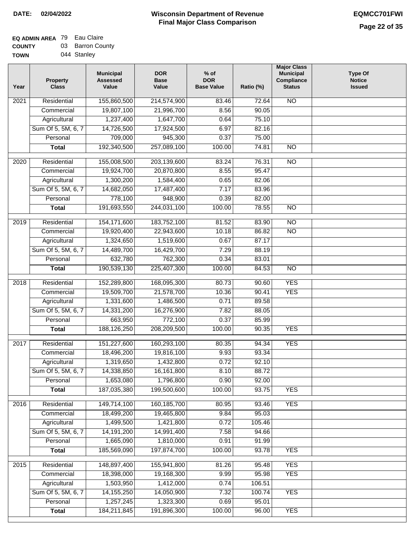| <b>TOWN</b> | 044 Stanley |
|-------------|-------------|
|-------------|-------------|

| Year              | <b>Property</b><br><b>Class</b> | <b>Municipal</b><br><b>Assessed</b><br>Value | <b>DOR</b><br><b>Base</b><br>Value | % of<br><b>DOR</b><br><b>Base Value</b> | Ratio (%) | <b>Major Class</b><br><b>Municipal</b><br>Compliance<br><b>Status</b> | <b>Type Of</b><br><b>Notice</b><br><b>Issued</b> |
|-------------------|---------------------------------|----------------------------------------------|------------------------------------|-----------------------------------------|-----------|-----------------------------------------------------------------------|--------------------------------------------------|
| $\overline{202}1$ | Residential                     | 155,860,500                                  | 214,574,900                        | 83.46                                   | 72.64     | <b>NO</b>                                                             |                                                  |
|                   | Commercial                      | 19,807,100                                   | 21,996,700                         | 8.56                                    | 90.05     |                                                                       |                                                  |
|                   | Agricultural                    | 1,237,400                                    | 1,647,700                          | 0.64                                    | 75.10     |                                                                       |                                                  |
|                   | Sum Of 5, 5M, 6, 7              | 14,726,500                                   | 17,924,500                         | 6.97                                    | 82.16     |                                                                       |                                                  |
|                   | Personal                        | 709,000                                      | 945,300                            | 0.37                                    | 75.00     |                                                                       |                                                  |
|                   | <b>Total</b>                    | 192,340,500                                  | 257,089,100                        | 100.00                                  | 74.81     | $\overline{NO}$                                                       |                                                  |
| $\overline{2020}$ | Residential                     | 155,008,500                                  | 203,139,600                        | 83.24                                   | 76.31     | $\overline{N}$                                                        |                                                  |
|                   | Commercial                      | 19,924,700                                   | 20,870,800                         | 8.55                                    | 95.47     |                                                                       |                                                  |
|                   | Agricultural                    | 1,300,200                                    | 1,584,400                          | 0.65                                    | 82.06     |                                                                       |                                                  |
|                   | Sum Of 5, 5M, 6, 7              | 14,682,050                                   | 17,487,400                         | 7.17                                    | 83.96     |                                                                       |                                                  |
|                   | Personal                        | 778,100                                      | 948,900                            | 0.39                                    | 82.00     |                                                                       |                                                  |
|                   | <b>Total</b>                    | 191,693,550                                  | 244,031,100                        | 100.00                                  | 78.55     | $\overline{NO}$                                                       |                                                  |
| 2019              | Residential                     | 154,171,600                                  | 183,752,100                        | 81.52                                   | 83.90     | $\overline{10}$                                                       |                                                  |
|                   | Commercial                      | 19,920,400                                   | 22,943,600                         | 10.18                                   | 86.82     | $\overline{NO}$                                                       |                                                  |
|                   | Agricultural                    | 1,324,650                                    | 1,519,600                          | 0.67                                    | 87.17     |                                                                       |                                                  |
|                   | Sum Of 5, 5M, 6, 7              | 14,489,700                                   | 16,429,700                         | 7.29                                    | 88.19     |                                                                       |                                                  |
|                   | Personal                        | 632,780                                      | 762,300                            | 0.34                                    | 83.01     |                                                                       |                                                  |
|                   | <b>Total</b>                    | 190,539,130                                  | 225,407,300                        | 100.00                                  | 84.53     | $\overline{NO}$                                                       |                                                  |
| 2018              | Residential                     | 152,289,800                                  | 168,095,300                        | 80.73                                   | 90.60     | <b>YES</b>                                                            |                                                  |
|                   | Commercial                      | 19,509,700                                   | 21,578,700                         | 10.36                                   | 90.41     | <b>YES</b>                                                            |                                                  |
|                   | Agricultural                    | 1,331,600                                    | 1,486,500                          | 0.71                                    | 89.58     |                                                                       |                                                  |
|                   | Sum Of 5, 5M, 6, 7              | 14,331,200                                   | 16,276,900                         | 7.82                                    | 88.05     |                                                                       |                                                  |
|                   | Personal                        | 663,950                                      | 772,100                            | 0.37                                    | 85.99     |                                                                       |                                                  |
|                   | <b>Total</b>                    | 188,126,250                                  | 208,209,500                        | 100.00                                  | 90.35     | <b>YES</b>                                                            |                                                  |
| $\overline{2017}$ | Residential                     | 151,227,600                                  | 160,293,100                        | 80.35                                   | 94.34     | <b>YES</b>                                                            |                                                  |
|                   | Commercial                      | 18,496,200                                   | 19,816,100                         | 9.93                                    | 93.34     |                                                                       |                                                  |
|                   | Agricultural                    | 1,319,650                                    | 1,432,800                          | 0.72                                    | 92.10     |                                                                       |                                                  |
|                   | Sum Of 5, 5M, 6, 7              | 14,338,850                                   | 16,161,800                         | 8.10                                    | 88.72     |                                                                       |                                                  |
|                   | Personal                        | 1,653,080                                    | 1,796,800                          | 0.90                                    | 92.00     |                                                                       |                                                  |
|                   | <b>Total</b>                    | 187,035,380                                  | 199,500,600                        | 100.00                                  | 93.75     | <b>YES</b>                                                            |                                                  |
| 2016              | Residential                     | 149,714,100                                  | 160, 185, 700                      | 80.95                                   | 93.46     | <b>YES</b>                                                            |                                                  |
|                   | Commercial                      | 18,499,200                                   | 19,465,800                         | 9.84                                    | 95.03     |                                                                       |                                                  |
|                   | Agricultural                    | 1,499,500                                    | 1,421,800                          | 0.72                                    | 105.46    |                                                                       |                                                  |
|                   | Sum Of 5, 5M, 6, 7              | 14, 191, 200                                 | 14,991,400                         | 7.58                                    | 94.66     |                                                                       |                                                  |
|                   | Personal                        | 1,665,090                                    | 1,810,000                          | 0.91                                    | 91.99     |                                                                       |                                                  |
|                   | <b>Total</b>                    | 185,569,090                                  | 197,874,700                        | 100.00                                  | 93.78     | <b>YES</b>                                                            |                                                  |
| 2015              | Residential                     | 148,897,400                                  | 155,941,800                        | 81.26                                   | 95.48     | <b>YES</b>                                                            |                                                  |
|                   | Commercial                      | 18,398,000                                   | 19,168,300                         | 9.99                                    | 95.98     | <b>YES</b>                                                            |                                                  |
|                   | Agricultural                    | 1,503,950                                    | 1,412,000                          | 0.74                                    | 106.51    |                                                                       |                                                  |
|                   | Sum Of 5, 5M, 6, 7              | 14, 155, 250                                 | 14,050,900                         | 7.32                                    | 100.74    | <b>YES</b>                                                            |                                                  |
|                   | Personal                        | 1,257,245                                    | 1,323,300                          | 0.69                                    | 95.01     |                                                                       |                                                  |
|                   | <b>Total</b>                    | 184,211,845                                  | 191,896,300                        | 100.00                                  | 96.00     | <b>YES</b>                                                            |                                                  |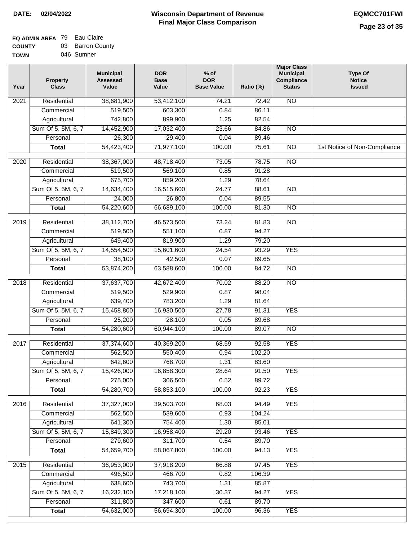| <b>TOWN</b> | 046 Sumner |  |
|-------------|------------|--|
|             |            |  |

| Year              | <b>Property</b><br><b>Class</b> | <b>Municipal</b><br><b>Assessed</b><br>Value | <b>DOR</b><br><b>Base</b><br>Value | % of<br><b>DOR</b><br><b>Base Value</b> | Ratio (%)       | <b>Major Class</b><br><b>Municipal</b><br>Compliance<br><b>Status</b> | <b>Type Of</b><br><b>Notice</b><br><b>Issued</b> |
|-------------------|---------------------------------|----------------------------------------------|------------------------------------|-----------------------------------------|-----------------|-----------------------------------------------------------------------|--------------------------------------------------|
| $\overline{202}1$ | Residential                     | 38,681,900                                   | 53,412,100                         | 74.21                                   | 72.42           | <b>NO</b>                                                             |                                                  |
|                   | Commercial                      | 519,500                                      | 603,300                            | 0.84                                    | 86.11           |                                                                       |                                                  |
|                   | Agricultural                    | 742,800                                      | 899,900                            | 1.25                                    | 82.54           |                                                                       |                                                  |
|                   | Sum Of 5, 5M, 6, 7              | 14,452,900                                   | 17,032,400                         | 23.66                                   | 84.86           | $\overline{NO}$                                                       |                                                  |
|                   | Personal                        | 26,300                                       | 29,400                             | 0.04                                    | 89.46           |                                                                       |                                                  |
|                   | <b>Total</b>                    | 54,423,400                                   | 71,977,100                         | 100.00                                  | 75.61           | $\overline{NO}$                                                       | 1st Notice of Non-Compliance                     |
| $\overline{2020}$ | Residential                     | 38,367,000                                   | 48,718,400                         | 73.05                                   | 78.75           | $\overline{NO}$                                                       |                                                  |
|                   | Commercial                      | 519,500                                      | 569,100                            | 0.85                                    | 91.28           |                                                                       |                                                  |
|                   | Agricultural                    | 675,700                                      | 859,200                            | 1.29                                    | 78.64           |                                                                       |                                                  |
|                   | Sum Of 5, 5M, 6, 7              | 14,634,400                                   | 16,515,600                         | 24.77                                   | 88.61           | $\overline{NO}$                                                       |                                                  |
|                   | Personal                        | 24,000                                       | 26,800                             | 0.04                                    | 89.55           |                                                                       |                                                  |
|                   | <b>Total</b>                    | 54,220,600                                   | 66,689,100                         | 100.00                                  | 81.30           | $\overline{NO}$                                                       |                                                  |
| 2019              | Residential                     | 38,112,700                                   | 46,573,500                         | 73.24                                   | 81.83           | $\overline{3}$                                                        |                                                  |
|                   | Commercial                      | 519,500                                      | 551,100                            | 0.87                                    | 94.27           |                                                                       |                                                  |
|                   | Agricultural                    | 649,400                                      | 819,900                            | 1.29                                    | 79.20           |                                                                       |                                                  |
|                   | Sum Of 5, 5M, 6, 7              | 14,554,500                                   | 15,601,600                         | 24.54                                   | 93.29           | <b>YES</b>                                                            |                                                  |
|                   | Personal                        | 38,100                                       | 42,500                             | 0.07                                    | 89.65           |                                                                       |                                                  |
|                   | <b>Total</b>                    | 53,874,200                                   | 63,588,600                         | 100.00                                  | 84.72           | $\overline{NO}$                                                       |                                                  |
| 2018              | Residential                     | 37,637,700                                   | 42,672,400                         | 70.02                                   | 88.20           | $\overline{10}$                                                       |                                                  |
|                   | Commercial                      | 519,500                                      | 529,900                            | 0.87                                    | 98.04           |                                                                       |                                                  |
|                   | Agricultural                    | 639,400                                      | 783,200                            | 1.29                                    | 81.64           |                                                                       |                                                  |
|                   | Sum Of 5, 5M, 6, 7              | 15,458,800                                   | 16,930,500                         | 27.78                                   | 91.31           | <b>YES</b>                                                            |                                                  |
|                   | Personal                        | 25,200                                       | 28,100                             | 0.05                                    | 89.68           |                                                                       |                                                  |
|                   | <b>Total</b>                    | 54,280,600                                   | 60,944,100                         | 100.00                                  | 89.07           | <b>NO</b>                                                             |                                                  |
| $\overline{20}17$ | Residential                     | 37,374,600                                   | 40,369,200                         | 68.59                                   | 92.58           | <b>YES</b>                                                            |                                                  |
|                   | Commercial                      | 562,500                                      | 550,400                            | 0.94                                    | 102.20          |                                                                       |                                                  |
|                   | Agricultural                    | 642,600                                      | 768,700                            | 1.31                                    | 83.60           |                                                                       |                                                  |
|                   | Sum Of 5, 5M, 6, 7              | 15,426,000                                   | 16,858,300                         | 28.64                                   | 91.50           | <b>YES</b>                                                            |                                                  |
|                   | Personal                        | 275,000                                      | 306,500                            | 0.52                                    | 89.72           |                                                                       |                                                  |
|                   | <b>Total</b>                    | 54,280,700                                   | 58,853,100                         | 100.00                                  | 92.23           | <b>YES</b>                                                            |                                                  |
| 2016              | Residential                     | 37,327,000                                   | 39,503,700                         | 68.03                                   | 94.49           | <b>YES</b>                                                            |                                                  |
|                   | Commercial                      | 562,500                                      | 539,600                            | 0.93                                    | 104.24          |                                                                       |                                                  |
|                   | Agricultural                    | 641,300                                      | 754,400                            | 1.30                                    | 85.01           |                                                                       |                                                  |
|                   | Sum Of 5, 5M, 6, 7              | 15,849,300                                   | 16,958,400                         | 29.20                                   | 93.46           | <b>YES</b>                                                            |                                                  |
|                   | Personal                        | 279,600                                      | 311,700                            | 0.54                                    | 89.70           |                                                                       |                                                  |
|                   | <b>Total</b>                    | 54,659,700                                   | 58,067,800                         | 100.00                                  | 94.13           | <b>YES</b>                                                            |                                                  |
|                   |                                 |                                              |                                    |                                         |                 | <b>YES</b>                                                            |                                                  |
| 2015              | Residential<br>Commercial       | 36,953,000<br>496,500                        | 37,918,200<br>466,700              | 66.88<br>0.82                           | 97.45<br>106.39 |                                                                       |                                                  |
|                   | Agricultural                    | 638,600                                      | 743,700                            | 1.31                                    | 85.87           |                                                                       |                                                  |
|                   | Sum Of 5, 5M, 6, 7              | 16,232,100                                   | 17,218,100                         | 30.37                                   | 94.27           | <b>YES</b>                                                            |                                                  |
|                   | Personal                        | 311,800                                      | 347,600                            | 0.61                                    | 89.70           |                                                                       |                                                  |
|                   | <b>Total</b>                    | 54,632,000                                   | 56,694,300                         | 100.00                                  | 96.36           | <b>YES</b>                                                            |                                                  |
|                   |                                 |                                              |                                    |                                         |                 |                                                                       |                                                  |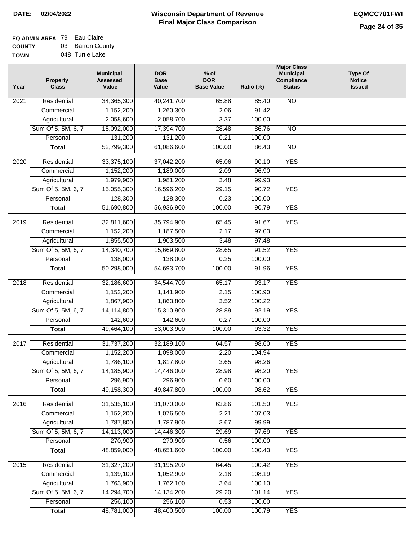## **EQ ADMIN AREA** 79 Eau Claire **COUNTY** 03 Barron County

**TOWN** 048 Turtle Lake

| Year | <b>Property</b><br><b>Class</b>    | <b>Municipal</b><br><b>Assessed</b><br>Value | <b>DOR</b><br><b>Base</b><br>Value | $%$ of<br><b>DOR</b><br><b>Base Value</b> | Ratio (%) | <b>Major Class</b><br><b>Municipal</b><br>Compliance<br><b>Status</b> | <b>Type Of</b><br><b>Notice</b><br><b>Issued</b> |
|------|------------------------------------|----------------------------------------------|------------------------------------|-------------------------------------------|-----------|-----------------------------------------------------------------------|--------------------------------------------------|
| 2021 | Residential                        | 34,365,300                                   | 40,241,700                         | 65.88                                     | 85.40     | <b>NO</b>                                                             |                                                  |
|      | Commercial                         | 1,152,200                                    | 1,260,300                          | 2.06                                      | 91.42     |                                                                       |                                                  |
|      | Agricultural                       | 2,058,600                                    | 2,058,700                          | 3.37                                      | 100.00    |                                                                       |                                                  |
|      | Sum Of 5, 5M, 6, 7                 | 15,092,000                                   | 17,394,700                         | 28.48                                     | 86.76     | $\overline{NO}$                                                       |                                                  |
|      | Personal                           | 131,200                                      | 131,200                            | 0.21                                      | 100.00    |                                                                       |                                                  |
|      | <b>Total</b>                       | 52,799,300                                   | 61,086,600                         | 100.00                                    | 86.43     | $\overline{NO}$                                                       |                                                  |
| 2020 | Residential                        | 33,375,100                                   | 37,042,200                         | 65.06                                     | 90.10     | <b>YES</b>                                                            |                                                  |
|      | Commercial                         | 1,152,200                                    | 1,189,000                          | 2.09                                      | 96.90     |                                                                       |                                                  |
|      | Agricultural                       | 1,979,900                                    | 1,981,200                          | 3.48                                      | 99.93     |                                                                       |                                                  |
|      | Sum Of 5, 5M, 6, 7                 | 15,055,300                                   | 16,596,200                         | 29.15                                     | 90.72     | <b>YES</b>                                                            |                                                  |
|      | Personal                           | 128,300                                      | 128,300                            | 0.23                                      | 100.00    |                                                                       |                                                  |
|      | <b>Total</b>                       | 51,690,800                                   | 56,936,900                         | 100.00                                    | 90.79     | <b>YES</b>                                                            |                                                  |
| 2019 | Residential                        |                                              |                                    | 65.45                                     | 91.67     | <b>YES</b>                                                            |                                                  |
|      | Commercial                         | 32,811,600<br>1,152,200                      | 35,794,900<br>1,187,500            | 2.17                                      | 97.03     |                                                                       |                                                  |
|      |                                    | 1,855,500                                    | 1,903,500                          | 3.48                                      | 97.48     |                                                                       |                                                  |
|      | Agricultural<br>Sum Of 5, 5M, 6, 7 | 14,340,700                                   | 15,669,800                         | 28.65                                     | 91.52     | <b>YES</b>                                                            |                                                  |
|      | Personal                           | 138,000                                      | 138,000                            | 0.25                                      | 100.00    |                                                                       |                                                  |
|      | <b>Total</b>                       | 50,298,000                                   | 54,693,700                         | 100.00                                    | 91.96     | <b>YES</b>                                                            |                                                  |
|      |                                    |                                              |                                    |                                           |           |                                                                       |                                                  |
| 2018 | Residential                        | 32,186,600                                   | 34,544,700                         | 65.17                                     | 93.17     | <b>YES</b>                                                            |                                                  |
|      | Commercial                         | 1,152,200                                    | 1,141,900                          | 2.15                                      | 100.90    |                                                                       |                                                  |
|      | Agricultural                       | 1,867,900                                    | 1,863,800                          | 3.52                                      | 100.22    |                                                                       |                                                  |
|      | Sum Of 5, 5M, 6, 7                 | 14,114,800                                   | 15,310,900                         | 28.89                                     | 92.19     | <b>YES</b>                                                            |                                                  |
|      | Personal                           | 142,600                                      | 142,600                            | 0.27                                      | 100.00    |                                                                       |                                                  |
|      | <b>Total</b>                       | 49,464,100                                   | 53,003,900                         | 100.00                                    | 93.32     | <b>YES</b>                                                            |                                                  |
| 2017 | Residential                        | 31,737,200                                   | 32,189,100                         | 64.57                                     | 98.60     | <b>YES</b>                                                            |                                                  |
|      | Commercial                         | 1,152,200                                    | 1,098,000                          | 2.20                                      | 104.94    |                                                                       |                                                  |
|      | Agricultural                       | 1,786,100                                    | 1,817,800                          | 3.65                                      | 98.26     |                                                                       |                                                  |
|      | Sum Of 5, 5M, 6, 7                 | 14,185,900                                   | 14,446,000                         | 28.98                                     | 98.20     | <b>YES</b>                                                            |                                                  |
|      | Personal                           | 296,900                                      | 296,900                            | 0.60                                      | 100.00    |                                                                       |                                                  |
|      | <b>Total</b>                       | 49,158,300                                   | 49,847,800                         | 100.00                                    | 98.62     | <b>YES</b>                                                            |                                                  |
| 2016 | Residential                        | 31,535,100                                   | 31,070,000                         | 63.86                                     | 101.50    | <b>YES</b>                                                            |                                                  |
|      | Commercial                         | 1,152,200                                    | 1,076,500                          | 2.21                                      | 107.03    |                                                                       |                                                  |
|      | Agricultural                       | 1,787,800                                    | 1,787,900                          | 3.67                                      | 99.99     |                                                                       |                                                  |
|      | Sum Of 5, 5M, 6, 7                 | 14,113,000                                   | 14,446,300                         | 29.69                                     | 97.69     | <b>YES</b>                                                            |                                                  |
|      | Personal                           | 270,900                                      | 270,900                            | 0.56                                      | 100.00    |                                                                       |                                                  |
|      | <b>Total</b>                       | 48,859,000                                   | 48,651,600                         | 100.00                                    | 100.43    | <b>YES</b>                                                            |                                                  |
| 2015 | Residential                        | 31,327,200                                   | 31,195,200                         | 64.45                                     | 100.42    | <b>YES</b>                                                            |                                                  |
|      | Commercial                         | 1,139,100                                    | 1,052,900                          | 2.18                                      | 108.19    |                                                                       |                                                  |
|      | Agricultural                       | 1,763,900                                    | 1,762,100                          | 3.64                                      | 100.10    |                                                                       |                                                  |
|      | Sum Of 5, 5M, 6, 7                 | 14,294,700                                   | 14, 134, 200                       | 29.20                                     | 101.14    | <b>YES</b>                                                            |                                                  |
|      | Personal                           | 256,100                                      | 256,100                            | 0.53                                      | 100.00    |                                                                       |                                                  |
|      | <b>Total</b>                       | 48,781,000                                   | 48,400,500                         | 100.00                                    | 100.79    | <b>YES</b>                                                            |                                                  |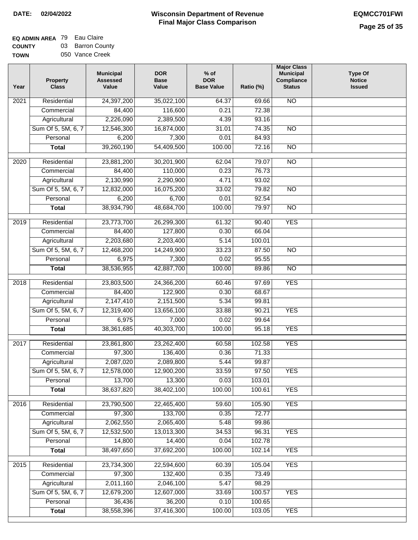| <b>EQ ADMIN AREA</b> 79 Eau Claire |                  |
|------------------------------------|------------------|
| <b>COUNTY</b>                      | 03 Barron County |
| <b>TOWN</b>                        | 050 Vance Creek  |

|  | 050 Vance Creek |  |
|--|-----------------|--|
|  |                 |  |

| Year              | <b>Property</b><br><b>Class</b> | <b>Municipal</b><br><b>Assessed</b><br>Value | <b>DOR</b><br><b>Base</b><br>Value | % of<br><b>DOR</b><br><b>Base Value</b> | Ratio (%) | <b>Major Class</b><br><b>Municipal</b><br>Compliance<br><b>Status</b> | <b>Type Of</b><br><b>Notice</b><br><b>Issued</b> |
|-------------------|---------------------------------|----------------------------------------------|------------------------------------|-----------------------------------------|-----------|-----------------------------------------------------------------------|--------------------------------------------------|
| $\overline{202}1$ | Residential                     | 24,397,200                                   | 35,022,100                         | 64.37                                   | 69.66     | <b>NO</b>                                                             |                                                  |
|                   | Commercial                      | 84,400                                       | 116,600                            | 0.21                                    | 72.38     |                                                                       |                                                  |
|                   | Agricultural                    | 2,226,090                                    | 2,389,500                          | 4.39                                    | 93.16     |                                                                       |                                                  |
|                   | Sum Of 5, 5M, 6, 7              | 12,546,300                                   | 16,874,000                         | 31.01                                   | 74.35     | $\overline{NO}$                                                       |                                                  |
|                   | Personal                        | 6,200                                        | 7,300                              | 0.01                                    | 84.93     |                                                                       |                                                  |
|                   | <b>Total</b>                    | 39,260,190                                   | 54,409,500                         | 100.00                                  | 72.16     | $\overline{NO}$                                                       |                                                  |
| $\overline{2020}$ | Residential                     | 23,881,200                                   | 30,201,900                         | 62.04                                   | 79.07     | $\overline{N}$                                                        |                                                  |
|                   | Commercial                      | 84,400                                       | 110,000                            | 0.23                                    | 76.73     |                                                                       |                                                  |
|                   | Agricultural                    | 2,130,990                                    | 2,290,900                          | 4.71                                    | 93.02     |                                                                       |                                                  |
|                   | Sum Of 5, 5M, 6, 7              | 12,832,000                                   | 16,075,200                         | 33.02                                   | 79.82     | $\overline{NO}$                                                       |                                                  |
|                   | Personal                        | 6,200                                        | 6,700                              | 0.01                                    | 92.54     |                                                                       |                                                  |
|                   | <b>Total</b>                    | 38,934,790                                   | 48,684,700                         | 100.00                                  | 79.97     | $\overline{NO}$                                                       |                                                  |
| $\frac{2019}{ }$  | Residential                     | 23,773,700                                   | 26,299,300                         | 61.32                                   | 90.40     | <b>YES</b>                                                            |                                                  |
|                   | Commercial                      | 84,400                                       | 127,800                            | 0.30                                    | 66.04     |                                                                       |                                                  |
|                   | Agricultural                    | 2,203,680                                    | 2,203,400                          | 5.14                                    | 100.01    |                                                                       |                                                  |
|                   | Sum Of 5, 5M, 6, 7              | 12,468,200                                   | 14,249,900                         | 33.23                                   | 87.50     | $\overline{NO}$                                                       |                                                  |
|                   | Personal                        | 6,975                                        | 7,300                              | 0.02                                    | 95.55     |                                                                       |                                                  |
|                   | <b>Total</b>                    | 38,536,955                                   | 42,887,700                         | 100.00                                  | 89.86     | $\overline{NO}$                                                       |                                                  |
| 2018              | Residential                     | 23,803,500                                   | 24,366,200                         | 60.46                                   | 97.69     | <b>YES</b>                                                            |                                                  |
|                   | Commercial                      | 84,400                                       | 122,900                            | 0.30                                    | 68.67     |                                                                       |                                                  |
|                   | Agricultural                    | 2,147,410                                    | 2,151,500                          | 5.34                                    | 99.81     |                                                                       |                                                  |
|                   | Sum Of 5, 5M, 6, 7              | 12,319,400                                   | 13,656,100                         | 33.88                                   | 90.21     | <b>YES</b>                                                            |                                                  |
|                   | Personal                        | 6,975                                        | 7,000                              | 0.02                                    | 99.64     |                                                                       |                                                  |
|                   | <b>Total</b>                    | 38,361,685                                   | 40,303,700                         | 100.00                                  | 95.18     | <b>YES</b>                                                            |                                                  |
| $\overline{20}17$ | Residential                     | 23,861,800                                   | 23,262,400                         | 60.58                                   | 102.58    | <b>YES</b>                                                            |                                                  |
|                   | Commercial                      | 97,300                                       | 136,400                            | 0.36                                    | 71.33     |                                                                       |                                                  |
|                   | Agricultural                    | 2,087,020                                    | 2,089,800                          | 5.44                                    | 99.87     |                                                                       |                                                  |
|                   | Sum Of 5, 5M, 6, 7              | 12,578,000                                   | 12,900,200                         | 33.59                                   | 97.50     | <b>YES</b>                                                            |                                                  |
|                   | Personal                        | 13,700                                       | 13,300                             | 0.03                                    | 103.01    |                                                                       |                                                  |
|                   | <b>Total</b>                    | 38,637,820                                   | 38,402,100                         | 100.00                                  | 100.61    | <b>YES</b>                                                            |                                                  |
|                   |                                 |                                              |                                    |                                         |           |                                                                       |                                                  |
| 2016              | Residential                     | 23,790,500                                   | 22,465,400                         | 59.60                                   | 105.90    | <b>YES</b>                                                            |                                                  |
|                   | Commercial                      | 97,300                                       | 133,700                            | 0.35                                    | 72.77     |                                                                       |                                                  |
|                   | Agricultural                    | 2,062,550                                    | 2,065,400                          | 5.48                                    | 99.86     |                                                                       |                                                  |
|                   | Sum Of 5, 5M, 6, 7              | 12,532,500                                   | 13,013,300                         | 34.53                                   | 96.31     | <b>YES</b>                                                            |                                                  |
|                   | Personal                        | 14,800                                       | 14,400                             | 0.04                                    | 102.78    |                                                                       |                                                  |
|                   | <b>Total</b>                    | 38,497,650                                   | 37,692,200                         | 100.00                                  | 102.14    | <b>YES</b>                                                            |                                                  |
| 2015              | Residential                     | 23,734,300                                   | 22,594,600                         | 60.39                                   | 105.04    | <b>YES</b>                                                            |                                                  |
|                   | Commercial                      | 97,300                                       | 132,400                            | 0.35                                    | 73.49     |                                                                       |                                                  |
|                   | Agricultural                    | 2,011,160                                    | 2,046,100                          | 5.47                                    | 98.29     |                                                                       |                                                  |
|                   | Sum Of 5, 5M, 6, 7              | 12,679,200                                   | 12,607,000                         | 33.69                                   | 100.57    | <b>YES</b>                                                            |                                                  |
|                   | Personal                        | 36,436                                       | 36,200                             | 0.10                                    | 100.65    |                                                                       |                                                  |
|                   | <b>Total</b>                    | 38,558,396                                   | 37,416,300                         | 100.00                                  | 103.05    | <b>YES</b>                                                            |                                                  |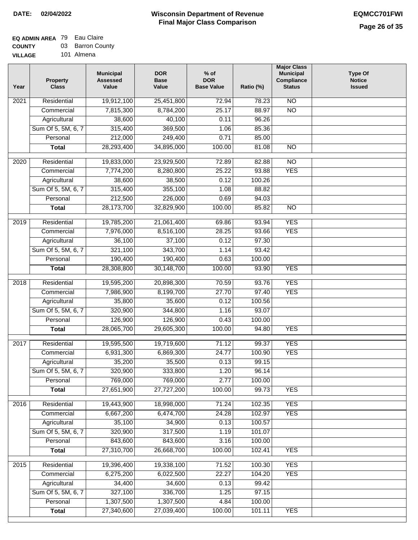# **EQ ADMIN AREA** 79 Eau Claire

**COUNTY VILLAGE** 03 Barron County

101 Almena

| Year | <b>Property</b><br><b>Class</b> | <b>Municipal</b><br><b>Assessed</b><br>Value | <b>DOR</b><br><b>Base</b><br>Value | $%$ of<br><b>DOR</b><br><b>Base Value</b> | Ratio (%) | <b>Major Class</b><br><b>Municipal</b><br>Compliance<br><b>Status</b> | <b>Type Of</b><br><b>Notice</b><br><b>Issued</b> |
|------|---------------------------------|----------------------------------------------|------------------------------------|-------------------------------------------|-----------|-----------------------------------------------------------------------|--------------------------------------------------|
| 2021 | Residential                     | 19,912,100                                   | 25,451,800                         | 72.94                                     | 78.23     | $\overline{NO}$                                                       |                                                  |
|      | Commercial                      | 7,815,300                                    | 8,784,200                          | 25.17                                     | 88.97     | $\overline{NO}$                                                       |                                                  |
|      | Agricultural                    | 38,600                                       | 40,100                             | 0.11                                      | 96.26     |                                                                       |                                                  |
|      | Sum Of 5, 5M, 6, 7              | 315,400                                      | 369,500                            | 1.06                                      | 85.36     |                                                                       |                                                  |
|      | Personal                        | 212,000                                      | 249,400                            | 0.71                                      | 85.00     |                                                                       |                                                  |
|      | <b>Total</b>                    | 28,293,400                                   | 34,895,000                         | 100.00                                    | 81.08     | $\overline{NO}$                                                       |                                                  |
| 2020 | Residential                     | 19,833,000                                   | 23,929,500                         | 72.89                                     | 82.88     | $\overline{NO}$                                                       |                                                  |
|      | Commercial                      | 7,774,200                                    | 8,280,800                          | 25.22                                     | 93.88     | <b>YES</b>                                                            |                                                  |
|      | Agricultural                    | 38,600                                       | 38,500                             | 0.12                                      | 100.26    |                                                                       |                                                  |
|      | Sum Of 5, 5M, 6, 7              | 315,400                                      | 355,100                            | 1.08                                      | 88.82     |                                                                       |                                                  |
|      | Personal                        | 212,500                                      | 226,000                            | 0.69                                      | 94.03     |                                                                       |                                                  |
|      | <b>Total</b>                    | 28,173,700                                   | 32,829,900                         | 100.00                                    | 85.82     | $\overline{NO}$                                                       |                                                  |
| 2019 | Residential                     | 19,785,200                                   | 21,061,400                         | 69.86                                     | 93.94     | <b>YES</b>                                                            |                                                  |
|      | Commercial                      | 7,976,000                                    | 8,516,100                          | 28.25                                     | 93.66     | <b>YES</b>                                                            |                                                  |
|      | Agricultural                    | 36,100                                       | 37,100                             | 0.12                                      | 97.30     |                                                                       |                                                  |
|      | Sum Of 5, 5M, 6, 7              | 321,100                                      | 343,700                            | 1.14                                      | 93.42     |                                                                       |                                                  |
|      | Personal                        | 190,400                                      | 190,400                            | 0.63                                      | 100.00    |                                                                       |                                                  |
|      | <b>Total</b>                    | 28,308,800                                   | 30,148,700                         | 100.00                                    | 93.90     | <b>YES</b>                                                            |                                                  |
| 2018 | Residential                     | 19,595,200                                   | 20,898,300                         | 70.59                                     | 93.76     | <b>YES</b>                                                            |                                                  |
|      | Commercial                      | 7,986,900                                    | 8,199,700                          | 27.70                                     | 97.40     | <b>YES</b>                                                            |                                                  |
|      | Agricultural                    | 35,800                                       | 35,600                             | 0.12                                      | 100.56    |                                                                       |                                                  |
|      | Sum Of 5, 5M, 6, 7              | 320,900                                      | 344,800                            | 1.16                                      | 93.07     |                                                                       |                                                  |
|      | Personal                        | 126,900                                      | 126,900                            | 0.43                                      | 100.00    |                                                                       |                                                  |
|      | <b>Total</b>                    | 28,065,700                                   | 29,605,300                         | 100.00                                    | 94.80     | <b>YES</b>                                                            |                                                  |
| 2017 | Residential                     | 19,595,500                                   | 19,719,600                         | 71.12                                     | 99.37     | <b>YES</b>                                                            |                                                  |
|      | Commercial                      | 6,931,300                                    | 6,869,300                          | 24.77                                     | 100.90    | <b>YES</b>                                                            |                                                  |
|      | Agricultural                    | 35,200                                       | 35,500                             | 0.13                                      | 99.15     |                                                                       |                                                  |
|      | Sum Of 5, 5M, 6, 7              | 320,900                                      | 333,800                            | 1.20                                      | 96.14     |                                                                       |                                                  |
|      | Personal                        | 769,000                                      | 769,000                            | 2.77                                      | 100.00    |                                                                       |                                                  |
|      | <b>Total</b>                    | 27,651,900                                   | 27,727,200                         | 100.00                                    | 99.73     | <b>YES</b>                                                            |                                                  |
|      |                                 |                                              |                                    |                                           |           |                                                                       |                                                  |
| 2016 | Residential                     | 19,443,900                                   | 18,998,000                         | 71.24                                     | 102.35    | <b>YES</b>                                                            |                                                  |
|      | Commercial                      | 6,667,200                                    | 6,474,700                          | 24.28                                     | 102.97    | <b>YES</b>                                                            |                                                  |
|      | Agricultural                    | 35,100                                       | 34,900                             | 0.13                                      | 100.57    |                                                                       |                                                  |
|      | Sum Of 5, 5M, 6, 7              | 320,900                                      | 317,500                            | 1.19                                      | 101.07    |                                                                       |                                                  |
|      | Personal                        | 843,600                                      | 843,600                            | 3.16                                      | 100.00    |                                                                       |                                                  |
|      | <b>Total</b>                    | 27,310,700                                   | 26,668,700                         | 100.00                                    | 102.41    | <b>YES</b>                                                            |                                                  |
| 2015 | Residential                     | 19,396,400                                   | 19,338,100                         | 71.52                                     | 100.30    | <b>YES</b>                                                            |                                                  |
|      | Commercial                      | 6,275,200                                    | 6,022,500                          | 22.27                                     | 104.20    | <b>YES</b>                                                            |                                                  |
|      | Agricultural                    | 34,400                                       | 34,600                             | 0.13                                      | 99.42     |                                                                       |                                                  |
|      | Sum Of 5, 5M, 6, 7              | 327,100                                      | 336,700                            | 1.25                                      | 97.15     |                                                                       |                                                  |
|      | Personal                        | 1,307,500                                    | 1,307,500                          | 4.84                                      | 100.00    |                                                                       |                                                  |
|      | <b>Total</b>                    | 27,340,600                                   | 27,039,400                         | 100.00                                    | 101.11    | <b>YES</b>                                                            |                                                  |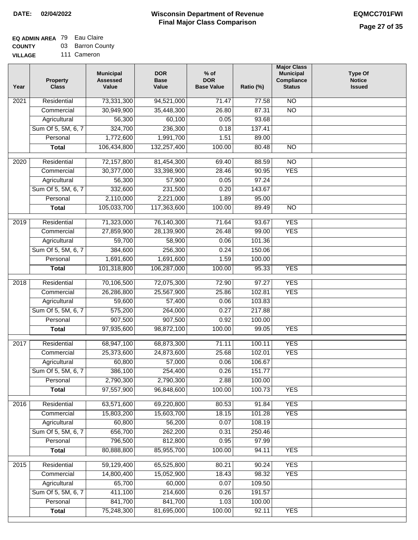## **EQ ADMIN AREA** 79 Eau Claire

**COUNTY VILLAGE** 03 Barron County 111 Cameron

| Year | <b>Property</b><br><b>Class</b> | <b>Municipal</b><br><b>Assessed</b><br>Value | <b>DOR</b><br><b>Base</b><br>Value | $%$ of<br><b>DOR</b><br><b>Base Value</b> | Ratio (%) | <b>Major Class</b><br><b>Municipal</b><br>Compliance<br><b>Status</b> | <b>Type Of</b><br><b>Notice</b><br><b>Issued</b> |
|------|---------------------------------|----------------------------------------------|------------------------------------|-------------------------------------------|-----------|-----------------------------------------------------------------------|--------------------------------------------------|
| 2021 | Residential                     | 73,331,300                                   | 94,521,000                         | 71.47                                     | 77.58     | $\overline{NO}$                                                       |                                                  |
|      | Commercial                      | 30,949,900                                   | 35,448,300                         | 26.80                                     | 87.31     | $\overline{NO}$                                                       |                                                  |
|      | Agricultural                    | 56,300                                       | 60,100                             | 0.05                                      | 93.68     |                                                                       |                                                  |
|      | Sum Of 5, 5M, 6, 7              | 324,700                                      | 236,300                            | 0.18                                      | 137.41    |                                                                       |                                                  |
|      | Personal                        | 1,772,600                                    | 1,991,700                          | 1.51                                      | 89.00     |                                                                       |                                                  |
|      | <b>Total</b>                    | 106,434,800                                  | 132,257,400                        | 100.00                                    | 80.48     | $\overline{NO}$                                                       |                                                  |
| 2020 | Residential                     | 72,157,800                                   | 81,454,300                         | 69.40                                     | 88.59     | $\overline{NO}$                                                       |                                                  |
|      | Commercial                      | 30,377,000                                   | 33,398,900                         | 28.46                                     | 90.95     | <b>YES</b>                                                            |                                                  |
|      | Agricultural                    | 56,300                                       | 57,900                             | 0.05                                      | 97.24     |                                                                       |                                                  |
|      | Sum Of 5, 5M, 6, 7              | 332,600                                      | 231,500                            | 0.20                                      | 143.67    |                                                                       |                                                  |
|      | Personal                        | 2,110,000                                    | 2,221,000                          | 1.89                                      | 95.00     |                                                                       |                                                  |
|      | <b>Total</b>                    | 105,033,700                                  | 117,363,600                        | 100.00                                    | 89.49     | $\overline{NO}$                                                       |                                                  |
|      |                                 |                                              |                                    |                                           |           |                                                                       |                                                  |
| 2019 | Residential                     | 71,323,000                                   | 76,140,300                         | 71.64                                     | 93.67     | <b>YES</b>                                                            |                                                  |
|      | Commercial                      | 27,859,900                                   | 28,139,900                         | 26.48                                     | 99.00     | <b>YES</b>                                                            |                                                  |
|      | Agricultural                    | 59,700                                       | 58,900                             | 0.06                                      | 101.36    |                                                                       |                                                  |
|      | Sum Of 5, 5M, 6, 7              | 384,600                                      | 256,300                            | 0.24                                      | 150.06    |                                                                       |                                                  |
|      | Personal                        | 1,691,600                                    | 1,691,600                          | 1.59                                      | 100.00    |                                                                       |                                                  |
|      | <b>Total</b>                    | 101,318,800                                  | 106,287,000                        | 100.00                                    | 95.33     | <b>YES</b>                                                            |                                                  |
| 2018 | Residential                     | 70,106,500                                   | 72,075,300                         | 72.90                                     | 97.27     | <b>YES</b>                                                            |                                                  |
|      | Commercial                      | 26,286,800                                   | 25,567,900                         | 25.86                                     | 102.81    | <b>YES</b>                                                            |                                                  |
|      | Agricultural                    | 59,600                                       | 57,400                             | 0.06                                      | 103.83    |                                                                       |                                                  |
|      | Sum Of 5, 5M, 6, 7              | 575,200                                      | 264,000                            | 0.27                                      | 217.88    |                                                                       |                                                  |
|      | Personal                        | 907,500                                      | 907,500                            | 0.92                                      | 100.00    |                                                                       |                                                  |
|      | <b>Total</b>                    | 97,935,600                                   | 98,872,100                         | 100.00                                    | 99.05     | <b>YES</b>                                                            |                                                  |
|      |                                 |                                              |                                    |                                           |           |                                                                       |                                                  |
| 2017 | Residential                     | 68,947,100                                   | 68,873,300                         | 71.11                                     | 100.11    | <b>YES</b>                                                            |                                                  |
|      | Commercial                      | 25,373,600                                   | 24,873,600                         | 25.68                                     | 102.01    | <b>YES</b>                                                            |                                                  |
|      | Agricultural                    | 60,800                                       | 57,000                             | 0.06                                      | 106.67    |                                                                       |                                                  |
|      | Sum Of 5, 5M, 6, 7              | 386,100                                      | 254,400                            | 0.26                                      | 151.77    |                                                                       |                                                  |
|      | Personal                        | 2,790,300                                    | 2,790,300                          | 2.88                                      | 100.00    |                                                                       |                                                  |
|      | <b>Total</b>                    | 97,557,900                                   | 96,848,600                         | 100.00                                    | 100.73    | <b>YES</b>                                                            |                                                  |
| 2016 | Residential                     | 63,571,600                                   | 69,220,800                         | 80.53                                     | 91.84     | <b>YES</b>                                                            |                                                  |
|      | Commercial                      | 15,803,200                                   | 15,603,700                         | 18.15                                     | 101.28    | <b>YES</b>                                                            |                                                  |
|      | Agricultural                    | 60,800                                       | 56,200                             | 0.07                                      | 108.19    |                                                                       |                                                  |
|      | Sum Of 5, 5M, 6, 7              | 656,700                                      | 262,200                            | 0.31                                      | 250.46    |                                                                       |                                                  |
|      | Personal                        | 796,500                                      | 812,800                            | 0.95                                      | 97.99     |                                                                       |                                                  |
|      | <b>Total</b>                    | 80,888,800                                   | 85,955,700                         | 100.00                                    | 94.11     | <b>YES</b>                                                            |                                                  |
|      |                                 |                                              |                                    |                                           |           |                                                                       |                                                  |
| 2015 | Residential                     | 59,129,400                                   | 65,525,800                         | 80.21                                     | 90.24     | <b>YES</b>                                                            |                                                  |
|      | Commercial                      | 14,800,400                                   | 15,052,900                         | 18.43                                     | 98.32     | <b>YES</b>                                                            |                                                  |
|      | Agricultural                    | 65,700                                       | 60,000                             | 0.07                                      | 109.50    |                                                                       |                                                  |
|      | Sum Of 5, 5M, 6, 7              | 411,100                                      | 214,600                            | 0.26                                      | 191.57    |                                                                       |                                                  |
|      | Personal                        | 841,700                                      | 841,700                            | 1.03                                      | 100.00    |                                                                       |                                                  |
|      | <b>Total</b>                    | 75,248,300                                   | 81,695,000                         | 100.00                                    | 92.11     | <b>YES</b>                                                            |                                                  |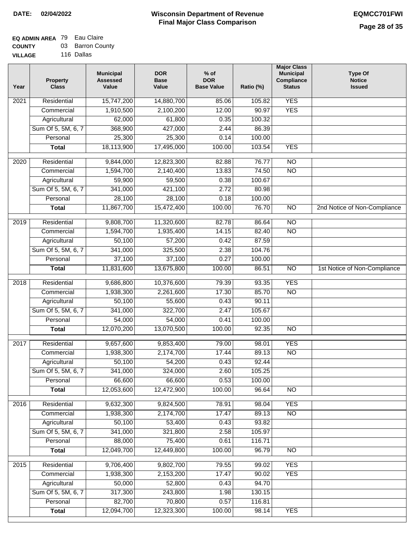## **EQ ADMIN AREA** 79 Eau Claire **COUNTY** 03 Barron County

**VILLAGE** 116 Dallas

| Year | <b>Property</b><br><b>Class</b> | <b>Municipal</b><br><b>Assessed</b><br>Value | <b>DOR</b><br><b>Base</b><br>Value | $%$ of<br><b>DOR</b><br><b>Base Value</b> | Ratio (%)      | <b>Major Class</b><br><b>Municipal</b><br>Compliance<br><b>Status</b> | <b>Type Of</b><br><b>Notice</b><br><b>Issued</b> |
|------|---------------------------------|----------------------------------------------|------------------------------------|-------------------------------------------|----------------|-----------------------------------------------------------------------|--------------------------------------------------|
| 2021 | Residential                     | 15,747,200                                   | 14,880,700                         | 85.06                                     | 105.82         | <b>YES</b>                                                            |                                                  |
|      | Commercial                      | 1,910,500                                    | 2,100,200                          | 12.00                                     | 90.97          | <b>YES</b>                                                            |                                                  |
|      | Agricultural                    | 62,000                                       | 61,800                             | 0.35                                      | 100.32         |                                                                       |                                                  |
|      | Sum Of 5, 5M, 6, 7              | 368,900                                      | 427,000                            | 2.44                                      | 86.39          |                                                                       |                                                  |
|      | Personal                        | 25,300                                       | 25,300                             | 0.14                                      | 100.00         |                                                                       |                                                  |
|      | <b>Total</b>                    | 18,113,900                                   | 17,495,000                         | 100.00                                    | 103.54         | <b>YES</b>                                                            |                                                  |
| 2020 | Residential                     | 9,844,000                                    | 12,823,300                         | 82.88                                     | 76.77          | $\overline{NO}$                                                       |                                                  |
|      | Commercial                      | 1,594,700                                    | 2,140,400                          | 13.83                                     | 74.50          | $\overline{NO}$                                                       |                                                  |
|      | Agricultural                    | 59,900                                       | 59,500                             | 0.38                                      | 100.67         |                                                                       |                                                  |
|      | Sum Of 5, 5M, 6, 7              | 341,000                                      | 421,100                            | 2.72                                      | 80.98          |                                                                       |                                                  |
|      | Personal                        | 28,100                                       | 28,100                             | 0.18                                      | 100.00         |                                                                       |                                                  |
|      | <b>Total</b>                    | 11,867,700                                   | 15,472,400                         | 100.00                                    | 76.70          | $\overline{NO}$                                                       | 2nd Notice of Non-Compliance                     |
| 2019 | Residential                     | 9,808,700                                    | 11,320,600                         | 82.78                                     | 86.64          | $\overline{10}$                                                       |                                                  |
|      | Commercial                      | 1,594,700                                    | 1,935,400                          | 14.15                                     | 82.40          | $\overline{NO}$                                                       |                                                  |
|      | Agricultural                    | 50,100                                       | 57,200                             | 0.42                                      | 87.59          |                                                                       |                                                  |
|      | Sum Of 5, 5M, 6, 7              | 341,000                                      | 325,500                            | 2.38                                      | 104.76         |                                                                       |                                                  |
|      | Personal                        | 37,100                                       | 37,100                             | 0.27                                      | 100.00         |                                                                       |                                                  |
|      | <b>Total</b>                    | 11,831,600                                   | 13,675,800                         | 100.00                                    | 86.51          | $\overline{NO}$                                                       | 1st Notice of Non-Compliance                     |
| 2018 | Residential                     | 9,686,800                                    | 10,376,600                         | 79.39                                     | 93.35          | <b>YES</b>                                                            |                                                  |
|      | Commercial                      | 1,938,300                                    | 2,261,600                          | 17.30                                     | 85.70          | <b>NO</b>                                                             |                                                  |
|      | Agricultural                    | 50,100                                       | 55,600                             | 0.43                                      | 90.11          |                                                                       |                                                  |
|      | Sum Of 5, 5M, 6, 7              | 341,000                                      | 322,700                            | 2.47                                      | 105.67         |                                                                       |                                                  |
|      | Personal                        | 54,000                                       | 54,000                             | 0.41                                      | 100.00         |                                                                       |                                                  |
|      | <b>Total</b>                    | 12,070,200                                   | 13,070,500                         | 100.00                                    | 92.35          | <b>NO</b>                                                             |                                                  |
|      |                                 |                                              |                                    |                                           |                |                                                                       |                                                  |
| 2017 | Residential                     | 9,657,600                                    | 9,853,400                          | 79.00                                     | 98.01          | <b>YES</b><br><b>NO</b>                                               |                                                  |
|      | Commercial<br>Agricultural      | 1,938,300<br>50,100                          | 2,174,700<br>54,200                | 17.44<br>0.43                             | 89.13<br>92.44 |                                                                       |                                                  |
|      | Sum Of 5, 5M, 6, 7              | 341,000                                      | 324,000                            | 2.60                                      | 105.25         |                                                                       |                                                  |
|      | Personal                        | 66,600                                       | 66,600                             | 0.53                                      | 100.00         |                                                                       |                                                  |
|      | <b>Total</b>                    | 12,053,600                                   | 12,472,900                         | 100.00                                    | 96.64          | <b>NO</b>                                                             |                                                  |
|      |                                 |                                              |                                    |                                           |                |                                                                       |                                                  |
| 2016 | Residential                     | 9,632,300                                    | 9,824,500                          | 78.91                                     | 98.04          | <b>YES</b>                                                            |                                                  |
|      | Commercial                      | 1,938,300                                    | 2,174,700                          | 17.47                                     | 89.13          | $\overline{NO}$                                                       |                                                  |
|      | Agricultural                    | 50,100                                       | 53,400                             | 0.43                                      | 93.82          |                                                                       |                                                  |
|      | Sum Of 5, 5M, 6, 7              | 341,000                                      | 321,800                            | 2.58                                      | 105.97         |                                                                       |                                                  |
|      | Personal                        | 88,000                                       | 75,400                             | 0.61                                      | 116.71         |                                                                       |                                                  |
|      | <b>Total</b>                    | 12,049,700                                   | 12,449,800                         | 100.00                                    | 96.79          | N <sub>O</sub>                                                        |                                                  |
| 2015 | Residential                     | 9,706,400                                    | 9,802,700                          | 79.55                                     | 99.02          | <b>YES</b>                                                            |                                                  |
|      | Commercial                      | 1,938,300                                    | 2,153,200                          | 17.47                                     | 90.02          | <b>YES</b>                                                            |                                                  |
|      | Agricultural                    | 50,000                                       | 52,800                             | 0.43                                      | 94.70          |                                                                       |                                                  |
|      | Sum Of 5, 5M, 6, 7              | 317,300                                      | 243,800                            | 1.98                                      | 130.15         |                                                                       |                                                  |
|      | Personal                        | 82,700                                       | 70,800                             | 0.57                                      | 116.81         |                                                                       |                                                  |
|      | <b>Total</b>                    | 12,094,700                                   | 12,323,300                         | 100.00                                    | 98.14          | <b>YES</b>                                                            |                                                  |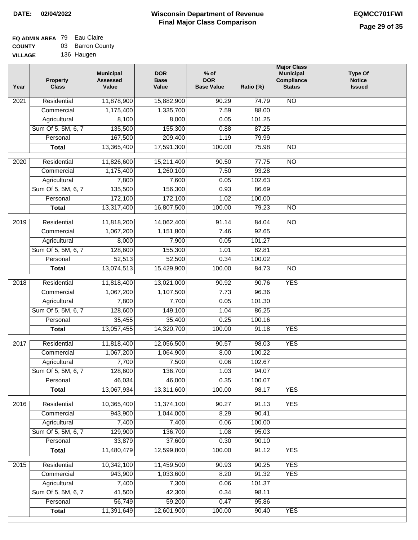## **EQ ADMIN AREA** 79 Eau Claire **COUNTY** 03 Barron County

**VILLAGE** 136 Haugen

| Year | <b>Property</b><br><b>Class</b> | <b>Municipal</b><br><b>Assessed</b><br>Value | <b>DOR</b><br><b>Base</b><br>Value | $%$ of<br><b>DOR</b><br><b>Base Value</b> | Ratio (%)       | <b>Major Class</b><br><b>Municipal</b><br>Compliance<br><b>Status</b> | <b>Type Of</b><br><b>Notice</b><br><b>Issued</b> |
|------|---------------------------------|----------------------------------------------|------------------------------------|-------------------------------------------|-----------------|-----------------------------------------------------------------------|--------------------------------------------------|
| 2021 | Residential                     | 11,878,900                                   | 15,882,900                         | 90.29                                     | 74.79           | <b>NO</b>                                                             |                                                  |
|      | Commercial                      | 1,175,400                                    | 1,335,700                          | 7.59                                      | 88.00           |                                                                       |                                                  |
|      | Agricultural                    | 8,100                                        | 8,000                              | 0.05                                      | 101.25          |                                                                       |                                                  |
|      | Sum Of 5, 5M, 6, 7              | 135,500                                      | 155,300                            | 0.88                                      | 87.25           |                                                                       |                                                  |
|      | Personal                        | 167,500                                      | 209,400                            | 1.19                                      | 79.99           |                                                                       |                                                  |
|      | <b>Total</b>                    | 13,365,400                                   | 17,591,300                         | 100.00                                    | 75.98           | $\overline{NO}$                                                       |                                                  |
| 2020 | Residential                     | 11,826,600                                   | 15,211,400                         | 90.50                                     | 77.75           | $\overline{NO}$                                                       |                                                  |
|      | Commercial                      | 1,175,400                                    | 1,260,100                          | 7.50                                      | 93.28           |                                                                       |                                                  |
|      | Agricultural                    | 7,800                                        | 7,600                              | 0.05                                      | 102.63          |                                                                       |                                                  |
|      | Sum Of 5, 5M, 6, 7              | 135,500                                      | 156,300                            | 0.93                                      | 86.69           |                                                                       |                                                  |
|      | Personal                        | 172,100                                      | 172,100                            | 1.02                                      | 100.00          |                                                                       |                                                  |
|      | <b>Total</b>                    | 13,317,400                                   | 16,807,500                         | 100.00                                    | 79.23           | $\overline{NO}$                                                       |                                                  |
|      |                                 |                                              |                                    |                                           |                 |                                                                       |                                                  |
| 2019 | Residential                     | 11,818,200                                   | 14,062,400                         | 91.14                                     | 84.04           | $\overline{3}$                                                        |                                                  |
|      | Commercial                      | 1,067,200                                    | 1,151,800                          | 7.46                                      | 92.65           |                                                                       |                                                  |
|      | Agricultural                    | 8,000                                        | 7,900                              | 0.05                                      | 101.27          |                                                                       |                                                  |
|      | Sum Of 5, 5M, 6, 7              | 128,600                                      | 155,300                            | 1.01                                      | 82.81           |                                                                       |                                                  |
|      | Personal                        | 52,513                                       | 52,500                             | 0.34                                      | 100.02          |                                                                       |                                                  |
|      | <b>Total</b>                    | 13,074,513                                   | 15,429,900                         | 100.00                                    | 84.73           | $\overline{NO}$                                                       |                                                  |
| 2018 | Residential                     | 11,818,400                                   | 13,021,000                         | 90.92                                     | 90.76           | <b>YES</b>                                                            |                                                  |
|      | Commercial                      | 1,067,200                                    | 1,107,500                          | 7.73                                      | 96.36           |                                                                       |                                                  |
|      | Agricultural                    | 7,800                                        | 7,700                              | 0.05                                      | 101.30          |                                                                       |                                                  |
|      | Sum Of 5, 5M, 6, 7              | 128,600                                      | 149,100                            | 1.04                                      | 86.25           |                                                                       |                                                  |
|      | Personal                        | 35,455                                       | 35,400                             | 0.25                                      | 100.16          |                                                                       |                                                  |
|      | <b>Total</b>                    | 13,057,455                                   | 14,320,700                         | 100.00                                    | 91.18           | <b>YES</b>                                                            |                                                  |
| 2017 | Residential                     | 11,818,400                                   | 12,056,500                         | 90.57                                     | 98.03           | <b>YES</b>                                                            |                                                  |
|      | Commercial                      | 1,067,200                                    | 1,064,900                          | 8.00                                      | 100.22          |                                                                       |                                                  |
|      | Agricultural                    | 7,700                                        | 7,500                              | 0.06                                      | 102.67          |                                                                       |                                                  |
|      | Sum Of 5, 5M, 6, 7              | 128,600                                      | 136,700                            | 1.03                                      | 94.07           |                                                                       |                                                  |
|      | Personal                        | 46,034                                       | 46,000                             | 0.35                                      | 100.07          |                                                                       |                                                  |
|      | <b>Total</b>                    | 13,067,934                                   | 13,311,600                         | 100.00                                    | 98.17           | <b>YES</b>                                                            |                                                  |
| 2016 | Residential                     | 10,365,400                                   | 11,374,100                         | 90.27                                     | 91.13           | <b>YES</b>                                                            |                                                  |
|      | Commercial                      | 943,900                                      | 1,044,000                          | 8.29                                      | 90.41           |                                                                       |                                                  |
|      | Agricultural                    | 7,400                                        | 7,400                              | 0.06                                      | 100.00          |                                                                       |                                                  |
|      | Sum Of 5, 5M, 6, 7              | 129,900                                      | 136,700                            | 1.08                                      | 95.03           |                                                                       |                                                  |
|      | Personal                        | 33,879                                       | 37,600                             | 0.30                                      | 90.10           |                                                                       |                                                  |
|      | <b>Total</b>                    | 11,480,479                                   | 12,599,800                         | 100.00                                    | 91.12           | <b>YES</b>                                                            |                                                  |
|      | Residential                     |                                              |                                    |                                           | 90.25           | <b>YES</b>                                                            |                                                  |
| 2015 |                                 | 10,342,100<br>943,900                        | 11,459,500                         | 90.93                                     |                 | <b>YES</b>                                                            |                                                  |
|      | Commercial<br>Agricultural      | 7,400                                        | 1,033,600<br>7,300                 | 8.20<br>0.06                              | 91.32<br>101.37 |                                                                       |                                                  |
|      | Sum Of 5, 5M, 6, 7              | 41,500                                       | 42,300                             | 0.34                                      | 98.11           |                                                                       |                                                  |
|      | Personal                        | 56,749                                       | 59,200                             | 0.47                                      | 95.86           |                                                                       |                                                  |
|      | <b>Total</b>                    | 11,391,649                                   | 12,601,900                         | 100.00                                    | 90.40           | <b>YES</b>                                                            |                                                  |
|      |                                 |                                              |                                    |                                           |                 |                                                                       |                                                  |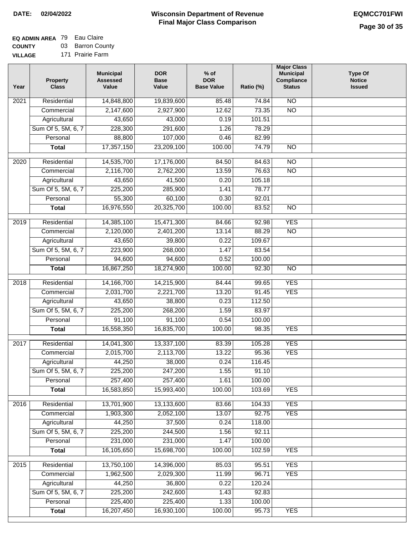## **EQ ADMIN AREA** 79 Eau Claire **COUNTY** 03 Barron County

**VILLAGE** 171 Prairie Farm

| Year | <b>Property</b><br><b>Class</b> | <b>Municipal</b><br><b>Assessed</b><br>Value | <b>DOR</b><br><b>Base</b><br>Value | $%$ of<br><b>DOR</b><br><b>Base Value</b> | Ratio (%) | <b>Major Class</b><br><b>Municipal</b><br>Compliance<br><b>Status</b> | <b>Type Of</b><br><b>Notice</b><br><b>Issued</b> |
|------|---------------------------------|----------------------------------------------|------------------------------------|-------------------------------------------|-----------|-----------------------------------------------------------------------|--------------------------------------------------|
| 2021 | Residential                     | 14,848,800                                   | 19,839,600                         | 85.48                                     | 74.84     | $\overline{NO}$                                                       |                                                  |
|      | Commercial                      | 2,147,600                                    | 2,927,900                          | 12.62                                     | 73.35     | $\overline{NO}$                                                       |                                                  |
|      | Agricultural                    | 43,650                                       | 43,000                             | 0.19                                      | 101.51    |                                                                       |                                                  |
|      | Sum Of 5, 5M, 6, 7              | 228,300                                      | 291,600                            | 1.26                                      | 78.29     |                                                                       |                                                  |
|      | Personal                        | 88,800                                       | 107,000                            | 0.46                                      | 82.99     |                                                                       |                                                  |
|      | <b>Total</b>                    | 17,357,150                                   | 23,209,100                         | 100.00                                    | 74.79     | $\overline{NO}$                                                       |                                                  |
| 2020 | Residential                     | 14,535,700                                   | 17,176,000                         | 84.50                                     | 84.63     | $\overline{NO}$                                                       |                                                  |
|      | Commercial                      | 2,116,700                                    | 2,762,200                          | 13.59                                     | 76.63     | $\overline{NO}$                                                       |                                                  |
|      | Agricultural                    | 43,650                                       | 41,500                             | 0.20                                      | 105.18    |                                                                       |                                                  |
|      | Sum Of 5, 5M, 6, 7              | 225,200                                      | 285,900                            | 1.41                                      | 78.77     |                                                                       |                                                  |
|      | Personal                        | 55,300                                       | 60,100                             | 0.30                                      | 92.01     |                                                                       |                                                  |
|      | <b>Total</b>                    | 16,976,550                                   | 20,325,700                         | 100.00                                    | 83.52     | $\overline{NO}$                                                       |                                                  |
| 2019 | Residential                     | 14,385,100                                   | 15,471,300                         | 84.66                                     | 92.98     | <b>YES</b>                                                            |                                                  |
|      | Commercial                      | 2,120,000                                    | 2,401,200                          | 13.14                                     | 88.29     | $\overline{NO}$                                                       |                                                  |
|      | Agricultural                    | 43,650                                       | 39,800                             | 0.22                                      | 109.67    |                                                                       |                                                  |
|      | Sum Of 5, 5M, 6, 7              | 223,900                                      | 268,000                            | 1.47                                      | 83.54     |                                                                       |                                                  |
|      | Personal                        | 94,600                                       | 94,600                             | 0.52                                      | 100.00    |                                                                       |                                                  |
|      | <b>Total</b>                    | 16,867,250                                   | 18,274,900                         | 100.00                                    | 92.30     | $\overline{NO}$                                                       |                                                  |
|      |                                 |                                              |                                    |                                           |           |                                                                       |                                                  |
| 2018 | Residential                     | 14,166,700                                   | 14,215,900                         | 84.44                                     | 99.65     | <b>YES</b>                                                            |                                                  |
|      | Commercial                      | 2,031,700                                    | 2,221,700                          | 13.20                                     | 91.45     | <b>YES</b>                                                            |                                                  |
|      | Agricultural                    | 43,650                                       | 38,800                             | 0.23                                      | 112.50    |                                                                       |                                                  |
|      | Sum Of 5, 5M, 6, 7              | 225,200                                      | 268,200                            | 1.59                                      | 83.97     |                                                                       |                                                  |
|      | Personal                        | 91,100                                       | 91,100                             | 0.54                                      | 100.00    |                                                                       |                                                  |
|      | <b>Total</b>                    | 16,558,350                                   | 16,835,700                         | 100.00                                    | 98.35     | <b>YES</b>                                                            |                                                  |
| 2017 | Residential                     | 14,041,300                                   | 13,337,100                         | 83.39                                     | 105.28    | <b>YES</b>                                                            |                                                  |
|      | Commercial                      | 2,015,700                                    | 2,113,700                          | 13.22                                     | 95.36     | <b>YES</b>                                                            |                                                  |
|      | Agricultural                    | 44,250                                       | 38,000                             | 0.24                                      | 116.45    |                                                                       |                                                  |
|      | Sum Of 5, 5M, 6, 7              | 225,200                                      | 247,200                            | 1.55                                      | 91.10     |                                                                       |                                                  |
|      | Personal                        | 257,400                                      | 257,400                            | 1.61                                      | 100.00    |                                                                       |                                                  |
|      | <b>Total</b>                    | 16,583,850                                   | 15,993,400                         | 100.00                                    | 103.69    | <b>YES</b>                                                            |                                                  |
| 2016 | Residential                     | 13,701,900                                   | 13,133,600                         | 83.66                                     | 104.33    | <b>YES</b>                                                            |                                                  |
|      | Commercial                      | 1,903,300                                    | 2,052,100                          | 13.07                                     | 92.75     | <b>YES</b>                                                            |                                                  |
|      | Agricultural                    | 44,250                                       | 37,500                             | 0.24                                      | 118.00    |                                                                       |                                                  |
|      | Sum Of 5, 5M, 6, 7              | 225,200                                      | 244,500                            | 1.56                                      | 92.11     |                                                                       |                                                  |
|      | Personal                        | 231,000                                      | 231,000                            | 1.47                                      | 100.00    |                                                                       |                                                  |
|      | <b>Total</b>                    | 16,105,650                                   | 15,698,700                         | 100.00                                    | 102.59    | <b>YES</b>                                                            |                                                  |
| 2015 | Residential                     | 13,750,100                                   | 14,396,000                         | 85.03                                     | 95.51     | <b>YES</b>                                                            |                                                  |
|      | Commercial                      | 1,962,500                                    | 2,029,300                          | 11.99                                     | 96.71     | <b>YES</b>                                                            |                                                  |
|      | Agricultural                    | 44,250                                       | 36,800                             | 0.22                                      | 120.24    |                                                                       |                                                  |
|      | Sum Of 5, 5M, 6, 7              | 225,200                                      | 242,600                            | 1.43                                      | 92.83     |                                                                       |                                                  |
|      | Personal                        | 225,400                                      | 225,400                            | 1.33                                      | 100.00    |                                                                       |                                                  |
|      | <b>Total</b>                    | 16,207,450                                   | 16,930,100                         | 100.00                                    | 95.73     | <b>YES</b>                                                            |                                                  |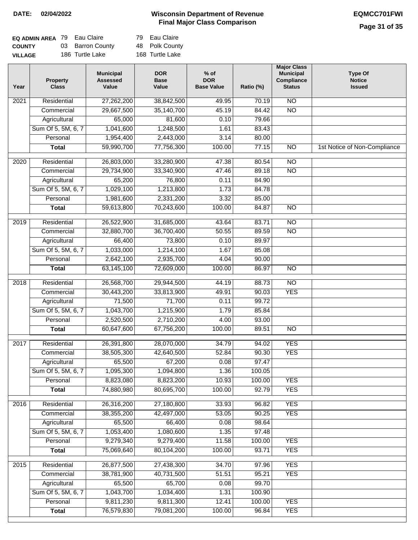## **Page 31 of 35**

| <b>EQ ADMIN AREA 79 Eau Claire</b> |                  | 79 Eau Claire   |
|------------------------------------|------------------|-----------------|
| <b>COUNTY</b>                      | 03 Barron County | 48 Polk County  |
| <b>VILLAGE</b>                     | 186 Turtle Lake  | 168 Turtle Lake |

| Year              | <b>Property</b><br><b>Class</b> | <b>Municipal</b><br><b>Assessed</b><br>Value | <b>DOR</b><br><b>Base</b><br>Value | $%$ of<br><b>DOR</b><br><b>Base Value</b> | Ratio (%) | <b>Major Class</b><br><b>Municipal</b><br>Compliance<br><b>Status</b> | <b>Type Of</b><br><b>Notice</b><br><b>Issued</b> |
|-------------------|---------------------------------|----------------------------------------------|------------------------------------|-------------------------------------------|-----------|-----------------------------------------------------------------------|--------------------------------------------------|
| $\overline{202}1$ | Residential                     | 27,262,200                                   | 38,842,500                         | 49.95                                     | 70.19     | $\overline{NO}$                                                       |                                                  |
|                   | Commercial                      | 29,667,500                                   | 35,140,700                         | 45.19                                     | 84.42     | $\overline{NO}$                                                       |                                                  |
|                   | Agricultural                    | 65,000                                       | 81,600                             | 0.10                                      | 79.66     |                                                                       |                                                  |
|                   | Sum Of 5, 5M, 6, 7              | 1,041,600                                    | 1,248,500                          | 1.61                                      | 83.43     |                                                                       |                                                  |
|                   | Personal                        | 1,954,400                                    | 2,443,000                          | 3.14                                      | 80.00     |                                                                       |                                                  |
|                   | <b>Total</b>                    | 59,990,700                                   | 77,756,300                         | 100.00                                    | 77.15     | $\overline{NO}$                                                       | 1st Notice of Non-Compliance                     |
| 2020              | Residential                     | 26,803,000                                   | 33,280,900                         | 47.38                                     | 80.54     | $\overline{NO}$                                                       |                                                  |
|                   | Commercial                      | 29,734,900                                   | 33,340,900                         | 47.46                                     | 89.18     | $\overline{NO}$                                                       |                                                  |
|                   | Agricultural                    | 65,200                                       | 76,800                             | 0.11                                      | 84.90     |                                                                       |                                                  |
|                   | Sum Of 5, 5M, 6, 7              | 1,029,100                                    | 1,213,800                          | 1.73                                      | 84.78     |                                                                       |                                                  |
|                   | Personal                        | 1,981,600                                    | 2,331,200                          | 3.32                                      | 85.00     |                                                                       |                                                  |
|                   | <b>Total</b>                    | 59,613,800                                   | 70,243,600                         | 100.00                                    | 84.87     | $\overline{NO}$                                                       |                                                  |
| 2019              | Residential                     | 26,522,900                                   | 31,685,000                         | 43.64                                     | 83.71     | $\overline{NO}$                                                       |                                                  |
|                   | Commercial                      | 32,880,700                                   | 36,700,400                         | 50.55                                     | 89.59     | $\overline{NO}$                                                       |                                                  |
|                   | Agricultural                    | 66,400                                       | 73,800                             | 0.10                                      | 89.97     |                                                                       |                                                  |
|                   | Sum Of 5, 5M, 6, 7              | 1,033,000                                    | 1,214,100                          | 1.67                                      | 85.08     |                                                                       |                                                  |
|                   | Personal                        | 2,642,100                                    | 2,935,700                          | 4.04                                      | 90.00     |                                                                       |                                                  |
|                   | <b>Total</b>                    | 63,145,100                                   | 72,609,000                         | 100.00                                    | 86.97     | $\overline{NO}$                                                       |                                                  |
| 2018              | Residential                     | 26,568,700                                   | 29,944,500                         | 44.19                                     | 88.73     | $\overline{NO}$                                                       |                                                  |
|                   | Commercial                      | 30,443,200                                   | 33,813,900                         | 49.91                                     | 90.03     | <b>YES</b>                                                            |                                                  |
|                   | Agricultural                    | 71,500                                       | 71,700                             | 0.11                                      | 99.72     |                                                                       |                                                  |
|                   | Sum Of 5, 5M, 6, 7              | 1,043,700                                    | 1,215,900                          | 1.79                                      | 85.84     |                                                                       |                                                  |
|                   | Personal                        | 2,520,500                                    | 2,710,200                          | 4.00                                      | 93.00     |                                                                       |                                                  |
|                   | <b>Total</b>                    | 60,647,600                                   | 67,756,200                         | 100.00                                    | 89.51     | $\overline{NO}$                                                       |                                                  |
| 2017              | Residential                     | 26,391,800                                   | 28,070,000                         | 34.79                                     | 94.02     | <b>YES</b>                                                            |                                                  |
|                   | Commercial                      | 38,505,300                                   | 42,640,500                         | 52.84                                     | 90.30     | <b>YES</b>                                                            |                                                  |
|                   | Agricultural                    | 65,500                                       | 67,200                             | 0.08                                      | 97.47     |                                                                       |                                                  |
|                   | Sum Of 5, 5M, 6, 7              | 1,095,300                                    | 1,094,800                          | 1.36                                      | 100.05    |                                                                       |                                                  |
|                   | Personal                        | 8,823,080                                    | 8,823,200                          | 10.93                                     | 100.00    | <b>YES</b>                                                            |                                                  |
|                   | <b>Total</b>                    | 74,880,980                                   | 80,695,700                         | 100.00                                    | 92.79     | <b>YES</b>                                                            |                                                  |
| 2016              | Residential                     | 26,316,200                                   | 27,180,800                         | 33.93                                     | 96.82     | <b>YES</b>                                                            |                                                  |
|                   | Commercial                      | 38,355,200                                   | 42,497,000                         | 53.05                                     | 90.25     | <b>YES</b>                                                            |                                                  |
|                   | Agricultural                    | 65,500                                       | 66,400                             | 0.08                                      | 98.64     |                                                                       |                                                  |
|                   | Sum Of 5, 5M, 6, 7              | 1,053,400                                    | 1,080,600                          | 1.35                                      | 97.48     |                                                                       |                                                  |
|                   | Personal                        | 9,279,340                                    | 9,279,400                          | 11.58                                     | 100.00    | <b>YES</b>                                                            |                                                  |
|                   | <b>Total</b>                    | 75,069,640                                   | 80,104,200                         | 100.00                                    | 93.71     | <b>YES</b>                                                            |                                                  |
| 2015              | Residential                     | 26,877,500                                   | 27,438,300                         | 34.70                                     | 97.96     | <b>YES</b>                                                            |                                                  |
|                   | Commercial                      | 38,781,900                                   | 40,731,500                         | 51.51                                     | 95.21     | <b>YES</b>                                                            |                                                  |
|                   | Agricultural                    | 65,500                                       | 65,700                             | 0.08                                      | 99.70     |                                                                       |                                                  |
|                   | Sum Of 5, 5M, 6, 7              | 1,043,700                                    | 1,034,400                          | 1.31                                      | 100.90    |                                                                       |                                                  |
|                   | Personal                        | 9,811,230                                    | 9,811,300                          | 12.41                                     | 100.00    | <b>YES</b>                                                            |                                                  |
|                   | <b>Total</b>                    | 76,579,830                                   | 79,081,200                         | 100.00                                    | 96.84     | <b>YES</b>                                                            |                                                  |
|                   |                                 |                                              |                                    |                                           |           |                                                                       |                                                  |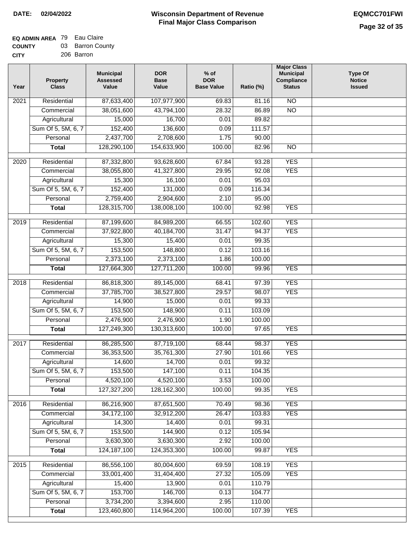| ------      | ---------  |
|-------------|------------|
| <b>CITY</b> | 206 Barron |

| Year | <b>Property</b><br><b>Class</b> | <b>Municipal</b><br><b>Assessed</b><br>Value | <b>DOR</b><br><b>Base</b><br>Value | $%$ of<br><b>DOR</b><br><b>Base Value</b> | Ratio (%) | <b>Major Class</b><br><b>Municipal</b><br>Compliance<br><b>Status</b> | <b>Type Of</b><br><b>Notice</b><br><b>Issued</b> |
|------|---------------------------------|----------------------------------------------|------------------------------------|-------------------------------------------|-----------|-----------------------------------------------------------------------|--------------------------------------------------|
| 2021 | Residential                     | 87,633,400                                   | 107,977,900                        | 69.83                                     | 81.16     | $\overline{NO}$                                                       |                                                  |
|      | Commercial                      | 38,051,600                                   | 43,794,100                         | 28.32                                     | 86.89     | $\overline{NO}$                                                       |                                                  |
|      | Agricultural                    | 15,000                                       | 16,700                             | 0.01                                      | 89.82     |                                                                       |                                                  |
|      | Sum Of 5, 5M, 6, 7              | 152,400                                      | 136,600                            | 0.09                                      | 111.57    |                                                                       |                                                  |
|      | Personal                        | 2,437,700                                    | 2,708,600                          | 1.75                                      | 90.00     |                                                                       |                                                  |
|      | <b>Total</b>                    | 128,290,100                                  | 154,633,900                        | 100.00                                    | 82.96     | $\overline{NO}$                                                       |                                                  |
| 2020 | Residential                     | 87,332,800                                   | 93,628,600                         | 67.84                                     | 93.28     | <b>YES</b>                                                            |                                                  |
|      | Commercial                      | 38,055,800                                   | 41,327,800                         | 29.95                                     | 92.08     | <b>YES</b>                                                            |                                                  |
|      | Agricultural                    | 15,300                                       | 16,100                             | 0.01                                      | 95.03     |                                                                       |                                                  |
|      | Sum Of 5, 5M, 6, 7              | 152,400                                      | 131,000                            | 0.09                                      | 116.34    |                                                                       |                                                  |
|      | Personal                        | 2,759,400                                    | 2,904,600                          | 2.10                                      | 95.00     |                                                                       |                                                  |
|      | <b>Total</b>                    | 128,315,700                                  | 138,008,100                        | 100.00                                    | 92.98     | <b>YES</b>                                                            |                                                  |
| 2019 | Residential                     | 87,199,600                                   | 84,989,200                         | 66.55                                     | 102.60    | <b>YES</b>                                                            |                                                  |
|      | Commercial                      | 37,922,800                                   | 40,184,700                         | 31.47                                     | 94.37     | <b>YES</b>                                                            |                                                  |
|      | Agricultural                    | 15,300                                       | 15,400                             | 0.01                                      | 99.35     |                                                                       |                                                  |
|      | Sum Of 5, 5M, 6, 7              | 153,500                                      | 148,800                            | 0.12                                      | 103.16    |                                                                       |                                                  |
|      | Personal                        | 2,373,100                                    | 2,373,100                          | 1.86                                      | 100.00    |                                                                       |                                                  |
|      | <b>Total</b>                    | 127,664,300                                  | 127,711,200                        | 100.00                                    | 99.96     | <b>YES</b>                                                            |                                                  |
|      |                                 |                                              |                                    |                                           |           |                                                                       |                                                  |
| 2018 | Residential                     | 86,818,300                                   | 89,145,000                         | 68.41                                     | 97.39     | <b>YES</b>                                                            |                                                  |
|      | Commercial                      | 37,785,700                                   | 38,527,800                         | 29.57                                     | 98.07     | <b>YES</b>                                                            |                                                  |
|      | Agricultural                    | 14,900                                       | 15,000                             | 0.01                                      | 99.33     |                                                                       |                                                  |
|      | Sum Of 5, 5M, 6, 7              | 153,500                                      | 148,900                            | 0.11                                      | 103.09    |                                                                       |                                                  |
|      | Personal                        | 2,476,900                                    | 2,476,900                          | 1.90                                      | 100.00    |                                                                       |                                                  |
|      | <b>Total</b>                    | 127,249,300                                  | 130,313,600                        | 100.00                                    | 97.65     | <b>YES</b>                                                            |                                                  |
| 2017 | Residential                     | 86,285,500                                   | 87,719,100                         | 68.44                                     | 98.37     | <b>YES</b>                                                            |                                                  |
|      | Commercial                      | 36,353,500                                   | 35,761,300                         | 27.90                                     | 101.66    | <b>YES</b>                                                            |                                                  |
|      | Agricultural                    | 14,600                                       | 14,700                             | 0.01                                      | 99.32     |                                                                       |                                                  |
|      | Sum Of 5, 5M, 6, 7              | 153,500                                      | 147,100                            | 0.11                                      | 104.35    |                                                                       |                                                  |
|      | Personal                        | 4,520,100                                    | 4,520,100                          | 3.53                                      | 100.00    |                                                                       |                                                  |
|      | <b>Total</b>                    | 127,327,200                                  | 128, 162, 300                      | 100.00                                    | 99.35     | <b>YES</b>                                                            |                                                  |
| 2016 | Residential                     | 86,216,900                                   | 87,651,500                         | 70.49                                     | 98.36     | <b>YES</b>                                                            |                                                  |
|      | Commercial                      | 34, 172, 100                                 | 32,912,200                         | 26.47                                     | 103.83    | <b>YES</b>                                                            |                                                  |
|      | Agricultural                    | 14,300                                       | 14,400                             | 0.01                                      | 99.31     |                                                                       |                                                  |
|      | Sum Of 5, 5M, 6, 7              | 153,500                                      | 144,900                            | 0.12                                      | 105.94    |                                                                       |                                                  |
|      | Personal                        | 3,630,300                                    | 3,630,300                          | 2.92                                      | 100.00    |                                                                       |                                                  |
|      | <b>Total</b>                    | 124, 187, 100                                | 124,353,300                        | 100.00                                    | 99.87     | <b>YES</b>                                                            |                                                  |
| 2015 | Residential                     | 86,556,100                                   | 80,004,600                         | 69.59                                     | 108.19    | <b>YES</b>                                                            |                                                  |
|      | Commercial                      | 33,001,400                                   | 31,404,400                         | 27.32                                     | 105.09    | <b>YES</b>                                                            |                                                  |
|      | Agricultural                    | 15,400                                       | 13,900                             | 0.01                                      | 110.79    |                                                                       |                                                  |
|      | Sum Of 5, 5M, 6, 7              | 153,700                                      | 146,700                            | 0.13                                      | 104.77    |                                                                       |                                                  |
|      | Personal                        | 3,734,200                                    | 3,394,600                          | 2.95                                      | 110.00    |                                                                       |                                                  |
|      | <b>Total</b>                    | 123,460,800                                  | 114,964,200                        | 100.00                                    | 107.39    | <b>YES</b>                                                            |                                                  |
|      |                                 |                                              |                                    |                                           |           |                                                                       |                                                  |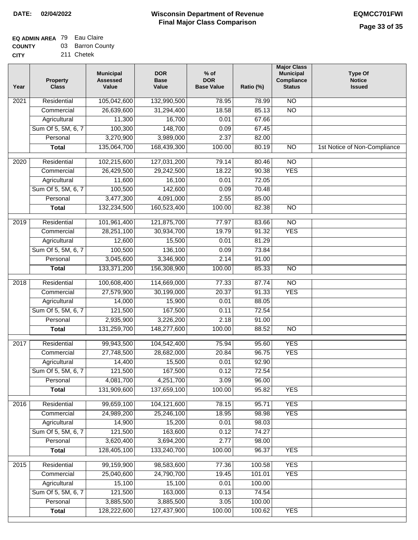#### **EQ ADMIN AREA** 79 Eau Claire

| <b>COUNTY</b> | 03 Barron County |
|---------------|------------------|
| CITY          | 211 Chetek       |

| Year              | <b>Property</b><br><b>Class</b> | <b>Municipal</b><br><b>Assessed</b><br>Value | <b>DOR</b><br><b>Base</b><br>Value | $%$ of<br><b>DOR</b><br><b>Base Value</b> | Ratio (%) | <b>Major Class</b><br><b>Municipal</b><br>Compliance<br><b>Status</b> | <b>Type Of</b><br><b>Notice</b><br><b>Issued</b> |
|-------------------|---------------------------------|----------------------------------------------|------------------------------------|-------------------------------------------|-----------|-----------------------------------------------------------------------|--------------------------------------------------|
| 2021              | Residential                     | 105,042,600                                  | 132,990,500                        | 78.95                                     | 78.99     | $\overline{NO}$                                                       |                                                  |
|                   | Commercial                      | 26,639,600                                   | 31,294,400                         | 18.58                                     | 85.13     | $\overline{NO}$                                                       |                                                  |
|                   | Agricultural                    | 11,300                                       | 16,700                             | 0.01                                      | 67.66     |                                                                       |                                                  |
|                   | Sum Of 5, 5M, 6, 7              | 100,300                                      | 148,700                            | 0.09                                      | 67.45     |                                                                       |                                                  |
|                   | Personal                        | 3,270,900                                    | 3,989,000                          | 2.37                                      | 82.00     |                                                                       |                                                  |
|                   | <b>Total</b>                    | 135,064,700                                  | 168,439,300                        | 100.00                                    | 80.19     | $\overline{NO}$                                                       | 1st Notice of Non-Compliance                     |
| $\overline{2020}$ | Residential                     | 102,215,600                                  | 127,031,200                        | 79.14                                     | 80.46     | $\overline{NO}$                                                       |                                                  |
|                   | Commercial                      | 26,429,500                                   | 29,242,500                         | 18.22                                     | 90.38     | <b>YES</b>                                                            |                                                  |
|                   | Agricultural                    | 11,600                                       | 16,100                             | 0.01                                      | 72.05     |                                                                       |                                                  |
|                   | Sum Of 5, 5M, 6, 7              | 100,500                                      | 142,600                            | 0.09                                      | 70.48     |                                                                       |                                                  |
|                   | Personal                        | 3,477,300                                    | 4,091,000                          | 2.55                                      | 85.00     |                                                                       |                                                  |
|                   | <b>Total</b>                    | 132,234,500                                  | 160,523,400                        | 100.00                                    | 82.38     | $\overline{NO}$                                                       |                                                  |
| 2019              | Residential                     | 101,961,400                                  | 121,875,700                        | 77.97                                     | 83.66     | $\overline{3}$                                                        |                                                  |
|                   | Commercial                      | 28,251,100                                   | 30,934,700                         | 19.79                                     | 91.32     | <b>YES</b>                                                            |                                                  |
|                   | Agricultural                    | 12,600                                       | 15,500                             | 0.01                                      | 81.29     |                                                                       |                                                  |
|                   | Sum Of 5, 5M, 6, 7              | 100,500                                      | 136,100                            | 0.09                                      | 73.84     |                                                                       |                                                  |
|                   | Personal                        | 3,045,600                                    | 3,346,900                          | 2.14                                      | 91.00     |                                                                       |                                                  |
|                   | <b>Total</b>                    | 133,371,200                                  | 156,308,900                        | 100.00                                    | 85.33     | $\overline{NO}$                                                       |                                                  |
| 2018              | Residential                     | 100,608,400                                  | 114,669,000                        | 77.33                                     | 87.74     | N <sub>O</sub>                                                        |                                                  |
|                   | Commercial                      | 27,579,900                                   | 30,199,000                         | 20.37                                     | 91.33     | <b>YES</b>                                                            |                                                  |
|                   | Agricultural                    | 14,000                                       | 15,900                             | 0.01                                      | 88.05     |                                                                       |                                                  |
|                   | Sum Of 5, 5M, 6, 7              | 121,500                                      | 167,500                            | 0.11                                      | 72.54     |                                                                       |                                                  |
|                   | Personal                        | 2,935,900                                    | 3,226,200                          | 2.18                                      | 91.00     |                                                                       |                                                  |
|                   | <b>Total</b>                    | 131,259,700                                  | 148,277,600                        | 100.00                                    | 88.52     | $\overline{NO}$                                                       |                                                  |
| 2017              | Residential                     | 99,943,500                                   | 104,542,400                        | 75.94                                     | 95.60     | <b>YES</b>                                                            |                                                  |
|                   | Commercial                      | 27,748,500                                   | 28,682,000                         | 20.84                                     | 96.75     | <b>YES</b>                                                            |                                                  |
|                   | Agricultural                    | 14,400                                       | 15,500                             | 0.01                                      | 92.90     |                                                                       |                                                  |
|                   | Sum Of 5, 5M, 6, 7              | 121,500                                      | 167,500                            | 0.12                                      | 72.54     |                                                                       |                                                  |
|                   | Personal                        | 4,081,700                                    | 4,251,700                          | 3.09                                      | 96.00     |                                                                       |                                                  |
|                   | <b>Total</b>                    | 131,909,600                                  | 137,659,100                        | 100.00                                    | 95.82     | <b>YES</b>                                                            |                                                  |
| 2016              | Residential                     | 99,659,100                                   | 104,121,600                        | 78.15                                     | 95.71     | <b>YES</b>                                                            |                                                  |
|                   | Commercial                      | 24,989,200                                   | 25,246,100                         | 18.95                                     | 98.98     | <b>YES</b>                                                            |                                                  |
|                   | Agricultural                    | 14,900                                       | 15,200                             | 0.01                                      | 98.03     |                                                                       |                                                  |
|                   | Sum Of 5, 5M, 6, 7              | 121,500                                      | 163,600                            | 0.12                                      | 74.27     |                                                                       |                                                  |
|                   | Personal                        | 3,620,400                                    | 3,694,200                          | 2.77                                      | 98.00     |                                                                       |                                                  |
|                   | <b>Total</b>                    | 128,405,100                                  | 133,240,700                        | 100.00                                    | 96.37     | <b>YES</b>                                                            |                                                  |
| 2015              | Residential                     | 99,159,900                                   | 98,583,600                         | 77.36                                     | 100.58    | <b>YES</b>                                                            |                                                  |
|                   | Commercial                      | 25,040,600                                   | 24,790,700                         | 19.45                                     | 101.01    | <b>YES</b>                                                            |                                                  |
|                   | Agricultural                    | 15,100                                       | 15,100                             | 0.01                                      | 100.00    |                                                                       |                                                  |
|                   | Sum Of 5, 5M, 6, 7              | 121,500                                      | 163,000                            | 0.13                                      | 74.54     |                                                                       |                                                  |
|                   | Personal                        | 3,885,500                                    | 3,885,500                          | 3.05                                      | 100.00    |                                                                       |                                                  |
|                   | <b>Total</b>                    | 128,222,600                                  | 127,437,900                        | 100.00                                    | 100.62    | <b>YES</b>                                                            |                                                  |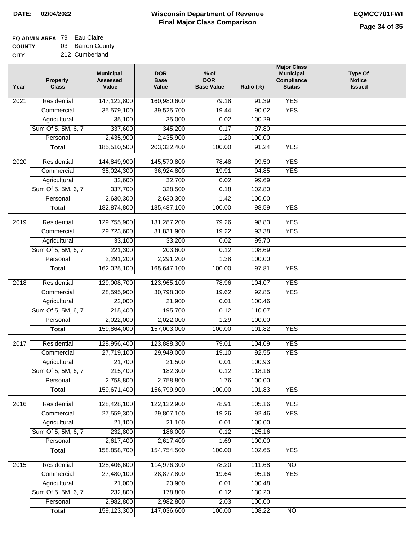# **EQ ADMIN AREA** 79 Eau Claire

**COUNTY CITY** 03 Barron County 212 Cumberland

| 147,122,800<br><b>YES</b><br>Residential<br>160,980,600<br>79.18<br>2021<br>91.39<br><b>YES</b><br>35,579,100<br>39,525,700<br>19.44<br>90.02<br>Commercial<br>Agricultural<br>35,100<br>35,000<br>100.29<br>0.02<br>337,600<br>345,200<br>97.80<br>Sum Of 5, 5M, 6, 7<br>0.17<br>2,435,900<br>2,435,900<br>Personal<br>1.20<br>100.00<br>185,510,500<br>203,322,400<br><b>YES</b><br>100.00<br>91.24<br><b>Total</b><br><b>YES</b><br>Residential<br>144,849,900<br>145,570,800<br>78.48<br>99.50<br>2020<br><b>YES</b><br>35,024,300<br>36,924,800<br>19.91<br>94.85<br>Commercial<br>32,600<br>32,700<br>0.02<br>99.69<br>Agricultural<br>337,700<br>328,500<br>102.80<br>Sum Of 5, 5M, 6, 7<br>0.18<br>2,630,300<br>Personal<br>2,630,300<br>1.42<br>100.00<br>182,874,800<br>185,487,100<br><b>YES</b><br>100.00<br>98.59<br><b>Total</b><br><b>YES</b><br>129,755,900<br>131,287,200<br>79.26<br>2019<br>Residential<br>98.83<br><b>YES</b><br>Commercial<br>29,723,600<br>31,831,900<br>19.22<br>93.38<br>99.70<br>Agricultural<br>33,100<br>33,200<br>0.02<br>Sum Of 5, 5M, 6, 7<br>221,300<br>203,600<br>108.69<br>0.12<br>Personal<br>2,291,200<br>2,291,200<br>1.38<br>100.00<br>162,025,100<br>165,647,100<br>100.00<br>97.81<br><b>YES</b><br><b>Total</b><br><b>YES</b><br>129,008,700<br>123,965,100<br>2018<br>Residential<br>78.96<br>104.07<br>92.85<br><b>YES</b><br>28,595,900<br>30,798,300<br>19.62<br>Commercial<br>Agricultural<br>22,000<br>21,900<br>0.01<br>100.46<br>Sum Of 5, 5M, 6, 7<br>215,400<br>195,700<br>110.07<br>0.12<br>2,022,000<br>2,022,000<br>Personal<br>1.29<br>100.00<br>159,864,000<br>157,003,000<br>100.00<br>101.82<br><b>YES</b><br><b>Total</b><br><b>YES</b><br>2017<br>Residential<br>128,956,400<br>123,888,300<br>79.01<br>104.09<br>27,719,100<br>29,949,000<br>92.55<br><b>YES</b><br>19.10<br>Commercial<br>21,700<br>21,500<br>0.01<br>100.93<br>Agricultural<br>Sum Of 5, 5M, 6, 7<br>215,400<br>182,300<br>0.12<br>118.16<br>2,758,800<br>2,758,800<br>1.76<br>100.00<br>Personal<br>159,671,400<br>156,799,900<br><b>YES</b><br>100.00<br>101.83<br><b>Total</b><br>Residential<br>128,428,100<br>122,122,900<br>78.91<br>105.16<br><b>YES</b><br>2016<br><b>YES</b><br>27,559,300<br>29,807,100<br>19.26<br>92.46<br>Commercial<br>21,100<br>21,100<br>100.00<br>Agricultural<br>0.01<br>232,800<br>186,000<br>Sum Of 5, 5M, 6, 7<br>125.16<br>0.12<br>2,617,400<br>2,617,400<br>Personal<br>100.00<br>1.69<br>158,858,700<br>154,754,500<br>100.00<br>102.65<br><b>YES</b><br><b>Total</b><br>128,406,600<br>114,976,300<br>78.20<br>N <sub>O</sub><br>2015<br>Residential<br>111.68<br><b>YES</b><br>Commercial<br>27,480,100<br>28,877,800<br>19.64<br>95.16<br>Agricultural<br>21,000<br>20,900<br>0.01<br>100.48<br>Sum Of 5, 5M, 6, 7<br>232,800<br>178,800<br>0.12<br>130.20<br>Personal<br>2,982,800<br>2,982,800<br>2.03<br>100.00<br>159,123,300<br>147,036,600<br>100.00<br>N <sub>O</sub><br><b>Total</b><br>108.22 | Year | <b>Property</b><br><b>Class</b> | <b>Municipal</b><br><b>Assessed</b><br>Value | <b>DOR</b><br><b>Base</b><br>Value | $%$ of<br><b>DOR</b><br><b>Base Value</b> | Ratio (%) | <b>Major Class</b><br><b>Municipal</b><br>Compliance<br><b>Status</b> | <b>Type Of</b><br><b>Notice</b><br><b>Issued</b> |
|-------------------------------------------------------------------------------------------------------------------------------------------------------------------------------------------------------------------------------------------------------------------------------------------------------------------------------------------------------------------------------------------------------------------------------------------------------------------------------------------------------------------------------------------------------------------------------------------------------------------------------------------------------------------------------------------------------------------------------------------------------------------------------------------------------------------------------------------------------------------------------------------------------------------------------------------------------------------------------------------------------------------------------------------------------------------------------------------------------------------------------------------------------------------------------------------------------------------------------------------------------------------------------------------------------------------------------------------------------------------------------------------------------------------------------------------------------------------------------------------------------------------------------------------------------------------------------------------------------------------------------------------------------------------------------------------------------------------------------------------------------------------------------------------------------------------------------------------------------------------------------------------------------------------------------------------------------------------------------------------------------------------------------------------------------------------------------------------------------------------------------------------------------------------------------------------------------------------------------------------------------------------------------------------------------------------------------------------------------------------------------------------------------------------------------------------------------------------------------------------------------------------------------------------------------------------------------------------------------------------------------------------------------------------------------------------------------------------------------------------------------------------------------------------------------------------------------------------------------------------------------------------------------------------------------------------------------------------------------------------------|------|---------------------------------|----------------------------------------------|------------------------------------|-------------------------------------------|-----------|-----------------------------------------------------------------------|--------------------------------------------------|
|                                                                                                                                                                                                                                                                                                                                                                                                                                                                                                                                                                                                                                                                                                                                                                                                                                                                                                                                                                                                                                                                                                                                                                                                                                                                                                                                                                                                                                                                                                                                                                                                                                                                                                                                                                                                                                                                                                                                                                                                                                                                                                                                                                                                                                                                                                                                                                                                                                                                                                                                                                                                                                                                                                                                                                                                                                                                                                                                                                                                 |      |                                 |                                              |                                    |                                           |           |                                                                       |                                                  |
|                                                                                                                                                                                                                                                                                                                                                                                                                                                                                                                                                                                                                                                                                                                                                                                                                                                                                                                                                                                                                                                                                                                                                                                                                                                                                                                                                                                                                                                                                                                                                                                                                                                                                                                                                                                                                                                                                                                                                                                                                                                                                                                                                                                                                                                                                                                                                                                                                                                                                                                                                                                                                                                                                                                                                                                                                                                                                                                                                                                                 |      |                                 |                                              |                                    |                                           |           |                                                                       |                                                  |
|                                                                                                                                                                                                                                                                                                                                                                                                                                                                                                                                                                                                                                                                                                                                                                                                                                                                                                                                                                                                                                                                                                                                                                                                                                                                                                                                                                                                                                                                                                                                                                                                                                                                                                                                                                                                                                                                                                                                                                                                                                                                                                                                                                                                                                                                                                                                                                                                                                                                                                                                                                                                                                                                                                                                                                                                                                                                                                                                                                                                 |      |                                 |                                              |                                    |                                           |           |                                                                       |                                                  |
|                                                                                                                                                                                                                                                                                                                                                                                                                                                                                                                                                                                                                                                                                                                                                                                                                                                                                                                                                                                                                                                                                                                                                                                                                                                                                                                                                                                                                                                                                                                                                                                                                                                                                                                                                                                                                                                                                                                                                                                                                                                                                                                                                                                                                                                                                                                                                                                                                                                                                                                                                                                                                                                                                                                                                                                                                                                                                                                                                                                                 |      |                                 |                                              |                                    |                                           |           |                                                                       |                                                  |
|                                                                                                                                                                                                                                                                                                                                                                                                                                                                                                                                                                                                                                                                                                                                                                                                                                                                                                                                                                                                                                                                                                                                                                                                                                                                                                                                                                                                                                                                                                                                                                                                                                                                                                                                                                                                                                                                                                                                                                                                                                                                                                                                                                                                                                                                                                                                                                                                                                                                                                                                                                                                                                                                                                                                                                                                                                                                                                                                                                                                 |      |                                 |                                              |                                    |                                           |           |                                                                       |                                                  |
|                                                                                                                                                                                                                                                                                                                                                                                                                                                                                                                                                                                                                                                                                                                                                                                                                                                                                                                                                                                                                                                                                                                                                                                                                                                                                                                                                                                                                                                                                                                                                                                                                                                                                                                                                                                                                                                                                                                                                                                                                                                                                                                                                                                                                                                                                                                                                                                                                                                                                                                                                                                                                                                                                                                                                                                                                                                                                                                                                                                                 |      |                                 |                                              |                                    |                                           |           |                                                                       |                                                  |
|                                                                                                                                                                                                                                                                                                                                                                                                                                                                                                                                                                                                                                                                                                                                                                                                                                                                                                                                                                                                                                                                                                                                                                                                                                                                                                                                                                                                                                                                                                                                                                                                                                                                                                                                                                                                                                                                                                                                                                                                                                                                                                                                                                                                                                                                                                                                                                                                                                                                                                                                                                                                                                                                                                                                                                                                                                                                                                                                                                                                 |      |                                 |                                              |                                    |                                           |           |                                                                       |                                                  |
|                                                                                                                                                                                                                                                                                                                                                                                                                                                                                                                                                                                                                                                                                                                                                                                                                                                                                                                                                                                                                                                                                                                                                                                                                                                                                                                                                                                                                                                                                                                                                                                                                                                                                                                                                                                                                                                                                                                                                                                                                                                                                                                                                                                                                                                                                                                                                                                                                                                                                                                                                                                                                                                                                                                                                                                                                                                                                                                                                                                                 |      |                                 |                                              |                                    |                                           |           |                                                                       |                                                  |
|                                                                                                                                                                                                                                                                                                                                                                                                                                                                                                                                                                                                                                                                                                                                                                                                                                                                                                                                                                                                                                                                                                                                                                                                                                                                                                                                                                                                                                                                                                                                                                                                                                                                                                                                                                                                                                                                                                                                                                                                                                                                                                                                                                                                                                                                                                                                                                                                                                                                                                                                                                                                                                                                                                                                                                                                                                                                                                                                                                                                 |      |                                 |                                              |                                    |                                           |           |                                                                       |                                                  |
|                                                                                                                                                                                                                                                                                                                                                                                                                                                                                                                                                                                                                                                                                                                                                                                                                                                                                                                                                                                                                                                                                                                                                                                                                                                                                                                                                                                                                                                                                                                                                                                                                                                                                                                                                                                                                                                                                                                                                                                                                                                                                                                                                                                                                                                                                                                                                                                                                                                                                                                                                                                                                                                                                                                                                                                                                                                                                                                                                                                                 |      |                                 |                                              |                                    |                                           |           |                                                                       |                                                  |
|                                                                                                                                                                                                                                                                                                                                                                                                                                                                                                                                                                                                                                                                                                                                                                                                                                                                                                                                                                                                                                                                                                                                                                                                                                                                                                                                                                                                                                                                                                                                                                                                                                                                                                                                                                                                                                                                                                                                                                                                                                                                                                                                                                                                                                                                                                                                                                                                                                                                                                                                                                                                                                                                                                                                                                                                                                                                                                                                                                                                 |      |                                 |                                              |                                    |                                           |           |                                                                       |                                                  |
|                                                                                                                                                                                                                                                                                                                                                                                                                                                                                                                                                                                                                                                                                                                                                                                                                                                                                                                                                                                                                                                                                                                                                                                                                                                                                                                                                                                                                                                                                                                                                                                                                                                                                                                                                                                                                                                                                                                                                                                                                                                                                                                                                                                                                                                                                                                                                                                                                                                                                                                                                                                                                                                                                                                                                                                                                                                                                                                                                                                                 |      |                                 |                                              |                                    |                                           |           |                                                                       |                                                  |
|                                                                                                                                                                                                                                                                                                                                                                                                                                                                                                                                                                                                                                                                                                                                                                                                                                                                                                                                                                                                                                                                                                                                                                                                                                                                                                                                                                                                                                                                                                                                                                                                                                                                                                                                                                                                                                                                                                                                                                                                                                                                                                                                                                                                                                                                                                                                                                                                                                                                                                                                                                                                                                                                                                                                                                                                                                                                                                                                                                                                 |      |                                 |                                              |                                    |                                           |           |                                                                       |                                                  |
|                                                                                                                                                                                                                                                                                                                                                                                                                                                                                                                                                                                                                                                                                                                                                                                                                                                                                                                                                                                                                                                                                                                                                                                                                                                                                                                                                                                                                                                                                                                                                                                                                                                                                                                                                                                                                                                                                                                                                                                                                                                                                                                                                                                                                                                                                                                                                                                                                                                                                                                                                                                                                                                                                                                                                                                                                                                                                                                                                                                                 |      |                                 |                                              |                                    |                                           |           |                                                                       |                                                  |
|                                                                                                                                                                                                                                                                                                                                                                                                                                                                                                                                                                                                                                                                                                                                                                                                                                                                                                                                                                                                                                                                                                                                                                                                                                                                                                                                                                                                                                                                                                                                                                                                                                                                                                                                                                                                                                                                                                                                                                                                                                                                                                                                                                                                                                                                                                                                                                                                                                                                                                                                                                                                                                                                                                                                                                                                                                                                                                                                                                                                 |      |                                 |                                              |                                    |                                           |           |                                                                       |                                                  |
|                                                                                                                                                                                                                                                                                                                                                                                                                                                                                                                                                                                                                                                                                                                                                                                                                                                                                                                                                                                                                                                                                                                                                                                                                                                                                                                                                                                                                                                                                                                                                                                                                                                                                                                                                                                                                                                                                                                                                                                                                                                                                                                                                                                                                                                                                                                                                                                                                                                                                                                                                                                                                                                                                                                                                                                                                                                                                                                                                                                                 |      |                                 |                                              |                                    |                                           |           |                                                                       |                                                  |
|                                                                                                                                                                                                                                                                                                                                                                                                                                                                                                                                                                                                                                                                                                                                                                                                                                                                                                                                                                                                                                                                                                                                                                                                                                                                                                                                                                                                                                                                                                                                                                                                                                                                                                                                                                                                                                                                                                                                                                                                                                                                                                                                                                                                                                                                                                                                                                                                                                                                                                                                                                                                                                                                                                                                                                                                                                                                                                                                                                                                 |      |                                 |                                              |                                    |                                           |           |                                                                       |                                                  |
|                                                                                                                                                                                                                                                                                                                                                                                                                                                                                                                                                                                                                                                                                                                                                                                                                                                                                                                                                                                                                                                                                                                                                                                                                                                                                                                                                                                                                                                                                                                                                                                                                                                                                                                                                                                                                                                                                                                                                                                                                                                                                                                                                                                                                                                                                                                                                                                                                                                                                                                                                                                                                                                                                                                                                                                                                                                                                                                                                                                                 |      |                                 |                                              |                                    |                                           |           |                                                                       |                                                  |
|                                                                                                                                                                                                                                                                                                                                                                                                                                                                                                                                                                                                                                                                                                                                                                                                                                                                                                                                                                                                                                                                                                                                                                                                                                                                                                                                                                                                                                                                                                                                                                                                                                                                                                                                                                                                                                                                                                                                                                                                                                                                                                                                                                                                                                                                                                                                                                                                                                                                                                                                                                                                                                                                                                                                                                                                                                                                                                                                                                                                 |      |                                 |                                              |                                    |                                           |           |                                                                       |                                                  |
|                                                                                                                                                                                                                                                                                                                                                                                                                                                                                                                                                                                                                                                                                                                                                                                                                                                                                                                                                                                                                                                                                                                                                                                                                                                                                                                                                                                                                                                                                                                                                                                                                                                                                                                                                                                                                                                                                                                                                                                                                                                                                                                                                                                                                                                                                                                                                                                                                                                                                                                                                                                                                                                                                                                                                                                                                                                                                                                                                                                                 |      |                                 |                                              |                                    |                                           |           |                                                                       |                                                  |
|                                                                                                                                                                                                                                                                                                                                                                                                                                                                                                                                                                                                                                                                                                                                                                                                                                                                                                                                                                                                                                                                                                                                                                                                                                                                                                                                                                                                                                                                                                                                                                                                                                                                                                                                                                                                                                                                                                                                                                                                                                                                                                                                                                                                                                                                                                                                                                                                                                                                                                                                                                                                                                                                                                                                                                                                                                                                                                                                                                                                 |      |                                 |                                              |                                    |                                           |           |                                                                       |                                                  |
|                                                                                                                                                                                                                                                                                                                                                                                                                                                                                                                                                                                                                                                                                                                                                                                                                                                                                                                                                                                                                                                                                                                                                                                                                                                                                                                                                                                                                                                                                                                                                                                                                                                                                                                                                                                                                                                                                                                                                                                                                                                                                                                                                                                                                                                                                                                                                                                                                                                                                                                                                                                                                                                                                                                                                                                                                                                                                                                                                                                                 |      |                                 |                                              |                                    |                                           |           |                                                                       |                                                  |
|                                                                                                                                                                                                                                                                                                                                                                                                                                                                                                                                                                                                                                                                                                                                                                                                                                                                                                                                                                                                                                                                                                                                                                                                                                                                                                                                                                                                                                                                                                                                                                                                                                                                                                                                                                                                                                                                                                                                                                                                                                                                                                                                                                                                                                                                                                                                                                                                                                                                                                                                                                                                                                                                                                                                                                                                                                                                                                                                                                                                 |      |                                 |                                              |                                    |                                           |           |                                                                       |                                                  |
|                                                                                                                                                                                                                                                                                                                                                                                                                                                                                                                                                                                                                                                                                                                                                                                                                                                                                                                                                                                                                                                                                                                                                                                                                                                                                                                                                                                                                                                                                                                                                                                                                                                                                                                                                                                                                                                                                                                                                                                                                                                                                                                                                                                                                                                                                                                                                                                                                                                                                                                                                                                                                                                                                                                                                                                                                                                                                                                                                                                                 |      |                                 |                                              |                                    |                                           |           |                                                                       |                                                  |
|                                                                                                                                                                                                                                                                                                                                                                                                                                                                                                                                                                                                                                                                                                                                                                                                                                                                                                                                                                                                                                                                                                                                                                                                                                                                                                                                                                                                                                                                                                                                                                                                                                                                                                                                                                                                                                                                                                                                                                                                                                                                                                                                                                                                                                                                                                                                                                                                                                                                                                                                                                                                                                                                                                                                                                                                                                                                                                                                                                                                 |      |                                 |                                              |                                    |                                           |           |                                                                       |                                                  |
|                                                                                                                                                                                                                                                                                                                                                                                                                                                                                                                                                                                                                                                                                                                                                                                                                                                                                                                                                                                                                                                                                                                                                                                                                                                                                                                                                                                                                                                                                                                                                                                                                                                                                                                                                                                                                                                                                                                                                                                                                                                                                                                                                                                                                                                                                                                                                                                                                                                                                                                                                                                                                                                                                                                                                                                                                                                                                                                                                                                                 |      |                                 |                                              |                                    |                                           |           |                                                                       |                                                  |
|                                                                                                                                                                                                                                                                                                                                                                                                                                                                                                                                                                                                                                                                                                                                                                                                                                                                                                                                                                                                                                                                                                                                                                                                                                                                                                                                                                                                                                                                                                                                                                                                                                                                                                                                                                                                                                                                                                                                                                                                                                                                                                                                                                                                                                                                                                                                                                                                                                                                                                                                                                                                                                                                                                                                                                                                                                                                                                                                                                                                 |      |                                 |                                              |                                    |                                           |           |                                                                       |                                                  |
|                                                                                                                                                                                                                                                                                                                                                                                                                                                                                                                                                                                                                                                                                                                                                                                                                                                                                                                                                                                                                                                                                                                                                                                                                                                                                                                                                                                                                                                                                                                                                                                                                                                                                                                                                                                                                                                                                                                                                                                                                                                                                                                                                                                                                                                                                                                                                                                                                                                                                                                                                                                                                                                                                                                                                                                                                                                                                                                                                                                                 |      |                                 |                                              |                                    |                                           |           |                                                                       |                                                  |
|                                                                                                                                                                                                                                                                                                                                                                                                                                                                                                                                                                                                                                                                                                                                                                                                                                                                                                                                                                                                                                                                                                                                                                                                                                                                                                                                                                                                                                                                                                                                                                                                                                                                                                                                                                                                                                                                                                                                                                                                                                                                                                                                                                                                                                                                                                                                                                                                                                                                                                                                                                                                                                                                                                                                                                                                                                                                                                                                                                                                 |      |                                 |                                              |                                    |                                           |           |                                                                       |                                                  |
|                                                                                                                                                                                                                                                                                                                                                                                                                                                                                                                                                                                                                                                                                                                                                                                                                                                                                                                                                                                                                                                                                                                                                                                                                                                                                                                                                                                                                                                                                                                                                                                                                                                                                                                                                                                                                                                                                                                                                                                                                                                                                                                                                                                                                                                                                                                                                                                                                                                                                                                                                                                                                                                                                                                                                                                                                                                                                                                                                                                                 |      |                                 |                                              |                                    |                                           |           |                                                                       |                                                  |
|                                                                                                                                                                                                                                                                                                                                                                                                                                                                                                                                                                                                                                                                                                                                                                                                                                                                                                                                                                                                                                                                                                                                                                                                                                                                                                                                                                                                                                                                                                                                                                                                                                                                                                                                                                                                                                                                                                                                                                                                                                                                                                                                                                                                                                                                                                                                                                                                                                                                                                                                                                                                                                                                                                                                                                                                                                                                                                                                                                                                 |      |                                 |                                              |                                    |                                           |           |                                                                       |                                                  |
|                                                                                                                                                                                                                                                                                                                                                                                                                                                                                                                                                                                                                                                                                                                                                                                                                                                                                                                                                                                                                                                                                                                                                                                                                                                                                                                                                                                                                                                                                                                                                                                                                                                                                                                                                                                                                                                                                                                                                                                                                                                                                                                                                                                                                                                                                                                                                                                                                                                                                                                                                                                                                                                                                                                                                                                                                                                                                                                                                                                                 |      |                                 |                                              |                                    |                                           |           |                                                                       |                                                  |
|                                                                                                                                                                                                                                                                                                                                                                                                                                                                                                                                                                                                                                                                                                                                                                                                                                                                                                                                                                                                                                                                                                                                                                                                                                                                                                                                                                                                                                                                                                                                                                                                                                                                                                                                                                                                                                                                                                                                                                                                                                                                                                                                                                                                                                                                                                                                                                                                                                                                                                                                                                                                                                                                                                                                                                                                                                                                                                                                                                                                 |      |                                 |                                              |                                    |                                           |           |                                                                       |                                                  |
|                                                                                                                                                                                                                                                                                                                                                                                                                                                                                                                                                                                                                                                                                                                                                                                                                                                                                                                                                                                                                                                                                                                                                                                                                                                                                                                                                                                                                                                                                                                                                                                                                                                                                                                                                                                                                                                                                                                                                                                                                                                                                                                                                                                                                                                                                                                                                                                                                                                                                                                                                                                                                                                                                                                                                                                                                                                                                                                                                                                                 |      |                                 |                                              |                                    |                                           |           |                                                                       |                                                  |
|                                                                                                                                                                                                                                                                                                                                                                                                                                                                                                                                                                                                                                                                                                                                                                                                                                                                                                                                                                                                                                                                                                                                                                                                                                                                                                                                                                                                                                                                                                                                                                                                                                                                                                                                                                                                                                                                                                                                                                                                                                                                                                                                                                                                                                                                                                                                                                                                                                                                                                                                                                                                                                                                                                                                                                                                                                                                                                                                                                                                 |      |                                 |                                              |                                    |                                           |           |                                                                       |                                                  |
|                                                                                                                                                                                                                                                                                                                                                                                                                                                                                                                                                                                                                                                                                                                                                                                                                                                                                                                                                                                                                                                                                                                                                                                                                                                                                                                                                                                                                                                                                                                                                                                                                                                                                                                                                                                                                                                                                                                                                                                                                                                                                                                                                                                                                                                                                                                                                                                                                                                                                                                                                                                                                                                                                                                                                                                                                                                                                                                                                                                                 |      |                                 |                                              |                                    |                                           |           |                                                                       |                                                  |
|                                                                                                                                                                                                                                                                                                                                                                                                                                                                                                                                                                                                                                                                                                                                                                                                                                                                                                                                                                                                                                                                                                                                                                                                                                                                                                                                                                                                                                                                                                                                                                                                                                                                                                                                                                                                                                                                                                                                                                                                                                                                                                                                                                                                                                                                                                                                                                                                                                                                                                                                                                                                                                                                                                                                                                                                                                                                                                                                                                                                 |      |                                 |                                              |                                    |                                           |           |                                                                       |                                                  |
|                                                                                                                                                                                                                                                                                                                                                                                                                                                                                                                                                                                                                                                                                                                                                                                                                                                                                                                                                                                                                                                                                                                                                                                                                                                                                                                                                                                                                                                                                                                                                                                                                                                                                                                                                                                                                                                                                                                                                                                                                                                                                                                                                                                                                                                                                                                                                                                                                                                                                                                                                                                                                                                                                                                                                                                                                                                                                                                                                                                                 |      |                                 |                                              |                                    |                                           |           |                                                                       |                                                  |
|                                                                                                                                                                                                                                                                                                                                                                                                                                                                                                                                                                                                                                                                                                                                                                                                                                                                                                                                                                                                                                                                                                                                                                                                                                                                                                                                                                                                                                                                                                                                                                                                                                                                                                                                                                                                                                                                                                                                                                                                                                                                                                                                                                                                                                                                                                                                                                                                                                                                                                                                                                                                                                                                                                                                                                                                                                                                                                                                                                                                 |      |                                 |                                              |                                    |                                           |           |                                                                       |                                                  |
|                                                                                                                                                                                                                                                                                                                                                                                                                                                                                                                                                                                                                                                                                                                                                                                                                                                                                                                                                                                                                                                                                                                                                                                                                                                                                                                                                                                                                                                                                                                                                                                                                                                                                                                                                                                                                                                                                                                                                                                                                                                                                                                                                                                                                                                                                                                                                                                                                                                                                                                                                                                                                                                                                                                                                                                                                                                                                                                                                                                                 |      |                                 |                                              |                                    |                                           |           |                                                                       |                                                  |
|                                                                                                                                                                                                                                                                                                                                                                                                                                                                                                                                                                                                                                                                                                                                                                                                                                                                                                                                                                                                                                                                                                                                                                                                                                                                                                                                                                                                                                                                                                                                                                                                                                                                                                                                                                                                                                                                                                                                                                                                                                                                                                                                                                                                                                                                                                                                                                                                                                                                                                                                                                                                                                                                                                                                                                                                                                                                                                                                                                                                 |      |                                 |                                              |                                    |                                           |           |                                                                       |                                                  |
|                                                                                                                                                                                                                                                                                                                                                                                                                                                                                                                                                                                                                                                                                                                                                                                                                                                                                                                                                                                                                                                                                                                                                                                                                                                                                                                                                                                                                                                                                                                                                                                                                                                                                                                                                                                                                                                                                                                                                                                                                                                                                                                                                                                                                                                                                                                                                                                                                                                                                                                                                                                                                                                                                                                                                                                                                                                                                                                                                                                                 |      |                                 |                                              |                                    |                                           |           |                                                                       |                                                  |
|                                                                                                                                                                                                                                                                                                                                                                                                                                                                                                                                                                                                                                                                                                                                                                                                                                                                                                                                                                                                                                                                                                                                                                                                                                                                                                                                                                                                                                                                                                                                                                                                                                                                                                                                                                                                                                                                                                                                                                                                                                                                                                                                                                                                                                                                                                                                                                                                                                                                                                                                                                                                                                                                                                                                                                                                                                                                                                                                                                                                 |      |                                 |                                              |                                    |                                           |           |                                                                       |                                                  |